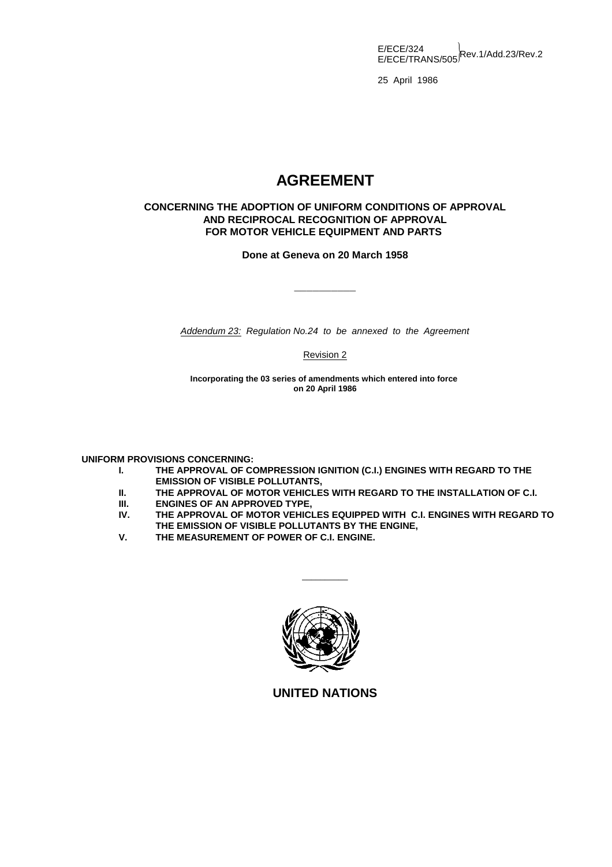E/ECE/324<br>E/ECE/TRANS/505<sup>|Rev.1/Add.23/Rev.2</sup>

25 April 1986

# **AGREEMENT**

### **CONCERNING THE ADOPTION OF UNIFORM CONDITIONS OF APPROVAL AND RECIPROCAL RECOGNITION OF APPROVAL FOR MOTOR VEHICLE EQUIPMENT AND PARTS**

### **Done at Geneva on 20 March 1958**

\_\_\_\_\_\_\_\_\_\_

*Addendum 23: Regulation No.24 to be annexed to the Agreement*

Revision 2

**Incorporating the 03 series of amendments which entered into force on 20 April 1986**

**UNIFORM PROVISIONS CONCERNING:**

- **I. THE APPROVAL OF COMPRESSION IGNITION (C.I.) ENGINES WITH REGARD TO THE EMISSION OF VISIBLE POLLUTANTS,**
- **II. THE APPROVAL OF MOTOR VEHICLES WITH REGARD TO THE INSTALLATION OF C.I.**
- **III. ENGINES OF AN APPROVED TYPE,<br>IV. THE APPROVAL OF MOTOR VEHICI**
- THE APPROVAL OF MOTOR VEHICLES EQUIPPED WITH C.I. ENGINES WITH REGARD TO **THE EMISSION OF VISIBLE POLLUTANTS BY THE ENGINE,**
- **V. THE MEASUREMENT OF POWER OF C.I. ENGINE.**



 $\overline{\phantom{a}}$ 

**UNITED NATIONS**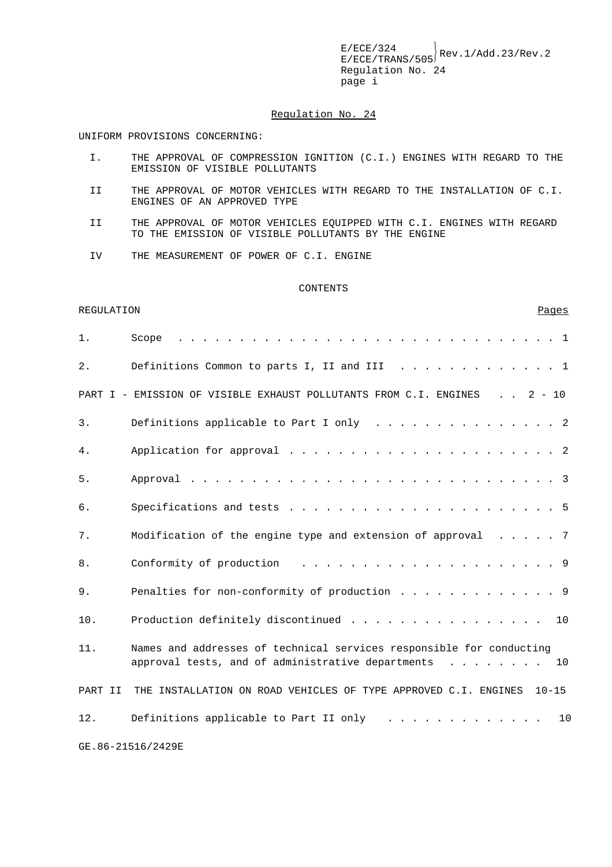$E/ECE/TRANS/505}$ Rev.1/Add.23/Rev.2 Regulation No. 24 page i

#### Regulation No. 24

UNIFORM PROVISIONS CONCERNING:

- I. THE APPROVAL OF COMPRESSION IGNITION (C.I.) ENGINES WITH REGARD TO THE EMISSION OF VISIBLE POLLUTANTS
- II THE APPROVAL OF MOTOR VEHICLES WITH REGARD TO THE INSTALLATION OF C.I. ENGINES OF AN APPROVED TYPE
- II THE APPROVAL OF MOTOR VEHICLES EQUIPPED WITH C.I. ENGINES WITH REGARD TO THE EMISSION OF VISIBLE POLLUTANTS BY THE ENGINE
- IV THE MEASUREMENT OF POWER OF C.I. ENGINE

#### CONTENTS

REGULATION Pages

| 1.      | Scope                                                                                                                                                                                                         |
|---------|---------------------------------------------------------------------------------------------------------------------------------------------------------------------------------------------------------------|
| $2$ .   | Definitions Common to parts I, II and III 1                                                                                                                                                                   |
|         | PART I - EMISSION OF VISIBLE EXHAUST POLLUTANTS FROM C.I. ENGINES 2 - 10                                                                                                                                      |
| 3.      | Definitions applicable to Part I only $\ldots$ 2                                                                                                                                                              |
| 4.      |                                                                                                                                                                                                               |
| 5.      |                                                                                                                                                                                                               |
| 6.      |                                                                                                                                                                                                               |
| 7.      | Modification of the engine type and extension of approval 7                                                                                                                                                   |
| 8.      | Conformity of production                                                                                                                                                                                      |
| 9.      | Penalties for non-conformity of production 9                                                                                                                                                                  |
| 10.     | Production definitely discontinued 10                                                                                                                                                                         |
| 11.     | Names and addresses of technical services responsible for conducting<br>approval tests, and of administrative departments<br>10                                                                               |
| PART II | THE INSTALLATION ON ROAD VEHICLES OF TYPE APPROVED C.I. ENGINES<br>$10 - 15$                                                                                                                                  |
| 12.     | Definitions applicable to Part II only<br>10<br>$\frac{1}{2}$ , $\frac{1}{2}$ , $\frac{1}{2}$ , $\frac{1}{2}$ , $\frac{1}{2}$ , $\frac{1}{2}$ , $\frac{1}{2}$ , $\frac{1}{2}$ , $\frac{1}{2}$ , $\frac{1}{2}$ |
|         | GE.86-21516/2429E                                                                                                                                                                                             |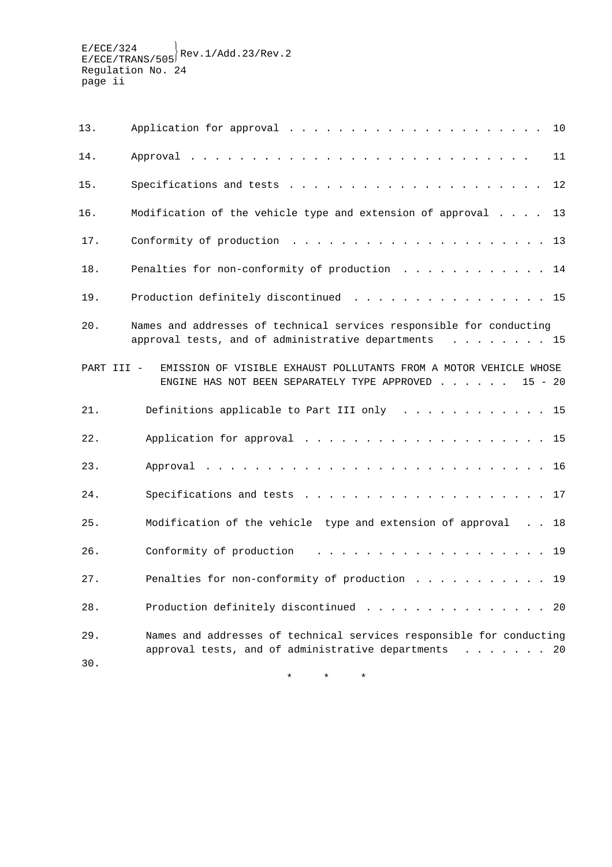| 13.        | 10                                                                                                                                |  |
|------------|-----------------------------------------------------------------------------------------------------------------------------------|--|
| 14.        | 11                                                                                                                                |  |
| 15.        | 12                                                                                                                                |  |
| 16.        | Modification of the vehicle type and extension of approval<br>13                                                                  |  |
| 17.        |                                                                                                                                   |  |
| 18.        | Penalties for non-conformity of production 14                                                                                     |  |
| 19.        | Production definitely discontinued 15                                                                                             |  |
| $20$ .     | Names and addresses of technical services responsible for conducting<br>approval tests, and of administrative departments 15      |  |
| PART III - | EMISSION OF VISIBLE EXHAUST POLLUTANTS FROM A MOTOR VEHICLE WHOSE<br>ENGINE HAS NOT BEEN SEPARATELY TYPE APPROVED 15 - 20         |  |
| 21.        | Definitions applicable to Part III only 15                                                                                        |  |
| 22.        |                                                                                                                                   |  |
| 23.        |                                                                                                                                   |  |
| 24.        |                                                                                                                                   |  |
| 25.        | Modification of the vehicle type and extension of approval 18                                                                     |  |
| 26.        | Conformity of production<br>. 19                                                                                                  |  |
| 27.        | Penalties for non-conformity of production 19                                                                                     |  |
| 28.        | Production definitely discontinued<br>20                                                                                          |  |
| 29.<br>30. | Names and addresses of technical services responsible for conducting<br>approval tests, and of administrative departments<br>. 20 |  |

\*\*\*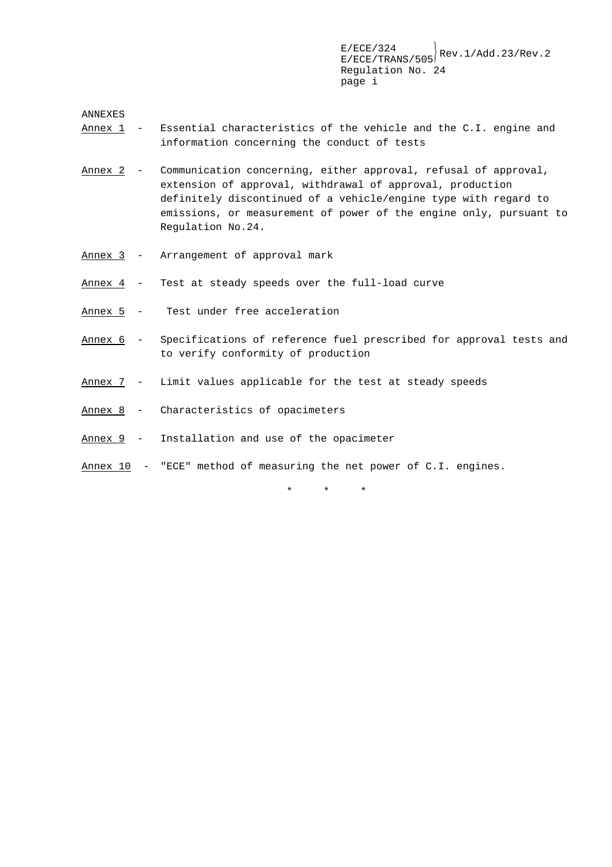ANNEXES

- Annex 1 Essential characteristics of the vehicle and the C.I. engine and information concerning the conduct of tests
- Annex 2 Communication concerning, either approval, refusal of approval, extension of approval, withdrawal of approval, production definitely discontinued of a vehicle/engine type with regard to emissions, or measurement of power of the engine only, pursuant to Regulation No.24.
- Annex 3 Arrangement of approval mark
- Annex 4 Test at steady speeds over the full-load curve
- Annex 5 Test under free acceleration
- Annex 6 Specifications of reference fuel prescribed for approval tests and to verify conformity of production
- Annex 7 Limit values applicable for the test at steady speeds
- Annex 8 Characteristics of opacimeters
- Annex 9 Installation and use of the opacimeter
- Annex 10 "ECE" method of measuring the net power of C.I. engines.

\*\*\*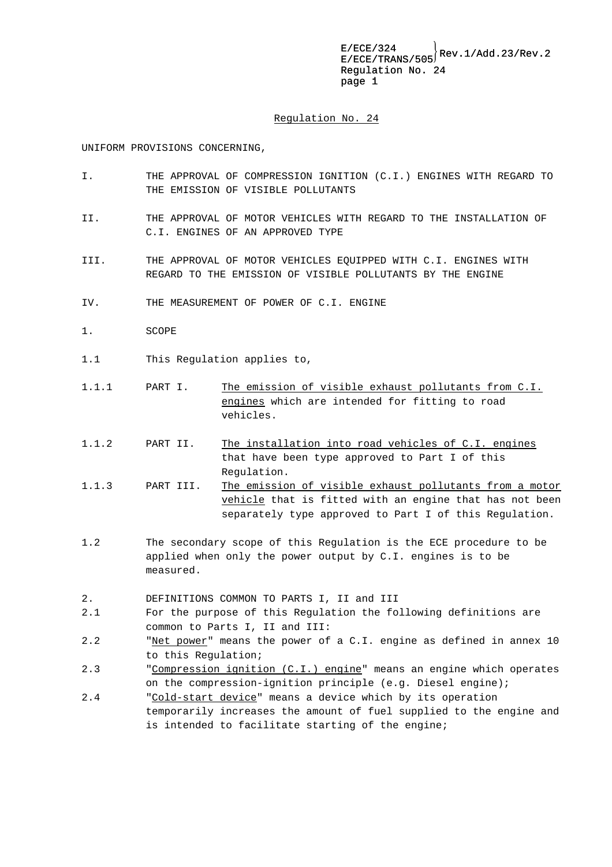#### Regulation No. 24

UNIFORM PROVISIONS CONCERNING,

- I. THE APPROVAL OF COMPRESSION IGNITION (C.I.) ENGINES WITH REGARD TO THE EMISSION OF VISIBLE POLLUTANTS
- II. THE APPROVAL OF MOTOR VEHICLES WITH REGARD TO THE INSTALLATION OF C.I. ENGINES OF AN APPROVED TYPE
- III. THE APPROVAL OF MOTOR VEHICLES EQUIPPED WITH C.I. ENGINES WITH REGARD TO THE EMISSION OF VISIBLE POLLUTANTS BY THE ENGINE
- IV. THE MEASUREMENT OF POWER OF C.I. ENGINE
- 1. SCOPE
- 1.1 This Regulation applies to,
- 1.1.1 PART I. The emission of visible exhaust pollutants from C.I. engines which are intended for fitting to road vehicles.
- 1.1.2 PART II. The installation into road vehicles of C.I. engines that have been type approved to Part I of this Regulation.
- 1.1.3 PART III. The emission of visible exhaust pollutants from a motor vehicle that is fitted with an engine that has not been separately type approved to Part I of this Regulation.
- 1.2 The secondary scope of this Regulation is the ECE procedure to be applied when only the power output by C.I. engines is to be measured.
- 2. DEFINITIONS COMMON TO PARTS I, II and III
- 2.1 For the purpose of this Regulation the following definitions are common to Parts I, II and III:
- 2.2 "Net power" means the power of a C.I. engine as defined in annex 10 to this Regulation;
- 2.3 "Compression ignition (C.I.) engine" means an engine which operates on the compression-ignition principle (e.g. Diesel engine);
- 2.4 "Cold-start device" means a device which by its operation temporarily increases the amount of fuel supplied to the engine and is intended to facilitate starting of the engine;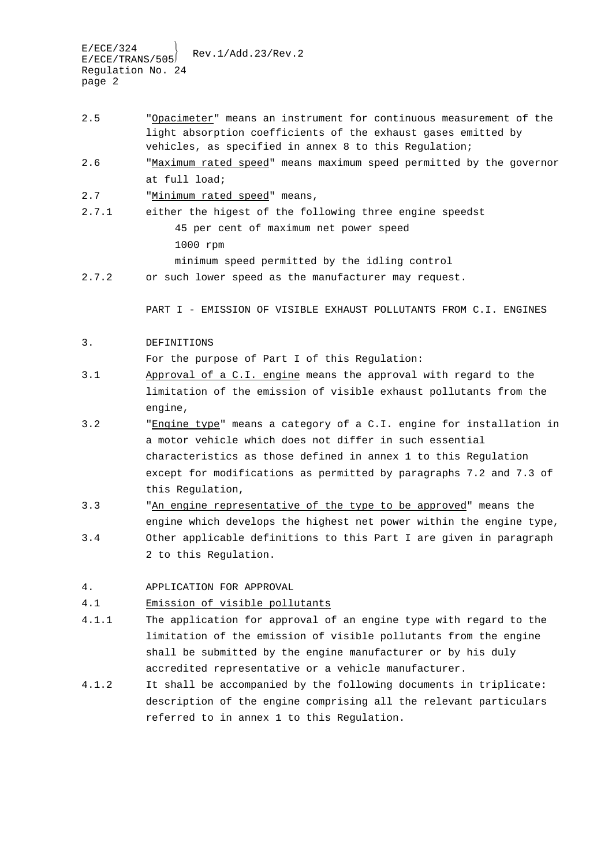- 2.5 "Opacimeter" means an instrument for continuous measurement of the light absorption coefficients of the exhaust gases emitted by vehicles, as specified in annex 8 to this Regulation;
- 2.6 "Maximum rated speed" means maximum speed permitted by the governor at full load;
- 2.7 "Minimum rated speed" means,
- 2.7.1 either the higest of the following three engine speedst 45 per cent of maximum net power speed 1000 rpm minimum speed permitted by the idling control
- 2.7.2 or such lower speed as the manufacturer may request.

PART I - EMISSION OF VISIBLE EXHAUST POLLUTANTS FROM C.I. ENGINES

#### 3. DEFINITIONS

For the purpose of Part I of this Regulation:

- 3.1 Approval of a C.I. engine means the approval with regard to the limitation of the emission of visible exhaust pollutants from the engine,
- 3.2 "Engine type" means a category of a C.I. engine for installation in a motor vehicle which does not differ in such essential characteristics as those defined in annex 1 to this Regulation except for modifications as permitted by paragraphs 7.2 and 7.3 of this Regulation,
- 3.3 "An engine representative of the type to be approved" means the engine which develops the highest net power within the engine type, 3.4 Other applicable definitions to this Part I are given in paragraph 2 to this Regulation.
- 4. APPLICATION FOR APPROVAL

### 4.1 Emission of visible pollutants

- 4.1.1 The application for approval of an engine type with regard to the limitation of the emission of visible pollutants from the engine shall be submitted by the engine manufacturer or by his duly accredited representative or a vehicle manufacturer.
- 4.1.2 It shall be accompanied by the following documents in triplicate: description of the engine comprising all the relevant particulars referred to in annex 1 to this Regulation.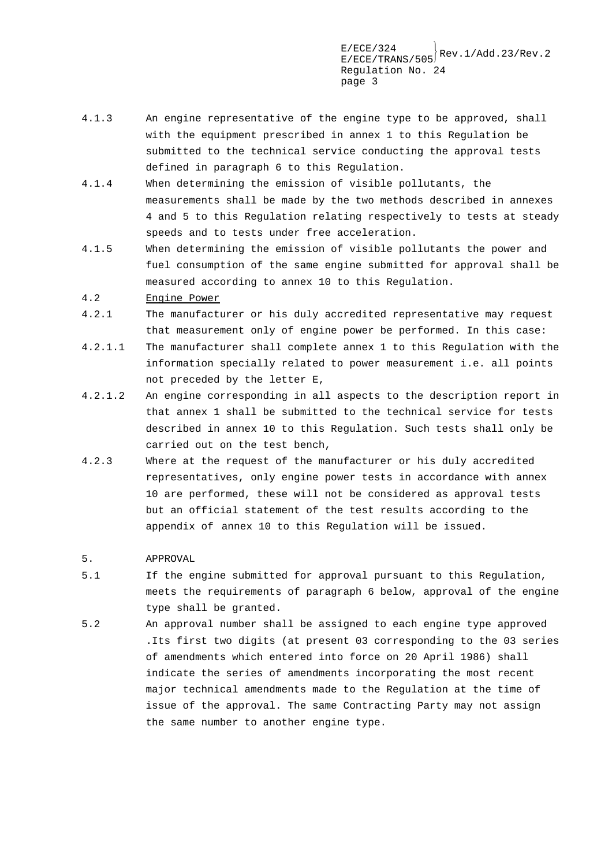- 4.1.3 An engine representative of the engine type to be approved, shall with the equipment prescribed in annex 1 to this Regulation be submitted to the technical service conducting the approval tests defined in paragraph 6 to this Regulation.
- 4.1.4 When determining the emission of visible pollutants, the measurements shall be made by the two methods described in annexes 4 and 5 to this Regulation relating respectively to tests at steady speeds and to tests under free acceleration.
- 4.1.5 When determining the emission of visible pollutants the power and fuel consumption of the same engine submitted for approval shall be measured according to annex 10 to this Regulation.
- 4.2 Engine Power
- 4.2.1 The manufacturer or his duly accredited representative may request that measurement only of engine power be performed. In this case:
- 4.2.1.1 The manufacturer shall complete annex 1 to this Regulation with the information specially related to power measurement i.e. all points not preceded by the letter E,
- 4.2.1.2 An engine corresponding in all aspects to the description report in that annex 1 shall be submitted to the technical service for tests described in annex 10 to this Regulation. Such tests shall only be carried out on the test bench,
- 4.2.3 Where at the request of the manufacturer or his duly accredited representatives, only engine power tests in accordance with annex 10 are performed, these will not be considered as approval tests but an official statement of the test results according to the appendix of annex 10 to this Regulation will be issued.
- 5. APPROVAL
- 5.1 If the engine submitted for approval pursuant to this Regulation, meets the requirements of paragraph 6 below, approval of the engine type shall be granted.
- 5.2 An approval number shall be assigned to each engine type approved .Its first two digits (at present 03 corresponding to the 03 series of amendments which entered into force on 20 April 1986) shall indicate the series of amendments incorporating the most recent major technical amendments made to the Regulation at the time of issue of the approval. The same Contracting Party may not assign the same number to another engine type.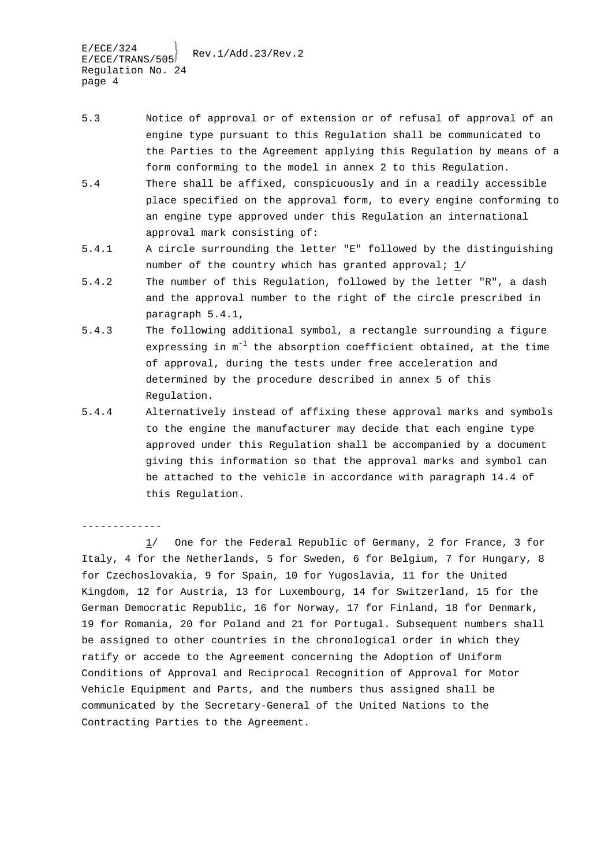$E/ECE/324$ <br> $E/ECE/TRANS/505$ Rev.1/Add.23/Rev.2 Regulation No. 24 page 4

-------------

- 5.3 Notice of approval or of extension or of refusal of approval of an engine type pursuant to this Regulation shall be communicated to the Parties to the Agreement applying this Regulation by means of a form conforming to the model in annex 2 to this Regulation.
- 5.4 There shall be affixed, conspicuously and in a readily accessible place specified on the approval form, to every engine conforming to an engine type approved under this Regulation an international approval mark consisting of:
- 5.4.1 A circle surrounding the letter "E" followed by the distinguishing number of the country which has granted approval; 1/
- 5.4.2 The number of this Regulation, followed by the letter "R", a dash and the approval number to the right of the circle prescribed in paragraph 5.4.1,
- 5.4.3 The following additional symbol, a rectangle surrounding a figure expressing in  $m^{-1}$  the absorption coefficient obtained, at the time of approval, during the tests under free acceleration and determined by the procedure described in annex 5 of this Regulation.
- 5.4.4 Alternatively instead of affixing these approval marks and symbols to the engine the manufacturer may decide that each engine type approved under this Regulation shall be accompanied by a document giving this information so that the approval marks and symbol can be attached to the vehicle in accordance with paragraph 14.4 of this Regulation.

1/ One for the Federal Republic of Germany, 2 for France, 3 for Italy, 4 for the Netherlands, 5 for Sweden, 6 for Belgium, 7 for Hungary, 8 for Czechoslovakia, 9 for Spain, 10 for Yugoslavia, 11 for the United Kingdom, 12 for Austria, 13 for Luxembourg, 14 for Switzerland, 15 for the German Democratic Republic, 16 for Norway, 17 for Finland, 18 for Denmark, 19 for Romania, 20 for Poland and 21 for Portugal. Subsequent numbers shall be assigned to other countries in the chronological order in which they ratify or accede to the Agreement concerning the Adoption of Uniform Conditions of Approval and Reciprocal Recognition of Approval for Motor Vehicle Equipment and Parts, and the numbers thus assigned shall be communicated by the Secretary-General of the United Nations to the Contracting Parties to the Agreement.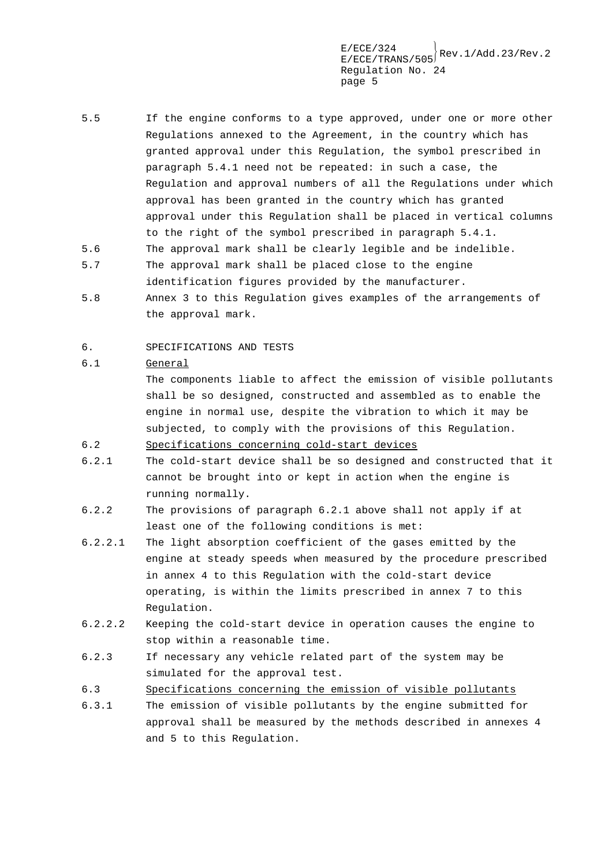- 5.5 If the engine conforms to a type approved, under one or more other Regulations annexed to the Agreement, in the country which has granted approval under this Regulation, the symbol prescribed in paragraph 5.4.1 need not be repeated: in such a case, the Regulation and approval numbers of all the Regulations under which approval has been granted in the country which has granted approval under this Regulation shall be placed in vertical columns to the right of the symbol prescribed in paragraph 5.4.1. 5.6 The approval mark shall be clearly legible and be indelible.
- 5.7 The approval mark shall be placed close to the engine identification figures provided by the manufacturer.
- 5.8 Annex 3 to this Regulation gives examples of the arrangements of the approval mark.
- 6. SPECIFICATIONS AND TESTS

### 6.1 General

The components liable to affect the emission of visible pollutants shall be so designed, constructed and assembled as to enable the engine in normal use, despite the vibration to which it may be subjected, to comply with the provisions of this Regulation.

- 6.2 Specifications concerning cold-start devices
- 6.2.1 The cold-start device shall be so designed and constructed that it cannot be brought into or kept in action when the engine is running normally.
- 6.2.2 The provisions of paragraph 6.2.1 above shall not apply if at least one of the following conditions is met:
- 6.2.2.1 The light absorption coefficient of the gases emitted by the engine at steady speeds when measured by the procedure prescribed in annex 4 to this Regulation with the cold-start device operating, is within the limits prescribed in annex 7 to this Regulation.
- 6.2.2.2 Keeping the cold-start device in operation causes the engine to stop within a reasonable time.
- 6.2.3 If necessary any vehicle related part of the system may be simulated for the approval test.
- 6.3 Specifications concerning the emission of visible pollutants
- 6.3.1 The emission of visible pollutants by the engine submitted for approval shall be measured by the methods described in annexes 4 and 5 to this Regulation.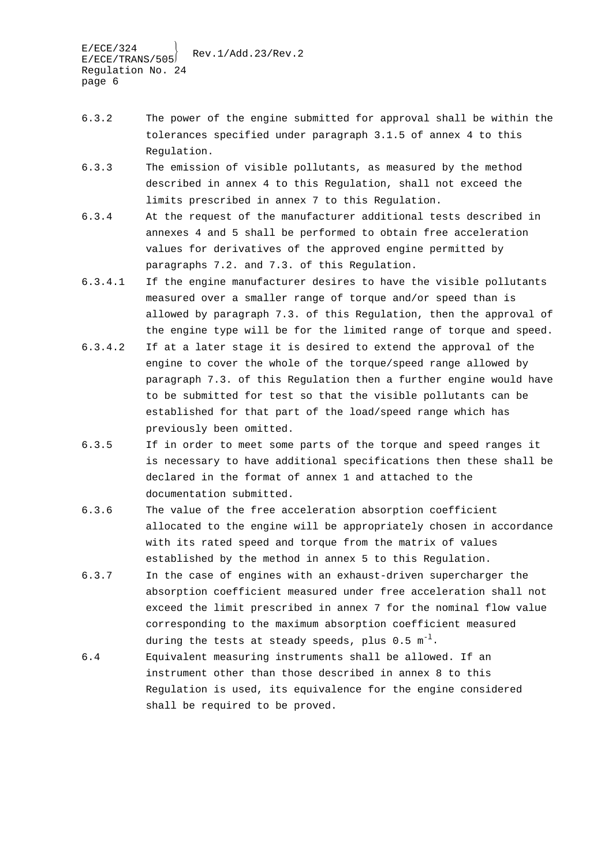- 6.3.2 The power of the engine submitted for approval shall be within the tolerances specified under paragraph 3.1.5 of annex 4 to this Regulation.
- 6.3.3 The emission of visible pollutants, as measured by the method described in annex 4 to this Regulation, shall not exceed the limits prescribed in annex 7 to this Regulation.
- 6.3.4 At the request of the manufacturer additional tests described in annexes 4 and 5 shall be performed to obtain free acceleration values for derivatives of the approved engine permitted by paragraphs 7.2. and 7.3. of this Regulation.
- 6.3.4.1 If the engine manufacturer desires to have the visible pollutants measured over a smaller range of torque and/or speed than is allowed by paragraph 7.3. of this Regulation, then the approval of the engine type will be for the limited range of torque and speed.
- 6.3.4.2 If at a later stage it is desired to extend the approval of the engine to cover the whole of the torque/speed range allowed by paragraph 7.3. of this Regulation then a further engine would have to be submitted for test so that the visible pollutants can be established for that part of the load/speed range which has previously been omitted.
- 6.3.5 If in order to meet some parts of the torque and speed ranges it is necessary to have additional specifications then these shall be declared in the format of annex 1 and attached to the documentation submitted.
- 6.3.6 The value of the free acceleration absorption coefficient allocated to the engine will be appropriately chosen in accordance with its rated speed and torque from the matrix of values established by the method in annex 5 to this Regulation.
- 6.3.7 In the case of engines with an exhaust-driven supercharger the absorption coefficient measured under free acceleration shall not exceed the limit prescribed in annex 7 for the nominal flow value corresponding to the maximum absorption coefficient measured during the tests at steady speeds, plus  $0.5 \text{ m}^{-1}$ .
- 6.4 Equivalent measuring instruments shall be allowed. If an instrument other than those described in annex 8 to this Regulation is used, its equivalence for the engine considered shall be required to be proved.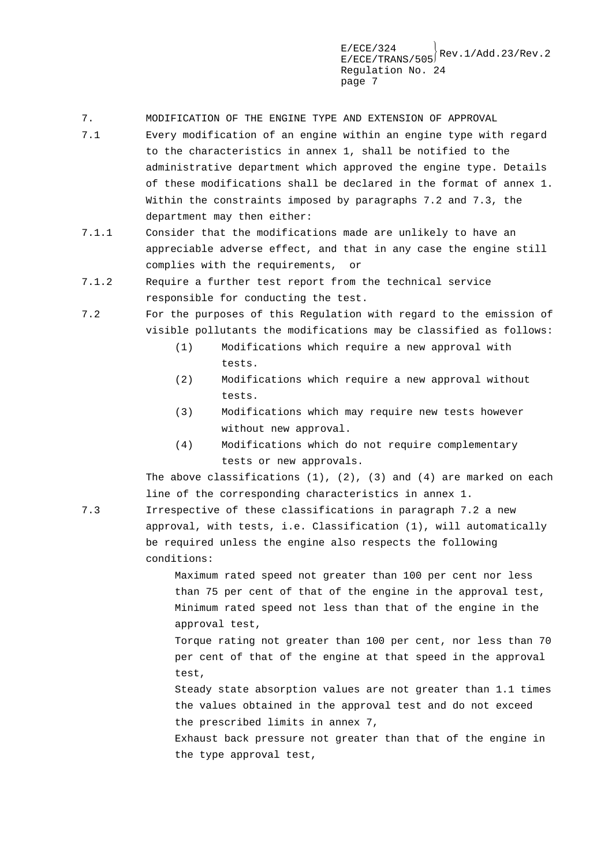- 7. MODIFICATION OF THE ENGINE TYPE AND EXTENSION OF APPROVAL
- 7.1 Every modification of an engine within an engine type with regard to the characteristics in annex 1, shall be notified to the administrative department which approved the engine type. Details of these modifications shall be declared in the format of annex 1. Within the constraints imposed by paragraphs 7.2 and 7.3, the department may then either:
- 7.1.1 Consider that the modifications made are unlikely to have an appreciable adverse effect, and that in any case the engine still complies with the requirements, or
- 7.1.2 Require a further test report from the technical service responsible for conducting the test.
- 7.2 For the purposes of this Regulation with regard to the emission of visible pollutants the modifications may be classified as follows:
	- (1) Modifications which require a new approval with tests.
	- (2) Modifications which require a new approval without tests.
	- (3) Modifications which may require new tests however without new approval.
	- (4) Modifications which do not require complementary tests or new approvals.

The above classifications (1), (2), (3) and (4) are marked on each line of the corresponding characteristics in annex 1.

7.3 Irrespective of these classifications in paragraph 7.2 a new approval, with tests, i.e. Classification (1), will automatically be required unless the engine also respects the following conditions:

> Maximum rated speed not greater than 100 per cent nor less than 75 per cent of that of the engine in the approval test, Minimum rated speed not less than that of the engine in the approval test,

Torque rating not greater than 100 per cent, nor less than 70 per cent of that of the engine at that speed in the approval test,

Steady state absorption values are not greater than 1.1 times the values obtained in the approval test and do not exceed the prescribed limits in annex 7,

Exhaust back pressure not greater than that of the engine in the type approval test,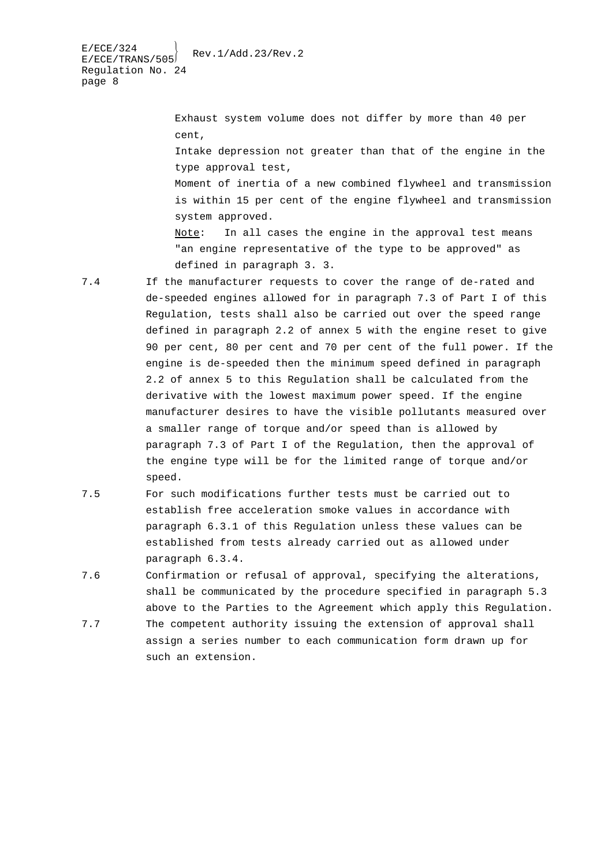Exhaust system volume does not differ by more than 40 per cent, Intake depression not greater than that of the engine in the type approval test, Moment of inertia of a new combined flywheel and transmission is within 15 per cent of the engine flywheel and transmission system approved. Note: In all cases the engine in the approval test means "an engine representative of the type to be approved" as defined in paragraph 3. 3.

7.4 If the manufacturer requests to cover the range of de-rated and de-speeded engines allowed for in paragraph 7.3 of Part I of this Regulation, tests shall also be carried out over the speed range defined in paragraph 2.2 of annex 5 with the engine reset to give 90 per cent, 80 per cent and 70 per cent of the full power. If the engine is de-speeded then the minimum speed defined in paragraph 2.2 of annex 5 to this Regulation shall be calculated from the derivative with the lowest maximum power speed. If the engine manufacturer desires to have the visible pollutants measured over a smaller range of torque and/or speed than is allowed by paragraph 7.3 of Part I of the Regulation, then the approval of the engine type will be for the limited range of torque and/or speed.

- 7.5 For such modifications further tests must be carried out to establish free acceleration smoke values in accordance with paragraph 6.3.1 of this Regulation unless these values can be established from tests already carried out as allowed under paragraph 6.3.4.
- 7.6 Confirmation or refusal of approval, specifying the alterations, shall be communicated by the procedure specified in paragraph 5.3 above to the Parties to the Agreement which apply this Regulation.
- 7.7 The competent authority issuing the extension of approval shall assign a series number to each communication form drawn up for such an extension.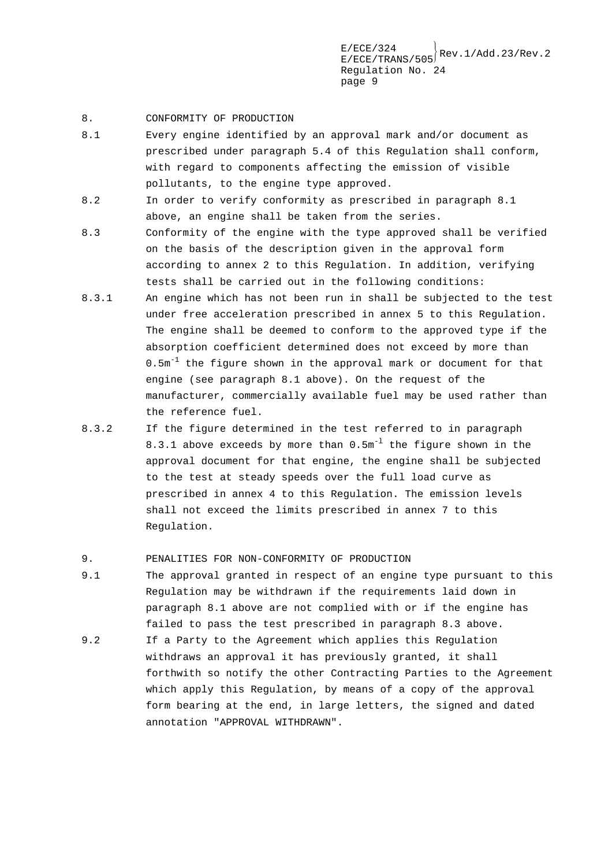### 8. CONFORMITY OF PRODUCTION

- 8.1 Every engine identified by an approval mark and/or document as prescribed under paragraph 5.4 of this Regulation shall conform, with regard to components affecting the emission of visible pollutants, to the engine type approved.
- 8.2 In order to verify conformity as prescribed in paragraph 8.1 above, an engine shall be taken from the series.
- 8.3 Conformity of the engine with the type approved shall be verified on the basis of the description given in the approval form according to annex 2 to this Regulation. In addition, verifying tests shall be carried out in the following conditions:
- 8.3.1 An engine which has not been run in shall be subjected to the test under free acceleration prescribed in annex 5 to this Regulation. The engine shall be deemed to conform to the approved type if the absorption coefficient determined does not exceed by more than  $0.5$ m<sup>-1</sup> the figure shown in the approval mark or document for that engine (see paragraph 8.1 above). On the request of the manufacturer, commercially available fuel may be used rather than the reference fuel.
- 8.3.2 If the figure determined in the test referred to in paragraph 8.3.1 above exceeds by more than  $0.5m^{-1}$  the figure shown in the approval document for that engine, the engine shall be subjected to the test at steady speeds over the full load curve as prescribed in annex 4 to this Regulation. The emission levels shall not exceed the limits prescribed in annex 7 to this Regulation.

### 9. PENALITIES FOR NON-CONFORMITY OF PRODUCTION

- 9.1 The approval granted in respect of an engine type pursuant to this Regulation may be withdrawn if the requirements laid down in paragraph 8.1 above are not complied with or if the engine has failed to pass the test prescribed in paragraph 8.3 above.
- 9.2 If a Party to the Agreement which applies this Regulation withdraws an approval it has previously granted, it shall forthwith so notify the other Contracting Parties to the Agreement which apply this Regulation, by means of a copy of the approval form bearing at the end, in large letters, the signed and dated annotation "APPROVAL WITHDRAWN".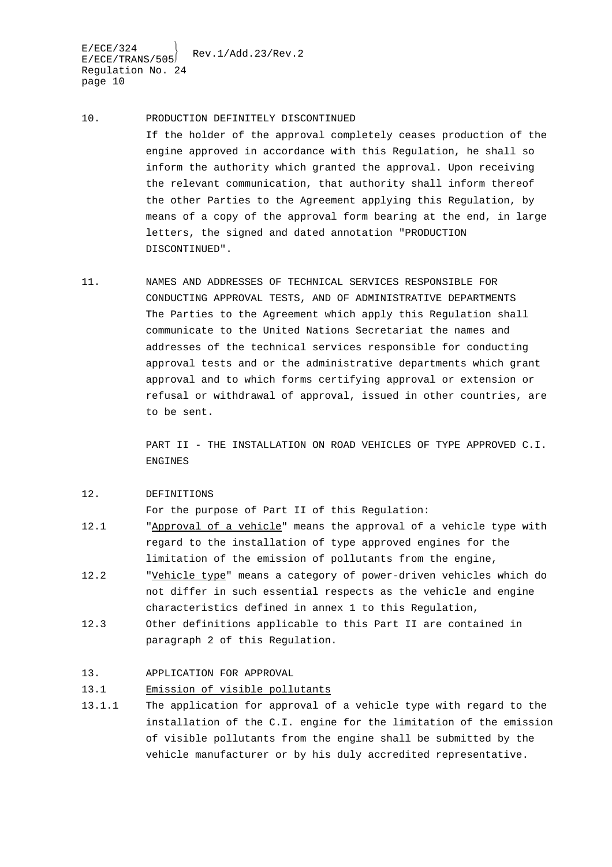$E/ECE/324$ <br> $E/ECE/TRANS/505$ Rev.1/Add.23/Rev.2 Regulation No. 24 page 10

- 10. PRODUCTION DEFINITELY DISCONTINUED If the holder of the approval completely ceases production of the engine approved in accordance with this Regulation, he shall so inform the authority which granted the approval. Upon receiving the relevant communication, that authority shall inform thereof the other Parties to the Agreement applying this Regulation, by means of a copy of the approval form bearing at the end, in large letters, the signed and dated annotation "PRODUCTION DISCONTINUED".
- 11. NAMES AND ADDRESSES OF TECHNICAL SERVICES RESPONSIBLE FOR CONDUCTING APPROVAL TESTS, AND OF ADMINISTRATIVE DEPARTMENTS The Parties to the Agreement which apply this Regulation shall communicate to the United Nations Secretariat the names and addresses of the technical services responsible for conducting approval tests and or the administrative departments which grant approval and to which forms certifying approval or extension or refusal or withdrawal of approval, issued in other countries, are to be sent.

PART II - THE INSTALLATION ON ROAD VEHICLES OF TYPE APPROVED C.I. ENGINES

#### 12. DEFINITIONS

For the purpose of Part II of this Regulation:

- 12.1 "Approval of a vehicle" means the approval of a vehicle type with regard to the installation of type approved engines for the limitation of the emission of pollutants from the engine,
- 12.2 "Vehicle type" means a category of power-driven vehicles which do not differ in such essential respects as the vehicle and engine characteristics defined in annex 1 to this Regulation,
- 12.3 Other definitions applicable to this Part II are contained in paragraph 2 of this Regulation.

### 13. APPLICATION FOR APPROVAL

### 13.1 Emission of visible pollutants

13.1.1 The application for approval of a vehicle type with regard to the installation of the C.I. engine for the limitation of the emission of visible pollutants from the engine shall be submitted by the vehicle manufacturer or by his duly accredited representative.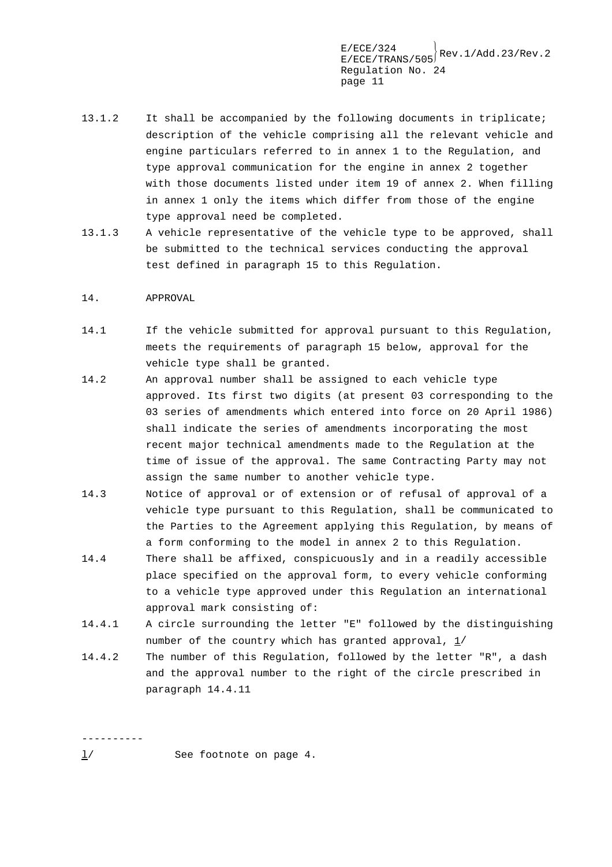- 13.1.2 It shall be accompanied by the following documents in triplicate; description of the vehicle comprising all the relevant vehicle and engine particulars referred to in annex 1 to the Regulation, and type approval communication for the engine in annex 2 together with those documents listed under item 19 of annex 2. When filling in annex 1 only the items which differ from those of the engine type approval need be completed.
- 13.1.3 A vehicle representative of the vehicle type to be approved, shall be submitted to the technical services conducting the approval test defined in paragraph 15 to this Regulation.

### 14. APPROVAL

- 14.1 If the vehicle submitted for approval pursuant to this Regulation, meets the requirements of paragraph 15 below, approval for the vehicle type shall be granted.
- 14.2 An approval number shall be assigned to each vehicle type approved. Its first two digits (at present 03 corresponding to the 03 series of amendments which entered into force on 20 April 1986) shall indicate the series of amendments incorporating the most recent major technical amendments made to the Regulation at the time of issue of the approval. The same Contracting Party may not assign the same number to another vehicle type.
- 14.3 Notice of approval or of extension or of refusal of approval of a vehicle type pursuant to this Regulation, shall be communicated to the Parties to the Agreement applying this Regulation, by means of a form conforming to the model in annex 2 to this Regulation.
- 14.4 There shall be affixed, conspicuously and in a readily accessible place specified on the approval form, to every vehicle conforming to a vehicle type approved under this Regulation an international approval mark consisting of:
- 14.4.1 A circle surrounding the letter "E" followed by the distinguishing number of the country which has granted approval, 1/
- 14.4.2 The number of this Regulation, followed by the letter "R", a dash and the approval number to the right of the circle prescribed in paragraph 14.4.11

----------

l/ See footnote on page 4.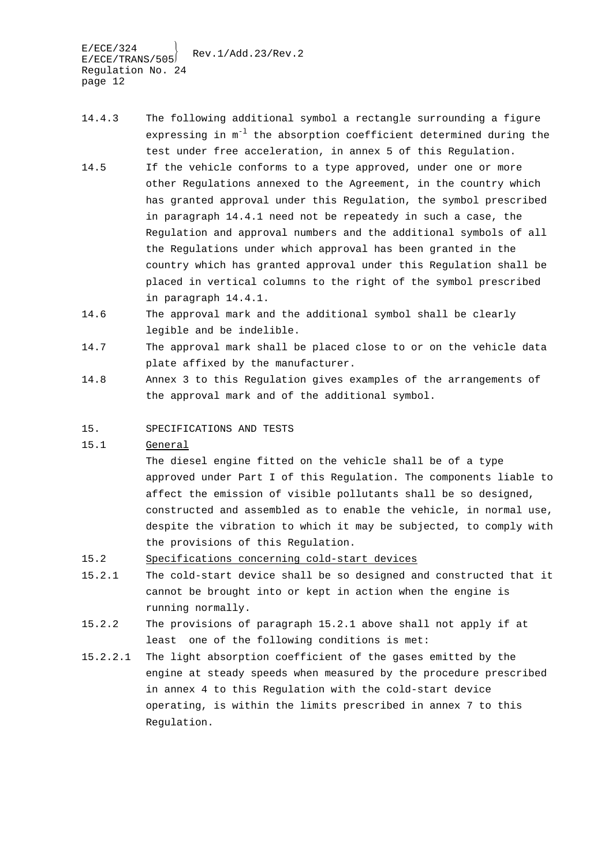$E/ECE/324$ <br> $E/ECE/TRANS/505$ Rev.1/Add.23/Rev.2 Regulation No. 24 page 12

- 14.4.3 The following additional symbol a rectangle surrounding a figure expressing in  $m^{-1}$  the absorption coefficient determined during the test under free acceleration, in annex 5 of this Regulation.
- 14.5 If the vehicle conforms to a type approved, under one or more other Regulations annexed to the Agreement, in the country which has granted approval under this Regulation, the symbol prescribed in paragraph 14.4.1 need not be repeatedy in such a case, the Regulation and approval numbers and the additional symbols of all the Regulations under which approval has been granted in the country which has granted approval under this Regulation shall be placed in vertical columns to the right of the symbol prescribed in paragraph 14.4.1.
- 14.6 The approval mark and the additional symbol shall be clearly legible and be indelible.
- 14.7 The approval mark shall be placed close to or on the vehicle data plate affixed by the manufacturer.
- 14.8 Annex 3 to this Regulation gives examples of the arrangements of the approval mark and of the additional symbol.
- 15. SPECIFICATIONS AND TESTS
- 15.1 General

The diesel engine fitted on the vehicle shall be of a type approved under Part I of this Regulation. The components liable to affect the emission of visible pollutants shall be so designed, constructed and assembled as to enable the vehicle, in normal use, despite the vibration to which it may be subjected, to comply with the provisions of this Regulation.

- 15.2 Specifications concerning cold-start devices
- 15.2.1 The cold-start device shall be so designed and constructed that it cannot be brought into or kept in action when the engine is running normally.
- 15.2.2 The provisions of paragraph 15.2.1 above shall not apply if at least one of the following conditions is met:
- 15.2.2.1 The light absorption coefficient of the gases emitted by the engine at steady speeds when measured by the procedure prescribed in annex 4 to this Regulation with the cold-start device operating, is within the limits prescribed in annex 7 to this Regulation.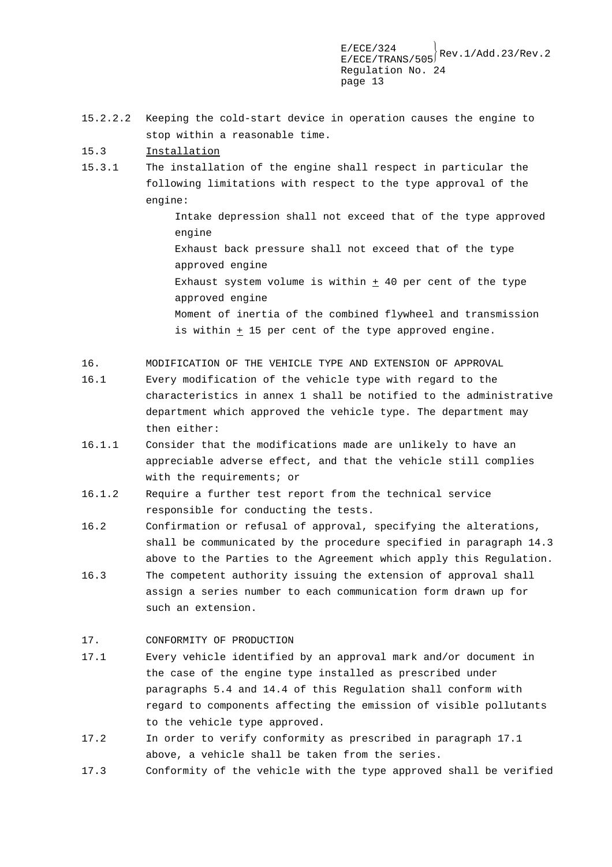- 15.2.2.2 Keeping the cold-start device in operation causes the engine to stop within a reasonable time.
- 15.3 Installation
- 15.3.1 The installation of the engine shall respect in particular the following limitations with respect to the type approval of the engine:

Intake depression shall not exceed that of the type approved engine Exhaust back pressure shall not exceed that of the type approved engine Exhaust system volume is within  $+$  40 per cent of the type approved engine Moment of inertia of the combined flywheel and transmission is within  $\pm$  15 per cent of the type approved engine.

- 16. MODIFICATION OF THE VEHICLE TYPE AND EXTENSION OF APPROVAL
- 16.1 Every modification of the vehicle type with regard to the characteristics in annex 1 shall be notified to the administrative department which approved the vehicle type. The department may then either:
- 16.1.1 Consider that the modifications made are unlikely to have an appreciable adverse effect, and that the vehicle still complies with the requirements; or
- 16.1.2 Require a further test report from the technical service responsible for conducting the tests.
- 16.2 Confirmation or refusal of approval, specifying the alterations, shall be communicated by the procedure specified in paragraph 14.3 above to the Parties to the Agreement which apply this Regulation.
- 16.3 The competent authority issuing the extension of approval shall assign a series number to each communication form drawn up for such an extension.

### 17. CONFORMITY OF PRODUCTION

- 17.1 Every vehicle identified by an approval mark and/or document in the case of the engine type installed as prescribed under paragraphs 5.4 and 14.4 of this Regulation shall conform with regard to components affecting the emission of visible pollutants to the vehicle type approved.
- 17.2 In order to verify conformity as prescribed in paragraph 17.1 above, a vehicle shall be taken from the series.
- 17.3 Conformity of the vehicle with the type approved shall be verified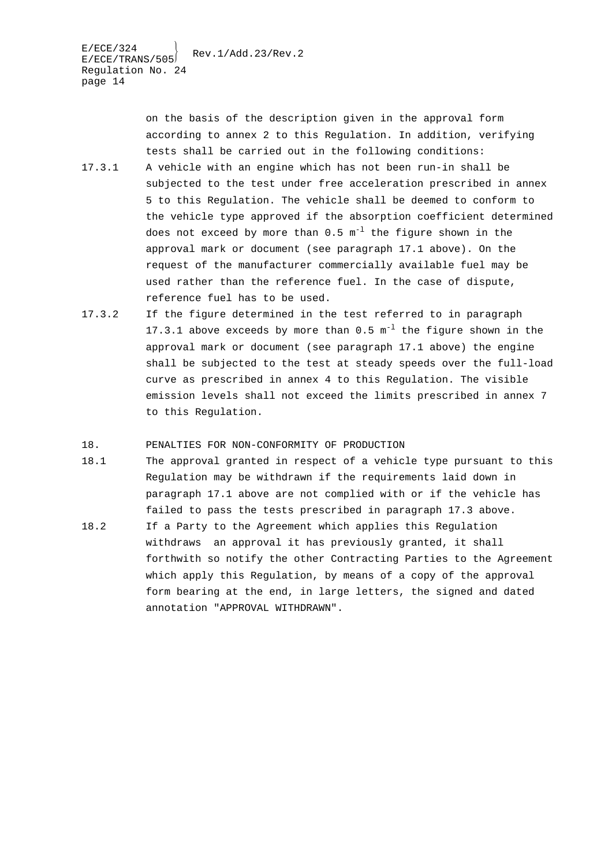on the basis of the description given in the approval form according to annex 2 to this Regulation. In addition, verifying tests shall be carried out in the following conditions:

- 17.3.1 A vehicle with an engine which has not been run-in shall be subjected to the test under free acceleration prescribed in annex 5 to this Regulation. The vehicle shall be deemed to conform to the vehicle type approved if the absorption coefficient determined does not exceed by more than  $0.5 \text{ m}^{-1}$  the figure shown in the approval mark or document (see paragraph 17.1 above). On the request of the manufacturer commercially available fuel may be used rather than the reference fuel. In the case of dispute, reference fuel has to be used.
- 17.3.2 If the figure determined in the test referred to in paragraph 17.3.1 above exceeds by more than  $0.5 \text{ m}^{-1}$  the figure shown in the approval mark or document (see paragraph 17.1 above) the engine shall be subjected to the test at steady speeds over the full-load curve as prescribed in annex 4 to this Regulation. The visible emission levels shall not exceed the limits prescribed in annex 7 to this Regulation.

### 18. PENALTIES FOR NON-CONFORMITY OF PRODUCTION

- 18.1 The approval granted in respect of a vehicle type pursuant to this Regulation may be withdrawn if the requirements laid down in paragraph 17.1 above are not complied with or if the vehicle has failed to pass the tests prescribed in paragraph 17.3 above.
- 18.2 If a Party to the Agreement which applies this Regulation withdraws an approval it has previously granted, it shall forthwith so notify the other Contracting Parties to the Agreement which apply this Regulation, by means of a copy of the approval form bearing at the end, in large letters, the signed and dated annotation "APPROVAL WITHDRAWN".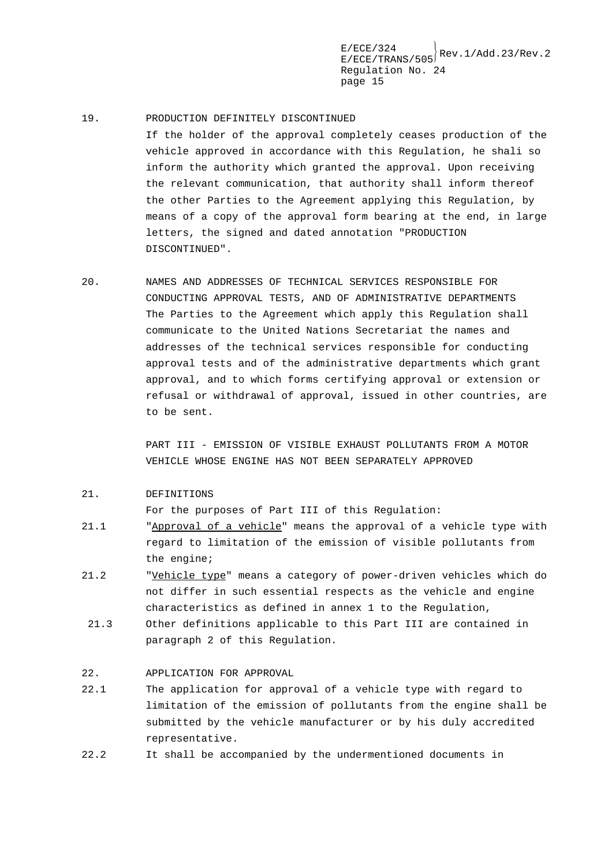#### 19. PRODUCTION DEFINITELY DISCONTINUED

If the holder of the approval completely ceases production of the vehicle approved in accordance with this Regulation, he shali so inform the authority which granted the approval. Upon receiving the relevant communication, that authority shall inform thereof the other Parties to the Agreement applying this Regulation, by means of a copy of the approval form bearing at the end, in large letters, the signed and dated annotation "PRODUCTION DISCONTINUED".

20. NAMES AND ADDRESSES OF TECHNICAL SERVICES RESPONSIBLE FOR CONDUCTING APPROVAL TESTS, AND OF ADMINISTRATIVE DEPARTMENTS The Parties to the Agreement which apply this Regulation shall communicate to the United Nations Secretariat the names and addresses of the technical services responsible for conducting approval tests and of the administrative departments which grant approval, and to which forms certifying approval or extension or refusal or withdrawal of approval, issued in other countries, are to be sent.

> PART III - EMISSION OF VISIBLE EXHAUST POLLUTANTS FROM A MOTOR VEHICLE WHOSE ENGINE HAS NOT BEEN SEPARATELY APPROVED

#### 21. DEFINITIONS

For the purposes of Part III of this Regulation:

- 21.1 "Approval of a vehicle" means the approval of a vehicle type with regard to limitation of the emission of visible pollutants from the engine;
- 21.2 "Vehicle type" means a category of power-driven vehicles which do not differ in such essential respects as the vehicle and engine characteristics as defined in annex 1 to the Regulation,
- 21.3 Other definitions applicable to this Part III are contained in paragraph 2 of this Regulation.

#### 22. APPLICATION FOR APPROVAL

- 22.1 The application for approval of a vehicle type with regard to limitation of the emission of pollutants from the engine shall be submitted by the vehicle manufacturer or by his duly accredited representative.
- 22.2 It shall be accompanied by the undermentioned documents in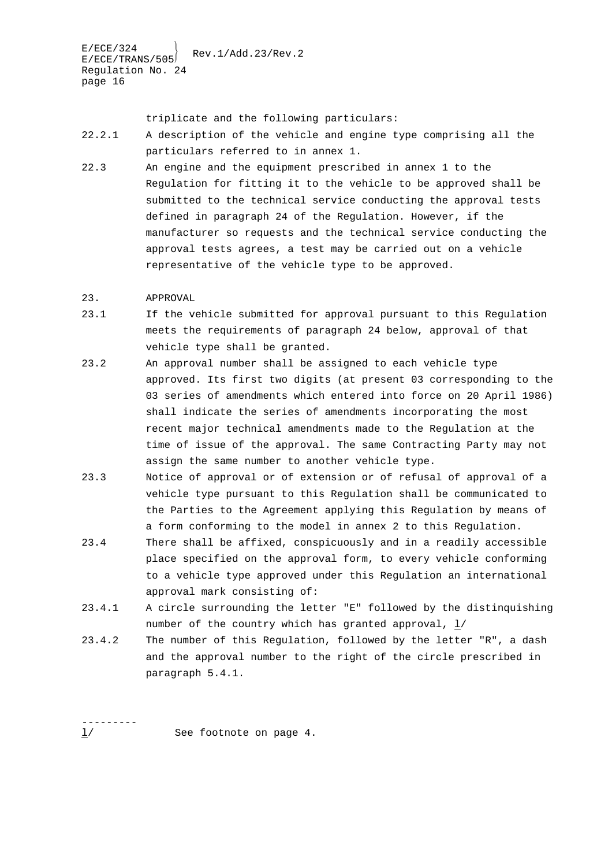triplicate and the following particulars:

- 22.2.1 A description of the vehicle and engine type comprising all the particulars referred to in annex 1.
- 22.3 An engine and the equipment prescribed in annex 1 to the Regulation for fitting it to the vehicle to be approved shall be submitted to the technical service conducting the approval tests defined in paragraph 24 of the Regulation. However, if the manufacturer so requests and the technical service conducting the approval tests agrees, a test may be carried out on a vehicle representative of the vehicle type to be approved.

### 23. APPROVAL

- 23.1 If the vehicle submitted for approval pursuant to this Regulation meets the requirements of paragraph 24 below, approval of that vehicle type shall be granted.
- 23.2 An approval number shall be assigned to each vehicle type approved. Its first two digits (at present 03 corresponding to the 03 series of amendments which entered into force on 20 April 1986) shall indicate the series of amendments incorporating the most recent major technical amendments made to the Regulation at the time of issue of the approval. The same Contracting Party may not assign the same number to another vehicle type.
- 23.3 Notice of approval or of extension or of refusal of approval of a vehicle type pursuant to this Regulation shall be communicated to the Parties to the Agreement applying this Regulation by means of a form conforming to the model in annex 2 to this Regulation.
- 23.4 There shall be affixed, conspicuously and in a readily accessible place specified on the approval form, to every vehicle conforming to a vehicle type approved under this Regulation an international approval mark consisting of:
- 23.4.1 A circle surrounding the letter "E" followed by the distinquishing number of the country which has granted approval,  $\frac{1}{4}$
- 23.4.2 The number of this Regulation, followed by the letter "R", a dash and the approval number to the right of the circle prescribed in paragraph 5.4.1.

--------- 1/ See footnote on page 4.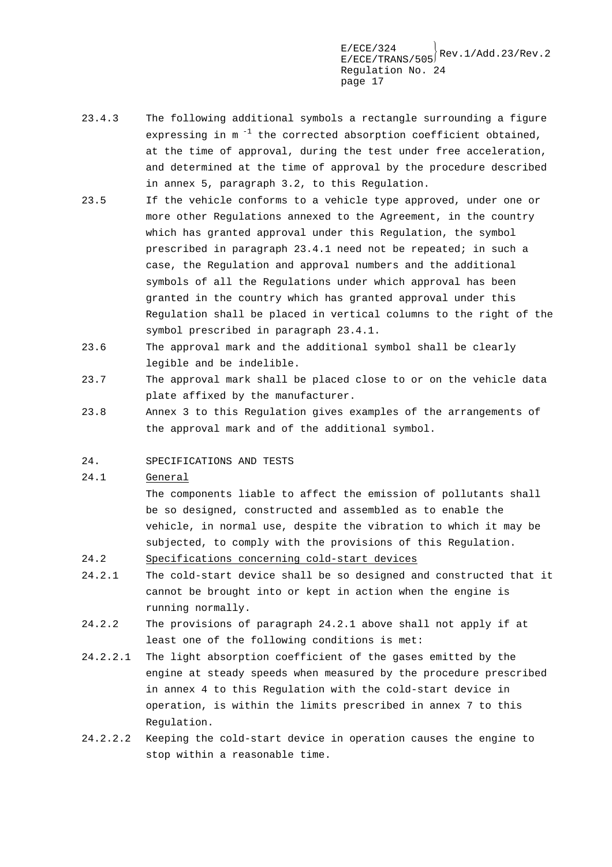$E/ECE/TRANS/505}$ Rev.1/Add.23/Rev.2 Regulation No. 24 page 17

- 23.4.3 The following additional symbols a rectangle surrounding a figure expressing in  $m^{-1}$  the corrected absorption coefficient obtained, at the time of approval, during the test under free acceleration, and determined at the time of approval by the procedure described in annex 5, paragraph 3.2, to this Regulation.
- 23.5 If the vehicle conforms to a vehicle type approved, under one or more other Regulations annexed to the Agreement, in the country which has granted approval under this Regulation, the symbol prescribed in paragraph 23.4.1 need not be repeated; in such a case, the Regulation and approval numbers and the additional symbols of all the Regulations under which approval has been granted in the country which has granted approval under this Regulation shall be placed in vertical columns to the right of the symbol prescribed in paragraph 23.4.1.
- 23.6 The approval mark and the additional symbol shall be clearly legible and be indelible.
- 23.7 The approval mark shall be placed close to or on the vehicle data plate affixed by the manufacturer.
- 23.8 Annex 3 to this Regulation gives examples of the arrangements of the approval mark and of the additional symbol.
- 24. SPECIFICATIONS AND TESTS

### 24.1 General

The components liable to affect the emission of pollutants shall be so designed, constructed and assembled as to enable the vehicle, in normal use, despite the vibration to which it may be subjected, to comply with the provisions of this Regulation.

- 24.2 Specifications concerning cold-start devices
- 24.2.1 The cold-start device shall be so designed and constructed that it cannot be brought into or kept in action when the engine is running normally.
- 24.2.2 The provisions of paragraph 24.2.1 above shall not apply if at least one of the following conditions is met:
- 24.2.2.1 The light absorption coefficient of the gases emitted by the engine at steady speeds when measured by the procedure prescribed in annex 4 to this Regulation with the cold-start device in operation, is within the limits prescribed in annex 7 to this Regulation.
- 24.2.2.2 Keeping the cold-start device in operation causes the engine to stop within a reasonable time.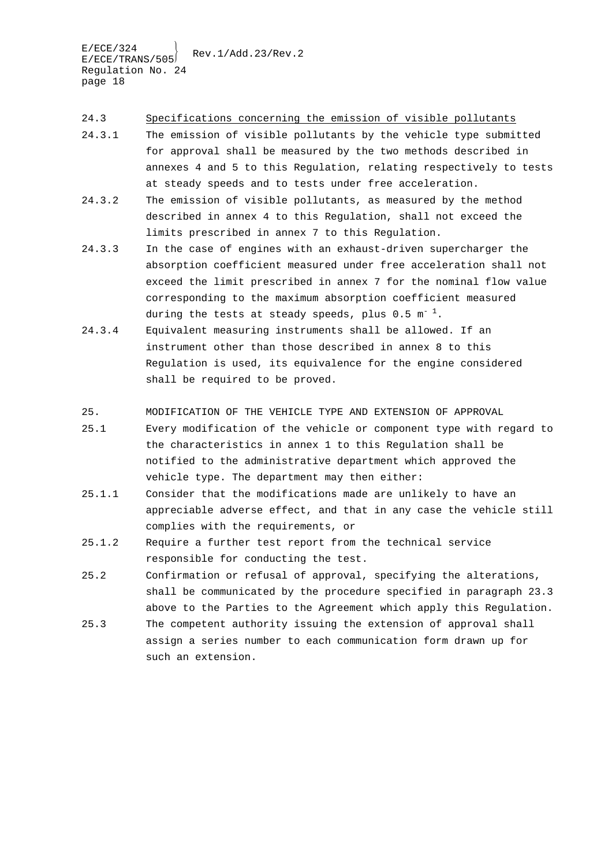24.3 Specifications concerning the emission of visible pollutants

- 24.3.1 The emission of visible pollutants by the vehicle type submitted for approval shall be measured by the two methods described in annexes 4 and 5 to this Regulation, relating respectively to tests at steady speeds and to tests under free acceleration.
- 24.3.2 The emission of visible pollutants, as measured by the method described in annex 4 to this Regulation, shall not exceed the limits prescribed in annex 7 to this Regulation.
- 24.3.3 In the case of engines with an exhaust-driven supercharger the absorption coefficient measured under free acceleration shall not exceed the limit prescribed in annex 7 for the nominal flow value corresponding to the maximum absorption coefficient measured during the tests at steady speeds, plus  $0.5 \text{ m}^{-1}$ .
- 24.3.4 Equivalent measuring instruments shall be allowed. If an instrument other than those described in annex 8 to this Regulation is used, its equivalence for the engine considered shall be required to be proved.
- 25. MODIFICATION OF THE VEHICLE TYPE AND EXTENSION OF APPROVAL
- 25.1 Every modification of the vehicle or component type with regard to the characteristics in annex 1 to this Regulation shall be notified to the administrative department which approved the vehicle type. The department may then either:
- 25.1.1 Consider that the modifications made are unlikely to have an appreciable adverse effect, and that in any case the vehicle still complies with the requirements, or
- 25.1.2 Require a further test report from the technical service responsible for conducting the test.
- 25.2 Confirmation or refusal of approval, specifying the alterations, shall be communicated by the procedure specified in paragraph 23.3 above to the Parties to the Agreement which apply this Regulation.
- 25.3 The competent authority issuing the extension of approval shall assign a series number to each communication form drawn up for such an extension.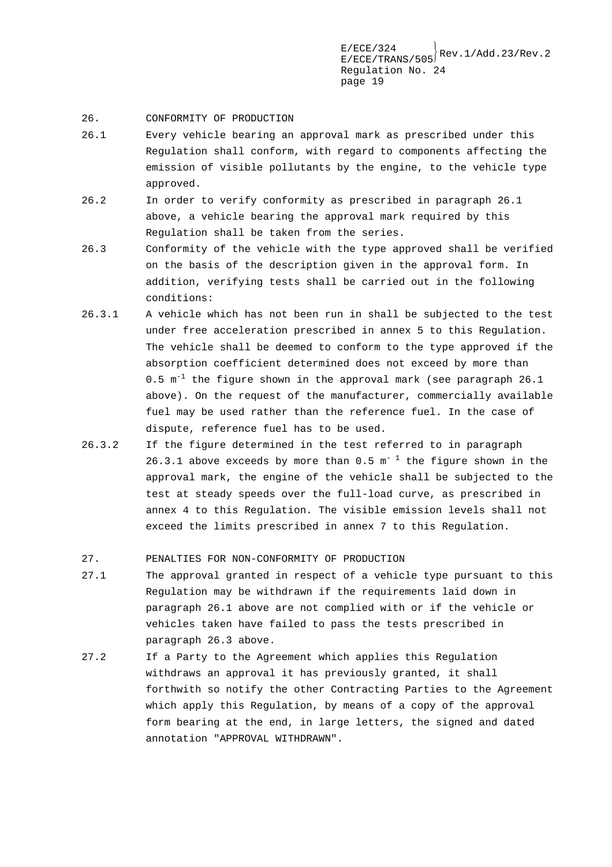- 26. CONFORMITY OF PRODUCTION
- 26.1 Every vehicle bearing an approval mark as prescribed under this Regulation shall conform, with regard to components affecting the emission of visible pollutants by the engine, to the vehicle type approved.
- 26.2 In order to verify conformity as prescribed in paragraph 26.1 above, a vehicle bearing the approval mark required by this Regulation shall be taken from the series.
- 26.3 Conformity of the vehicle with the type approved shall be verified on the basis of the description given in the approval form. In addition, verifying tests shall be carried out in the following conditions:
- 26.3.1 A vehicle which has not been run in shall be subjected to the test under free acceleration prescribed in annex 5 to this Regulation. The vehicle shall be deemed to conform to the type approved if the absorption coefficient determined does not exceed by more than 0.5  $m^{-1}$  the figure shown in the approval mark (see paragraph 26.1 above). On the request of the manufacturer, commercially available fuel may be used rather than the reference fuel. In the case of dispute, reference fuel has to be used.
- 26.3.2 If the figure determined in the test referred to in paragraph 26.3.1 above exceeds by more than  $0.5 \text{ m}^{-1}$  the figure shown in the approval mark, the engine of the vehicle shall be subjected to the test at steady speeds over the full-load curve, as prescribed in annex 4 to this Regulation. The visible emission levels shall not exceed the limits prescribed in annex 7 to this Regulation.
- 27. PENALTIES FOR NON-CONFORMITY OF PRODUCTION
- 27.1 The approval granted in respect of a vehicle type pursuant to this Regulation may be withdrawn if the requirements laid down in paragraph 26.1 above are not complied with or if the vehicle or vehicles taken have failed to pass the tests prescribed in paragraph 26.3 above.
- 27.2 If a Party to the Agreement which applies this Regulation withdraws an approval it has previously granted, it shall forthwith so notify the other Contracting Parties to the Agreement which apply this Regulation, by means of a copy of the approval form bearing at the end, in large letters, the signed and dated annotation "APPROVAL WITHDRAWN".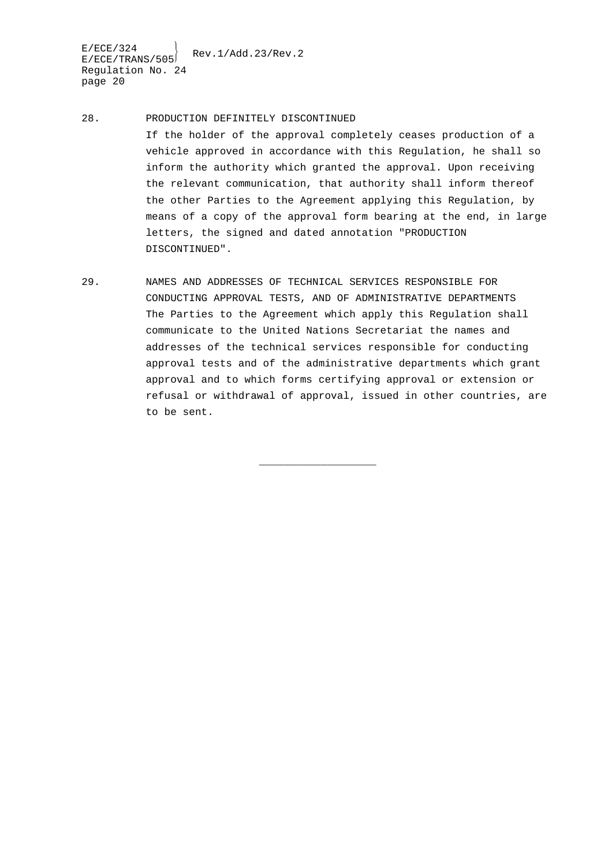$E/ECE/324$ <br> $E/ECE/TRANS/505$ <br>Rev.1/Add.23/Rev.2 Regulation No. 24 page 20

- 28. PRODUCTION DEFINITELY DISCONTINUED If the holder of the approval completely ceases production of a vehicle approved in accordance with this Regulation, he shall so inform the authority which granted the approval. Upon receiving the relevant communication, that authority shall inform thereof the other Parties to the Agreement applying this Regulation, by means of a copy of the approval form bearing at the end, in large letters, the signed and dated annotation "PRODUCTION DISCONTINUED".
- 29. NAMES AND ADDRESSES OF TECHNICAL SERVICES RESPONSIBLE FOR CONDUCTING APPROVAL TESTS, AND OF ADMINISTRATIVE DEPARTMENTS The Parties to the Agreement which apply this Regulation shall communicate to the United Nations Secretariat the names and addresses of the technical services responsible for conducting approval tests and of the administrative departments which grant approval and to which forms certifying approval or extension or refusal or withdrawal of approval, issued in other countries, are to be sent.

\_\_\_\_\_\_\_\_\_\_\_\_\_\_\_\_\_\_\_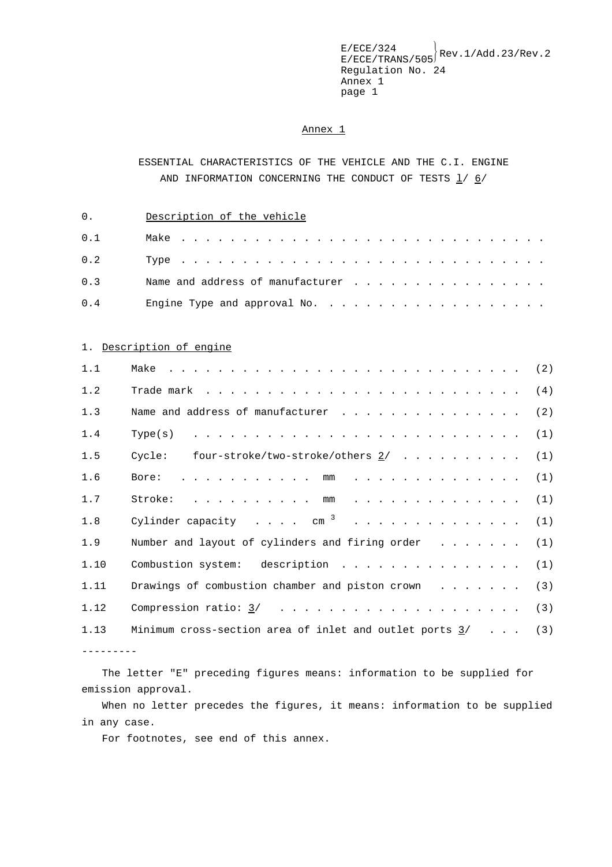### Annex 1

# ESSENTIAL CHARACTERISTICS OF THE VEHICLE AND THE C.I. ENGINE AND INFORMATION CONCERNING THE CONDUCT OF TESTS l/ 6/

0. Description of the vehicle

| 0.1 |  |
|-----|--|
| 0.2 |  |
| 0.3 |  |
| 0.4 |  |

### 1. Description of engine

| 1.1  |                                                               |  |
|------|---------------------------------------------------------------|--|
| 1.2  |                                                               |  |
| 1.3  |                                                               |  |
| 1.4  | Type(s)                                                       |  |
| 1.5  | Cycle: four-stroke/two-stroke/others $2/$ (1)                 |  |
| 1.6  |                                                               |  |
| 1.7  |                                                               |  |
| 1.8  | Cylinder capacity $cm^{-3}$ (1)                               |  |
| 1.9  | Number and layout of cylinders and firing order $\dots$ (1)   |  |
| 1.10 | Combustion system: description (1)                            |  |
| 1.11 | Drawings of combustion chamber and piston crown $\ldots$ (3)  |  |
| 1.12 |                                                               |  |
| 1.13 | Minimum cross-section area of inlet and outlet ports $3/$ (3) |  |
|      |                                                               |  |

The letter "E" preceding figures means: information to be supplied for emission approval.

When no letter precedes the figures, it means: information to be supplied in any case.

For footnotes, see end of this annex.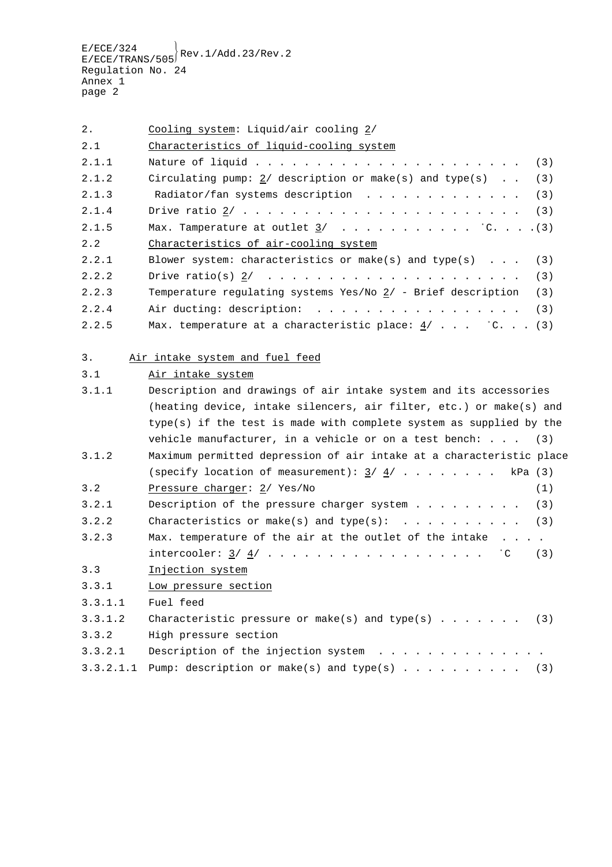2. Cooling system: Liquid/air cooling  $\frac{2}{1}$ 

| 2.1   | Characteristics of liquid-cooling system                                 |
|-------|--------------------------------------------------------------------------|
| 2.1.1 |                                                                          |
| 2.1.2 | Circulating pump: 2/ description or make(s) and type(s) (3)              |
| 2.1.3 | Radiator/fan systems description $\ldots$ (3)                            |
| 2.1.4 |                                                                          |
| 2.1.5 |                                                                          |
| 2.2   | Characteristics of air-cooling system                                    |
| 2.2.1 | Blower system: characteristics or make(s) and type(s) $\ldots$ (3)       |
| 2.2.2 |                                                                          |
| 2.2.3 | Temperature requlating systems Yes/No $2/$ - Brief description<br>(3)    |
| 2.2.4 |                                                                          |
| 2.2.5 | Max. temperature at a characteristic place: $\frac{4}{7}$ $\cdot$ C. (3) |

## 3. Air intake system and fuel feed

|  |  | 3.1<br>Air intake system |
|--|--|--------------------------|
|--|--|--------------------------|

| 3.1.1     | Description and drawings of air intake system and its accessories    |  |  |  |  |
|-----------|----------------------------------------------------------------------|--|--|--|--|
|           | (heating device, intake silencers, air filter, etc.) or make(s) and  |  |  |  |  |
|           | type(s) if the test is made with complete system as supplied by the  |  |  |  |  |
|           | vehicle manufacturer, in a vehicle or on a test bench: $(3)$         |  |  |  |  |
| 3.1.2     | Maximum permitted depression of air intake at a characteristic place |  |  |  |  |
|           |                                                                      |  |  |  |  |
| 3.2       | Pressure charger: $2/$ Yes/No<br>(1)                                 |  |  |  |  |
| 3.2.1     |                                                                      |  |  |  |  |
| 3.2.2     |                                                                      |  |  |  |  |
| 3.2.3     | Max. temperature of the air at the outlet of the intake              |  |  |  |  |
|           | intercooler: $\underline{3}/\underline{4}/$ (C (3)                   |  |  |  |  |
| 3.3       | Injection system                                                     |  |  |  |  |
| 3.3.1     | Low pressure section                                                 |  |  |  |  |
| 3.3.1.1   | Fuel feed                                                            |  |  |  |  |
| 3.3.1.2   | Characteristic pressure or make(s) and type(s) (3)                   |  |  |  |  |
| 3.3.2     | High pressure section                                                |  |  |  |  |
| 3.3.2.1   | Description of the injection system                                  |  |  |  |  |
| 3.3.2.1.1 | Pump: description or make(s) and type(s) (3)                         |  |  |  |  |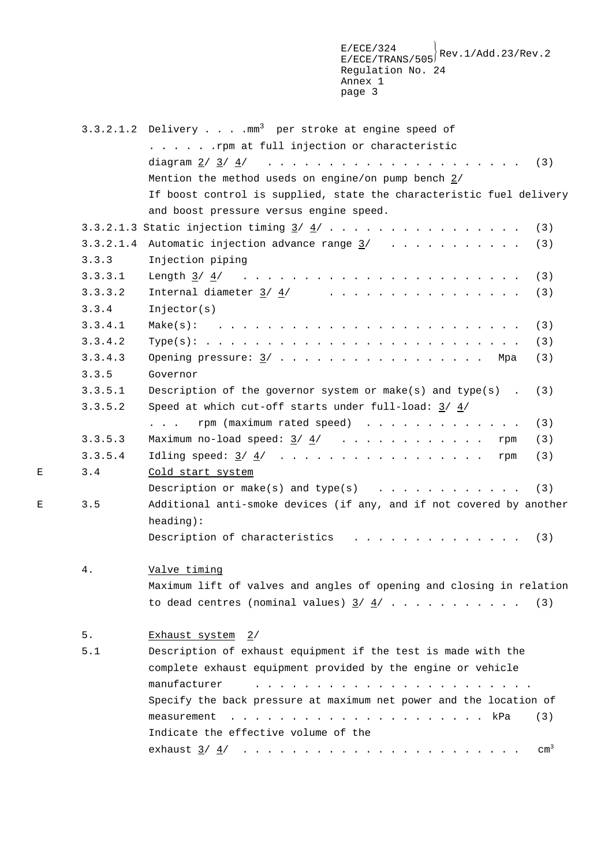$\mathbb{E}/\mathbb{E} \text{CE}/324 \ \mathbb{E}/\mathbb{E} \text{CE}/\mathbb{TRANS}/505 \bigg\} \text{Rev}.1/\text{Add}.23/\text{Rev}.2$ Regulation No. 24 Annex 1 page 3

|   |         | 3.3.2.1.2 Delivery mm <sup>3</sup> per stroke at engine speed of     |
|---|---------|----------------------------------------------------------------------|
|   |         | . rpm at full injection or characteristic                            |
|   |         |                                                                      |
|   |         | Mention the method useds on engine/on pump bench $2/$                |
|   |         | If boost control is supplied, state the characteristic fuel delivery |
|   |         | and boost pressure versus engine speed.                              |
|   |         | (3)                                                                  |
|   |         | 3.3.2.1.4 Automatic injection advance range $\frac{3}{1}$<br>(3)     |
|   | 3.3.3   | Injection piping                                                     |
|   | 3.3.3.1 | (3)                                                                  |
|   | 3.3.3.2 | (3)                                                                  |
|   | 3.3.4   | Injector(s)                                                          |
|   | 3.3.4.1 | (3)                                                                  |
|   | 3.3.4.2 | (3)                                                                  |
|   | 3.3.4.3 | Opening pressure: $\frac{3}{2}$ Mpa<br>(3)                           |
|   | 3.3.5   | Governor                                                             |
|   | 3.3.5.1 | Description of the governor system or make(s) and type(s).<br>(3)    |
|   | 3.3.5.2 | Speed at which cut-off starts under full-load: $3/4/$                |
|   |         | rpm (maximum rated speed)<br>(3)                                     |
|   | 3.3.5.3 | (3)                                                                  |
|   | 3.3.5.4 | (3)                                                                  |
| Ε | 3.4     | Cold start system                                                    |
|   |         | Description or make(s) and type(s) $\ldots$<br>(3)                   |
| Е | 3.5     | Additional anti-smoke devices (if any, and if not covered by another |
|   |         | heading):                                                            |
|   |         | (3)                                                                  |
|   | 4.      | Valve timing                                                         |
|   |         | Maximum lift of valves and angles of opening and closing in relation |
|   |         | to dead centres (nominal values) $\frac{3}{4}$ ,  (3)                |
|   | 5.      | Exhaust system 2/                                                    |
|   | 5.1     | Description of exhaust equipment if the test is made with the        |
|   |         | complete exhaust equipment provided by the engine or vehicle         |
|   |         | manufacturer                                                         |
|   |         | Specify the back pressure at maximum net power and the location of   |
|   |         | measurement<br>(3)                                                   |
|   |         | Indicate the effective volume of the                                 |
|   |         | $\text{cm}^3$                                                        |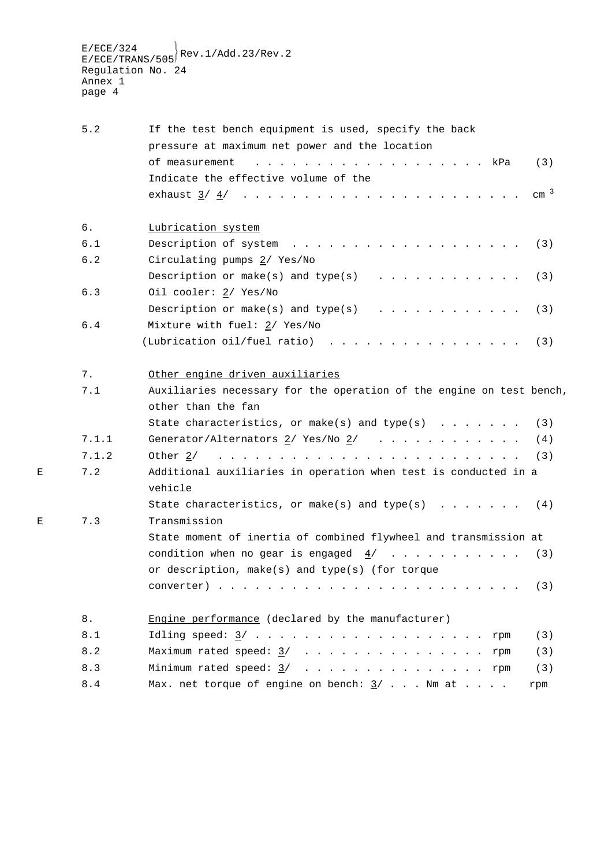$\mathbb{E}/\mathbb{E} \text{CE}/324 \ \mathbb{E}/\mathbb{E} \text{CE}/\mathbb{TRANS}/505 \bigg\} \text{Rev}.1/\text{Add}.23/\text{Rev}.2$ Regulation No. 24 Annex 1 page 4

|   | 5.2   | If the test bench equipment is used, specify the back                                                                                                                                                                                                                                                                                                                                                                                                                            |
|---|-------|----------------------------------------------------------------------------------------------------------------------------------------------------------------------------------------------------------------------------------------------------------------------------------------------------------------------------------------------------------------------------------------------------------------------------------------------------------------------------------|
|   |       | pressure at maximum net power and the location                                                                                                                                                                                                                                                                                                                                                                                                                                   |
|   |       | of measurement<br>(3)                                                                                                                                                                                                                                                                                                                                                                                                                                                            |
|   |       | Indicate the effective volume of the                                                                                                                                                                                                                                                                                                                                                                                                                                             |
|   |       | cm <sup>3</sup>                                                                                                                                                                                                                                                                                                                                                                                                                                                                  |
|   | б.    | Lubrication system                                                                                                                                                                                                                                                                                                                                                                                                                                                               |
|   | 6.1   | Description of system<br>(3)<br>the contract of the contract of the contract of the contract of the contract of the contract of the contract of the contract of the contract of the contract of the contract of the contract of the contract of the contract o                                                                                                                                                                                                                   |
|   | 6.2   | Circulating pumps 2/ Yes/No                                                                                                                                                                                                                                                                                                                                                                                                                                                      |
|   |       | Description or make(s) and type(s) $\ldots$<br>(3)                                                                                                                                                                                                                                                                                                                                                                                                                               |
|   | 6.3   | Oil cooler: 2/ Yes/No                                                                                                                                                                                                                                                                                                                                                                                                                                                            |
|   |       | Description or make(s) and type(s) $\ldots$<br>(3)                                                                                                                                                                                                                                                                                                                                                                                                                               |
|   | 6.4   | Mixture with fuel: 2/ Yes/No                                                                                                                                                                                                                                                                                                                                                                                                                                                     |
|   |       | (Lubrication oil/fuel ratio)<br>(3)                                                                                                                                                                                                                                                                                                                                                                                                                                              |
|   | 7.    | Other engine driven auxiliaries                                                                                                                                                                                                                                                                                                                                                                                                                                                  |
|   | 7.1   | Auxiliaries necessary for the operation of the engine on test bench,                                                                                                                                                                                                                                                                                                                                                                                                             |
|   |       | other than the fan                                                                                                                                                                                                                                                                                                                                                                                                                                                               |
|   |       | State characteristics, or make(s) and type(s) $\ldots$<br>(3)                                                                                                                                                                                                                                                                                                                                                                                                                    |
|   | 7.1.1 | Generator/Alternators $2/$ Yes/No $2/$<br>(4)                                                                                                                                                                                                                                                                                                                                                                                                                                    |
|   | 7.1.2 | والمتعاونة والمتعاونة والمتعاونة والمتعاونة والمتعاونة والمتعاونة والمتعاونة والمتعاونة<br>Other 2/<br>(3)                                                                                                                                                                                                                                                                                                                                                                       |
| Ε | 7.2   | Additional auxiliaries in operation when test is conducted in a                                                                                                                                                                                                                                                                                                                                                                                                                  |
|   |       | vehicle                                                                                                                                                                                                                                                                                                                                                                                                                                                                          |
| Е | 7.3   | State characteristics, or make(s) and type(s) $\ldots \ldots$<br>(4)<br>Transmission                                                                                                                                                                                                                                                                                                                                                                                             |
|   |       | State moment of inertia of combined flywheel and transmission at                                                                                                                                                                                                                                                                                                                                                                                                                 |
|   |       |                                                                                                                                                                                                                                                                                                                                                                                                                                                                                  |
|   |       | or description, make(s) and type(s) (for torque                                                                                                                                                                                                                                                                                                                                                                                                                                  |
|   |       | (3)<br>$\mathbf{1} \qquad \mathbf{1} \qquad \mathbf{1} \qquad \mathbf{1} \qquad \mathbf{1} \qquad \mathbf{1} \qquad \mathbf{1} \qquad \mathbf{1} \qquad \mathbf{1} \qquad \mathbf{1} \qquad \mathbf{1} \qquad \mathbf{1} \qquad \mathbf{1} \qquad \mathbf{1} \qquad \mathbf{1} \qquad \mathbf{1} \qquad \mathbf{1} \qquad \mathbf{1} \qquad \mathbf{1} \qquad \mathbf{1} \qquad \mathbf{1} \qquad \mathbf{1} \qquad \mathbf{1} \qquad \mathbf{1} \qquad \mathbf{$<br>converter). |
|   | 8.    | Engine performance (declared by the manufacturer)                                                                                                                                                                                                                                                                                                                                                                                                                                |
|   | 8.1   | (3)<br>rpm                                                                                                                                                                                                                                                                                                                                                                                                                                                                       |
|   | 8.2   | Maximum rated speed: $3/$<br>(3)<br>rpm                                                                                                                                                                                                                                                                                                                                                                                                                                          |
|   | 8.3   | Minimum rated speed: $3/$ rpm<br>(3)                                                                                                                                                                                                                                                                                                                                                                                                                                             |
|   | $8.4$ | Max. net torque of engine on bench: $\frac{3}{7}$ Nm at<br>rpm                                                                                                                                                                                                                                                                                                                                                                                                                   |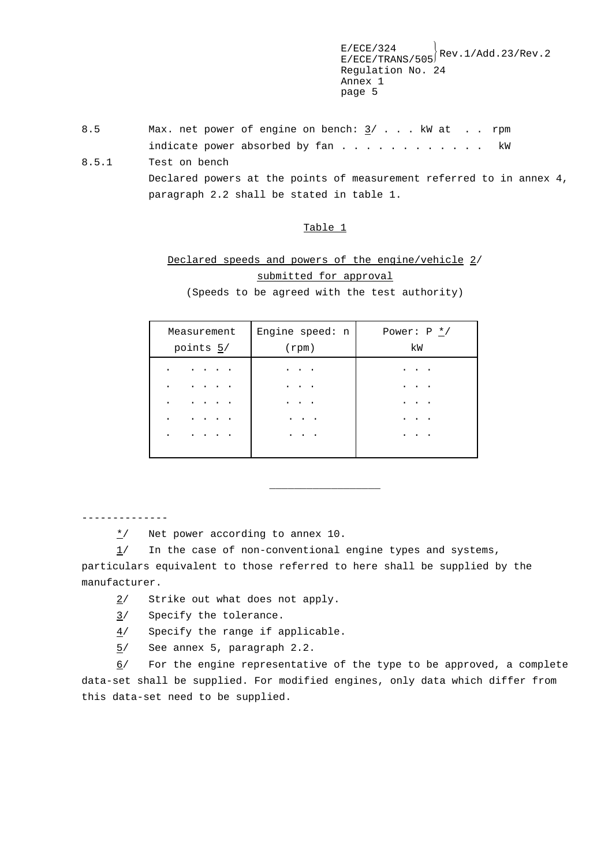8.5 Max. net power of engine on bench:  $\frac{3}{1}$ ... kW at ... rpm indicate power absorbed by fan . . . . . . . . . . . . kW

8.5.1 Test on bench Declared powers at the points of measurement referred to in annex 4, paragraph 2.2 shall be stated in table 1.

#### Table 1

# Declared speeds and powers of the engine/vehicle 2/ submitted for approval

(Speeds to be agreed with the test authority)

| Measurement                                 | Engine speed: n | Power: $P * /$ |
|---------------------------------------------|-----------------|----------------|
| points 5/                                   | $(\text{rpm})$  | kW             |
| $\cdot$ $\cdot$ $\cdot$<br>٠<br>٠<br>٠<br>٠ | $\bullet$<br>٠  |                |

\_\_\_\_\_\_\_\_\_\_\_\_\_\_\_\_\_\_

--------------

 $\frac{\star}{ }$  Net power according to annex 10.

1/ In the case of non-conventional engine types and systems, particulars equivalent to those referred to here shall be supplied by the manufacturer.

- 2/ Strike out what does not apply.
- 3/ Specify the tolerance.
- 4/ Specify the range if applicable.
- 5/ See annex 5, paragraph 2.2.

6/ For the engine representative of the type to be approved, a complete data-set shall be supplied. For modified engines, only data which differ from this data-set need to be supplied.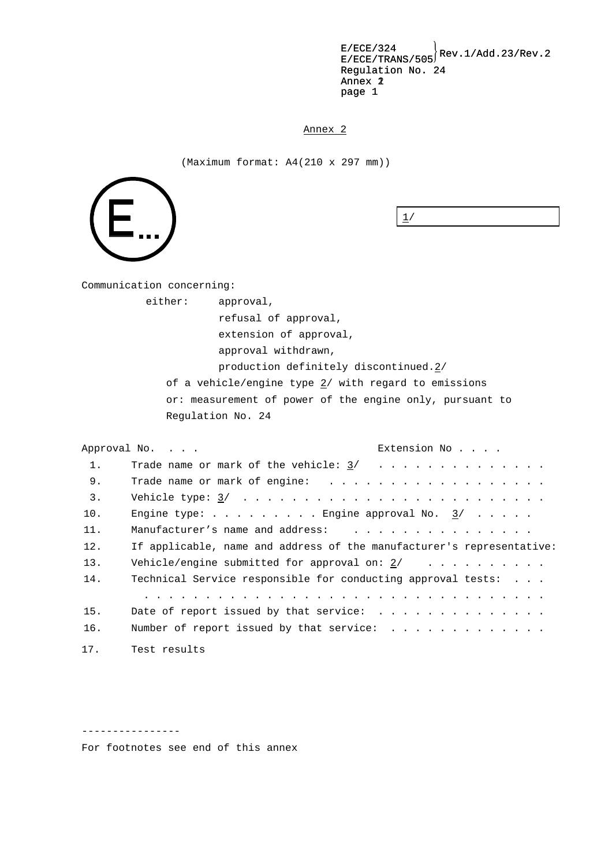$E/ECE/324$ <br> $E/ECE/TRANS/505$ <sup>Rev.1/Add.23/Rev.2</sup> Regulation No. 24 Annex 2 page 1 Annex 2<br>page 1<br>Annex 2

(Maximum format: A4(210 x 297 mm))



 $1/$ 

Communication concerning:

either: approval,

refusal of approval,

extension of approval,

approval withdrawn,

production definitely discontinued.2/

of a vehicle/engine type  $2/$  with regard to emissions or: measurement of power of the engine only, pursuant to Regulation No. 24

Approval No. . . . Extension No.... 1. Trade name or mark of the vehicle: 3/ ............... 9. Trade name or mark of engine: .................. 3. Vehicle type: 3/ ......................... 10. Engine type:  $\ldots$ ...... Engine approval No.  $\frac{3}{ }$ ..... 11. Manufacturer's name and address: ................ 12. If applicable, name and address of the manufacturer's representative: 13. Vehicle/engine submitted for approval on: 2/ .......... 14. Technical Service responsible for conducting approval tests: . . . ................................. 15. Date of report issued by that service: .............. 16. Number of report issued by that service: . . . . . . . . . . . . . 17. Test results

----------------

For footnotes see end of this annex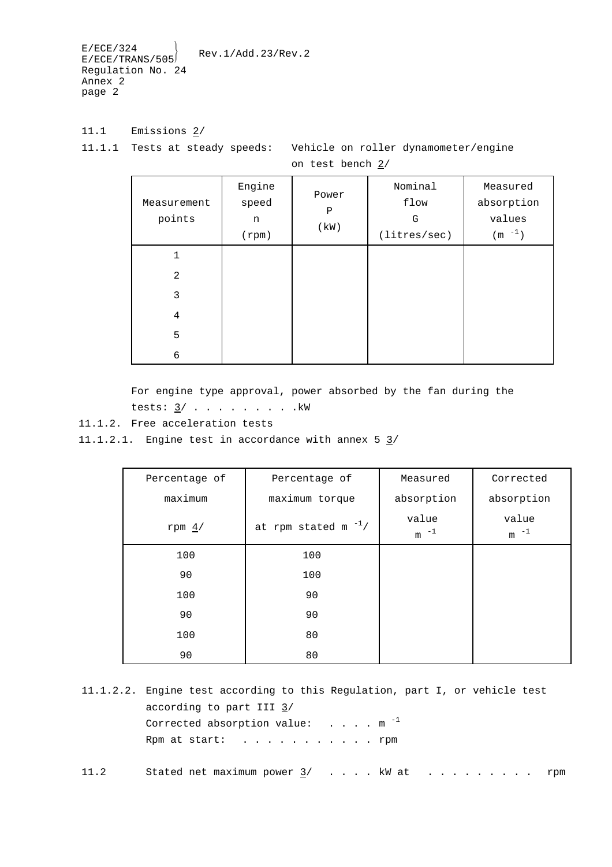11.1 Emissions 2/

11.1.1 Tests at steady speeds: Vehicle on roller dynamometer/engine

on test bench 2/

| Measurement<br>points | Engine<br>speed<br>n<br>(rpm) | Power<br>$\mathbf P$<br>(kW) | Nominal<br>flow<br>G<br>(litres/sec) | Measured<br>absorption<br>values<br>(m $^{-1}$ ) |
|-----------------------|-------------------------------|------------------------------|--------------------------------------|--------------------------------------------------|
| 1                     |                               |                              |                                      |                                                  |
| $\overline{2}$        |                               |                              |                                      |                                                  |
| 3                     |                               |                              |                                      |                                                  |
| $\,4$                 |                               |                              |                                      |                                                  |
| 5                     |                               |                              |                                      |                                                  |
| 6                     |                               |                              |                                      |                                                  |

For engine type approval, power absorbed by the fan during the tests:  $3/$  . . . . . . . . . .  $kW$ 

11.1.2. Free acceleration tests

11.1.2.1. Engine test in accordance with annex  $5 \frac{3}{ }$ 

| Percentage of | Percentage of             | Measured           | Corrected          |
|---------------|---------------------------|--------------------|--------------------|
| maximum       | maximum torque            | absorption         | absorption         |
| rpm $4/$      | at rpm stated m $^{-1}$ / | value<br>$-1$<br>m | value<br>$-1$<br>m |
| 100           | 100                       |                    |                    |
| 90            | 100                       |                    |                    |
| 100           | 90                        |                    |                    |
| 90            | 90                        |                    |                    |
| 100           | 80                        |                    |                    |
| 90            | 80                        |                    |                    |

11.1.2.2. Engine test according to this Regulation, part I, or vehicle test according to part III  $\frac{3}{1}$ Corrected absorption value:  $\dots$  .  $\dots$  m  $^{-1}$ Rpm at start: . . . . . . . . . . . rpm

11.2 Stated net maximum power 3/ . . . . kW at . . . . . . . . . rpm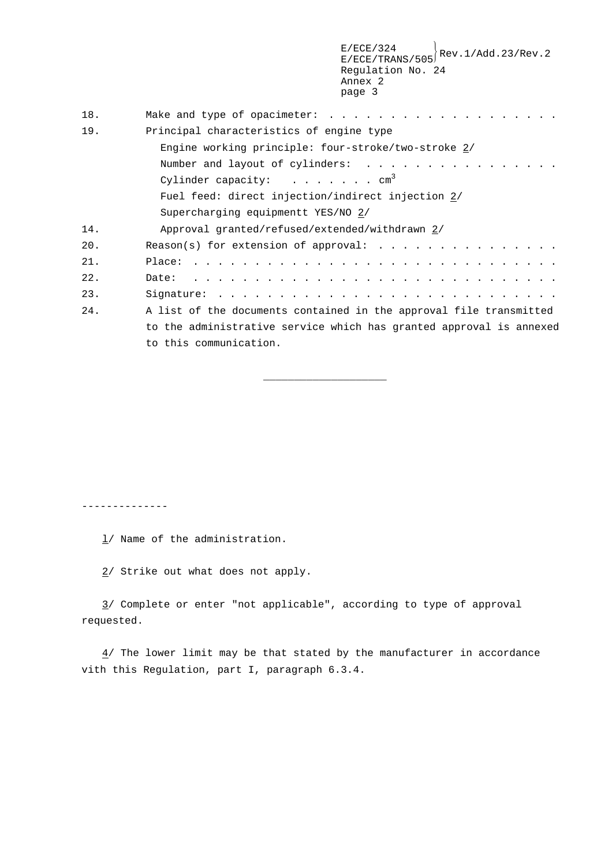| Principal characteristics of engine type                            |
|---------------------------------------------------------------------|
| Engine working principle: four-stroke/two-stroke 2/                 |
|                                                                     |
| Cylinder capacity: $\dots \dots \dots$ cm <sup>3</sup>              |
| Fuel feed: direct injection/indirect injection 2/                   |
| Supercharging equipmentt YES/NO 2/                                  |
| Approval granted/refused/extended/withdrawn 2/                      |
|                                                                     |
|                                                                     |
|                                                                     |
|                                                                     |
| A list of the documents contained in the approval file transmitted  |
| to the administrative service which has granted approval is annexed |
| to this communication.                                              |
|                                                                     |

\_\_\_\_\_\_\_\_\_\_\_\_\_\_\_\_\_\_\_\_

--------------

 $\frac{1}{1}$  Name of the administration.

2/ Strike out what does not apply.

3/ Complete or enter "not applicable", according to type of approval requested.

 $4/$  The lower limit may be that stated by the manufacturer in accordance vith this Regulation, part I, paragraph 6.3.4.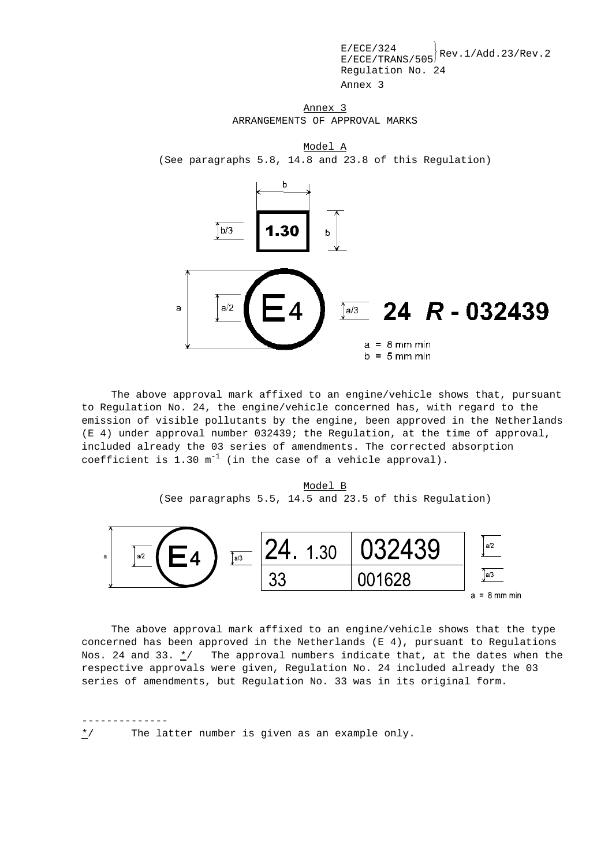Annex 3 ARRANGEMENTS OF APPROVAL MARKS

Model A (See paragraphs 5.8, 14.8 and 23.8 of this Regulation)



The above approval mark affixed to an engine/vehicle shows that, pursuant to Regulation No. 24, the engine/vehicle concerned has, with regard to the emission of visible pollutants by the engine, been approved in the Netherlands (E 4) under approval number 032439; the Regulation, at the time of approval, included already the 03 series of amendments. The corrected absorption coefficient is 1.30  $m^{-1}$  (in the case of a vehicle approval).

Model B (See paragraphs 5.5, 14.5 and 23.5 of this Regulation)



The above approval mark affixed to an engine/vehicle shows that the type concerned has been approved in the Netherlands (E 4), pursuant to Regulations Nos. 24 and 33.  $\frac{\star}{ }$  The approval numbers indicate that, at the dates when the respective approvals were given, Regulation No. 24 included already the 03 series of amendments, but Regulation No. 33 was in its original form.

--------------

\*/ The latter number is given as an example only.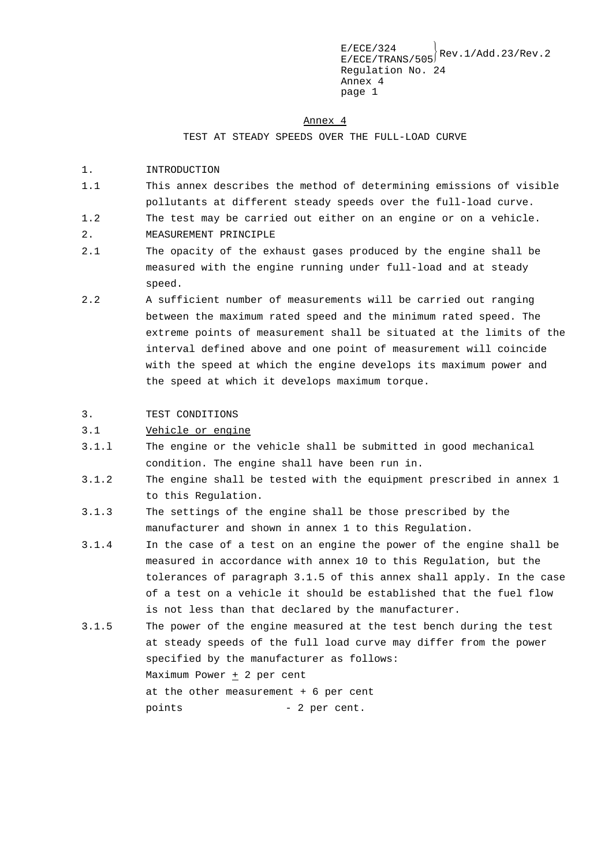#### Annex 4

TEST AT STEADY SPEEDS OVER THE FULL-LOAD CURVE

- 1. INTRODUCTION
- 1.1 This annex describes the method of determining emissions of visible pollutants at different steady speeds over the full-load curve.
- 1.2 The test may be carried out either on an engine or on a vehicle.
- 2. MEASUREMENT PRINCIPLE
- 2.1 The opacity of the exhaust gases produced by the engine shall be measured with the engine running under full-load and at steady speed.
- 2.2 A sufficient number of measurements will be carried out ranging between the maximum rated speed and the minimum rated speed. The extreme points of measurement shall be situated at the limits of the interval defined above and one point of measurement will coincide with the speed at which the engine develops its maximum power and the speed at which it develops maximum torque.

### 3. TEST CONDITIONS

### 3.1 Vehicle or engine

- 3.1.l The engine or the vehicle shall be submitted in good mechanical condition. The engine shall have been run in.
- 3.1.2 The engine shall be tested with the equipment prescribed in annex 1 to this Regulation.
- 3.1.3 The settings of the engine shall be those prescribed by the manufacturer and shown in annex 1 to this Regulation.
- 3.1.4 In the case of a test on an engine the power of the engine shall be measured in accordance with annex 10 to this Regulation, but the tolerances of paragraph 3.1.5 of this annex shall apply. In the case of a test on a vehicle it should be established that the fuel flow is not less than that declared by the manufacturer.
- 3.1.5 The power of the engine measured at the test bench during the test at steady speeds of the full load curve may differ from the power specified by the manufacturer as follows: Maximum Power  $\pm$  2 per cent at the other measurement + 6 per cent points - 2 per cent.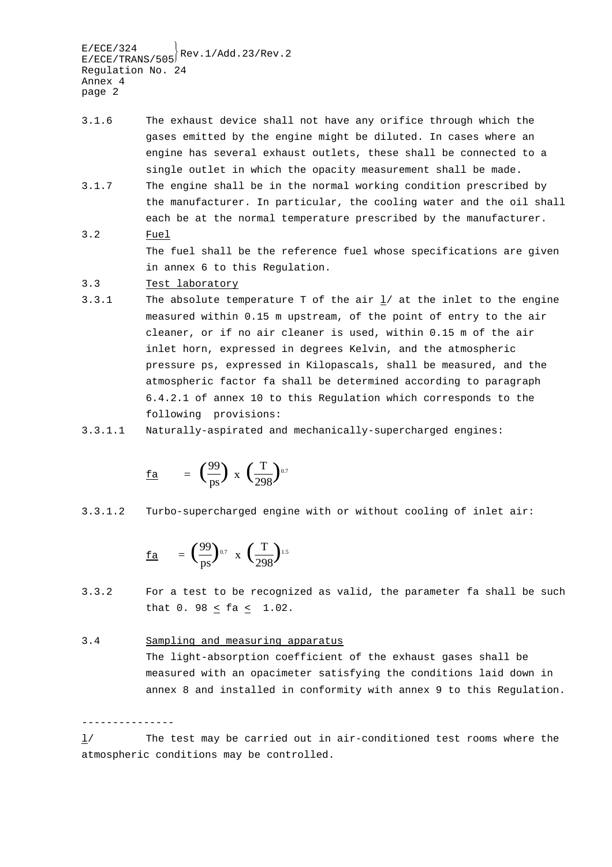- 3.1.6 The exhaust device shall not have any orifice through which the gases emitted by the engine might be diluted. In cases where an engine has several exhaust outlets, these shall be connected to a single outlet in which the opacity measurement shall be made.
- 3.1.7 The engine shall be in the normal working condition prescribed by the manufacturer. In particular, the cooling water and the oil shall each be at the normal temperature prescribed by the manufacturer. 3.2 Fuel

The fuel shall be the reference fuel whose specifications are given in annex 6 to this Regulation.

- 3.3 Test laboratory
- 3.3.1 The absolute temperature T of the air l/ at the inlet to the engine measured within 0.15 m upstream, of the point of entry to the air cleaner, or if no air cleaner is used, within 0.15 m of the air inlet horn, expressed in degrees Kelvin, and the atmospheric pressure ps, expressed in Kilopascals, shall be measured, and the atmospheric factor fa shall be determined according to paragraph 6.4.2.1 of annex 10 to this Regulation which corresponds to the following provisions:
- 3.3.1.1 Naturally-aspirated and mechanically-supercharged engines:

$$
\underline{\mathrm{fa}} = \left(\frac{99}{\mathrm{ps}}\right) \times \left(\frac{\mathrm{T}}{298}\right)^{0.7}
$$

3.3.1.2 Turbo-supercharged engine with or without cooling of inlet air:

fa = 
$$
\left(\frac{99}{ps}\right)^{0.7}
$$
 x  $\left(\frac{T}{298}\right)^{1.5}$ 

3.3.2 For a test to be recognized as valid, the parameter fa shall be such that 0. 98 < fa < 1.02.

#### 3.4 Sampling and measuring apparatus

---------------

The light-absorption coefficient of the exhaust gases shall be measured with an opacimeter satisfying the conditions laid down in annex 8 and installed in conformity with annex 9 to this Regulation.

l/ The test may be carried out in air-conditioned test rooms where the atmospheric conditions may be controlled.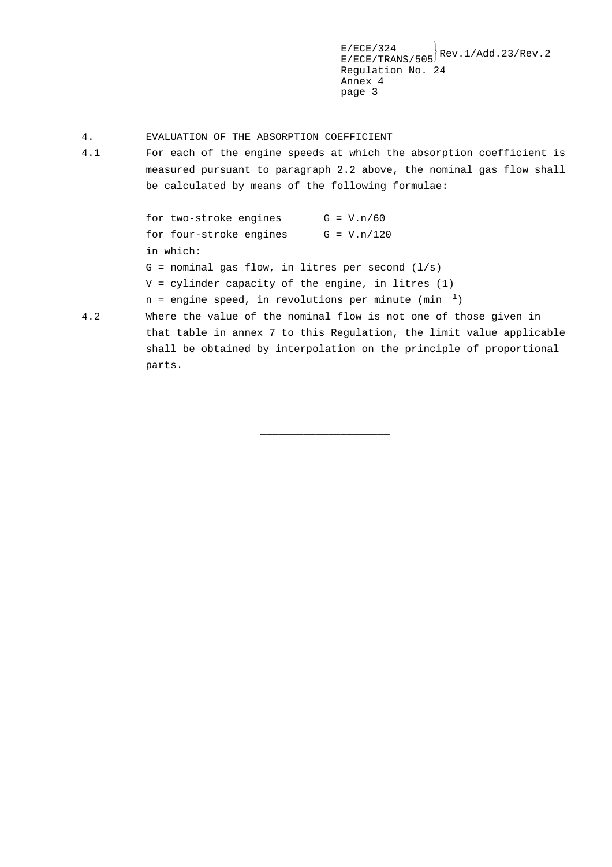- 4. EVALUATION OF THE ABSORPTION COEFFICIENT
- 4.1 For each of the engine speeds at which the absorption coefficient is measured pursuant to paragraph 2.2 above, the nominal gas flow shall be calculated by means of the following formulae:

for two-stroke engines  $G = V.n/60$ for four-stroke engines  $G = V.n/120$ in which:  $G =$  nominal gas flow, in litres per second  $(1/s)$ V = cylinder capacity of the engine, in litres (1)  $n =$  engine speed, in revolutions per minute (min  $^{-1}$ )

4.2 Where the value of the nominal flow is not one of those given in that table in annex 7 to this Regulation, the limit value applicable shall be obtained by interpolation on the principle of proportional parts.

\_\_\_\_\_\_\_\_\_\_\_\_\_\_\_\_\_\_\_\_\_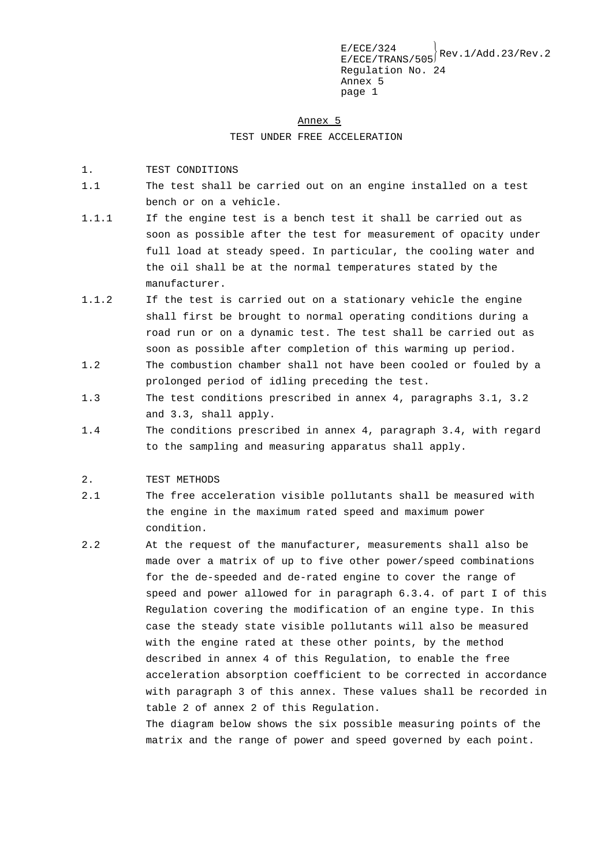#### Annex 5

TEST UNDER FREE ACCELERATION

- 1. TEST CONDITIONS
- 1.1 The test shall be carried out on an engine installed on a test bench or on a vehicle.
- 1.1.1 If the engine test is a bench test it shall be carried out as soon as possible after the test for measurement of opacity under full load at steady speed. In particular, the cooling water and the oil shall be at the normal temperatures stated by the manufacturer.
- 1.1.2 If the test is carried out on a stationary vehicle the engine shall first be brought to normal operating conditions during a road run or on a dynamic test. The test shall be carried out as soon as possible after completion of this warming up period. 1.2 The combustion chamber shall not have been cooled or fouled by a
- prolonged period of idling preceding the test.
- 1.3 The test conditions prescribed in annex 4, paragraphs 3.1, 3.2 and 3.3, shall apply.
- 1.4 The conditions prescribed in annex 4, paragraph 3.4, with regard to the sampling and measuring apparatus shall apply.
- 2. TEST METHODS
- 2.1 The free acceleration visible pollutants shall be measured with the engine in the maximum rated speed and maximum power condition.
- 2.2 At the request of the manufacturer, measurements shall also be made over a matrix of up to five other power/speed combinations for the de-speeded and de-rated engine to cover the range of speed and power allowed for in paragraph 6.3.4. of part I of this Regulation covering the modification of an engine type. In this case the steady state visible pollutants will also be measured with the engine rated at these other points, by the method described in annex 4 of this Regulation, to enable the free acceleration absorption coefficient to be corrected in accordance with paragraph 3 of this annex. These values shall be recorded in table 2 of annex 2 of this Regulation. The diagram below shows the six possible measuring points of the

matrix and the range of power and speed governed by each point.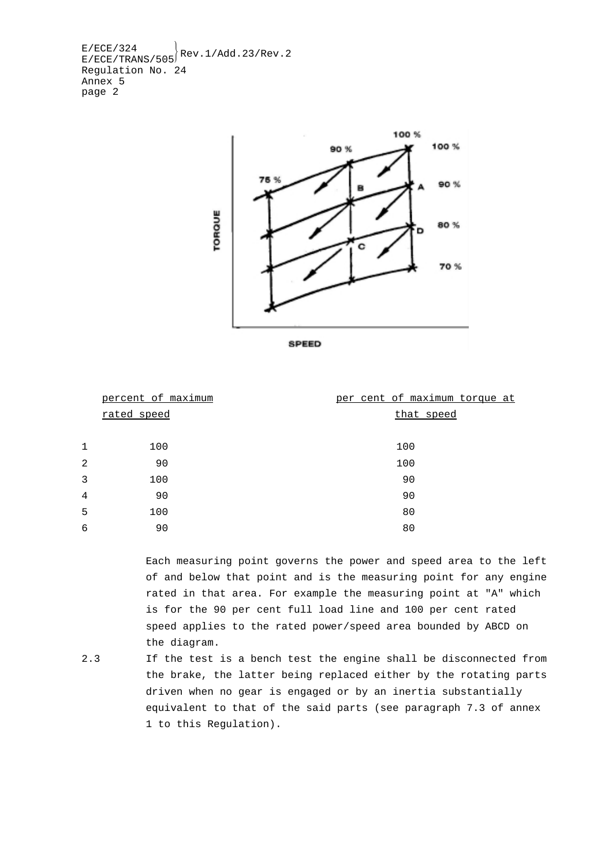

|                | percent of maximum | per cent of maximum torque at |
|----------------|--------------------|-------------------------------|
|                | rated speed        | that speed                    |
|                |                    |                               |
| $\mathbf{1}$   | 100                | 100                           |
| 2              | 90                 | 100                           |
| 3              | 100                | 90                            |
| $\overline{4}$ | 90                 | 90                            |
| 5              | 100                | 80                            |
| 6              | 90                 | 80                            |

Each measuring point governs the power and speed area to the left of and below that point and is the measuring point for any engine rated in that area. For example the measuring point at "A" which is for the 90 per cent full load line and 100 per cent rated speed applies to the rated power/speed area bounded by ABCD on the diagram.

2.3 If the test is a bench test the engine shall be disconnected from the brake, the latter being replaced either by the rotating parts driven when no gear is engaged or by an inertia substantially equivalent to that of the said parts (see paragraph 7.3 of annex 1 to this Regulation).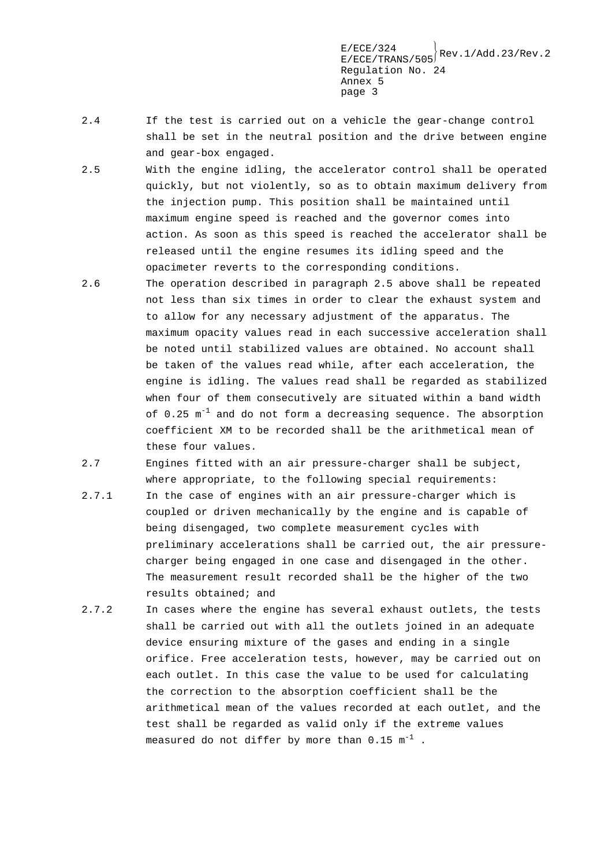- 2.4 If the test is carried out on a vehicle the gear-change control shall be set in the neutral position and the drive between engine and gear-box engaged.
- 2.5 With the engine idling, the accelerator control shall be operated quickly, but not violently, so as to obtain maximum delivery from the injection pump. This position shall be maintained until maximum engine speed is reached and the governor comes into action. As soon as this speed is reached the accelerator shall be released until the engine resumes its idling speed and the opacimeter reverts to the corresponding conditions.
- 2.6 The operation described in paragraph 2.5 above shall be repeated not less than six times in order to clear the exhaust system and to allow for any necessary adjustment of the apparatus. The maximum opacity values read in each successive acceleration shall be noted until stabilized values are obtained. No account shall be taken of the values read while, after each acceleration, the engine is idling. The values read shall be regarded as stabilized when four of them consecutively are situated within a band width of  $0.25 \text{ m}^{-1}$  and do not form a decreasing sequence. The absorption coefficient XM to be recorded shall be the arithmetical mean of these four values.
- 2.7 Engines fitted with an air pressure-charger shall be subject, where appropriate, to the following special requirements:
- 2.7.1 In the case of engines with an air pressure-charger which is coupled or driven mechanically by the engine and is capable of being disengaged, two complete measurement cycles with preliminary accelerations shall be carried out, the air pressurecharger being engaged in one case and disengaged in the other. The measurement result recorded shall be the higher of the two results obtained; and
- 2.7.2 In cases where the engine has several exhaust outlets, the tests shall be carried out with all the outlets joined in an adequate device ensuring mixture of the gases and ending in a single orifice. Free acceleration tests, however, may be carried out on each outlet. In this case the value to be used for calculating the correction to the absorption coefficient shall be the arithmetical mean of the values recorded at each outlet, and the test shall be regarded as valid only if the extreme values measured do not differ by more than  $0.15 \text{ m}^{-1}$  .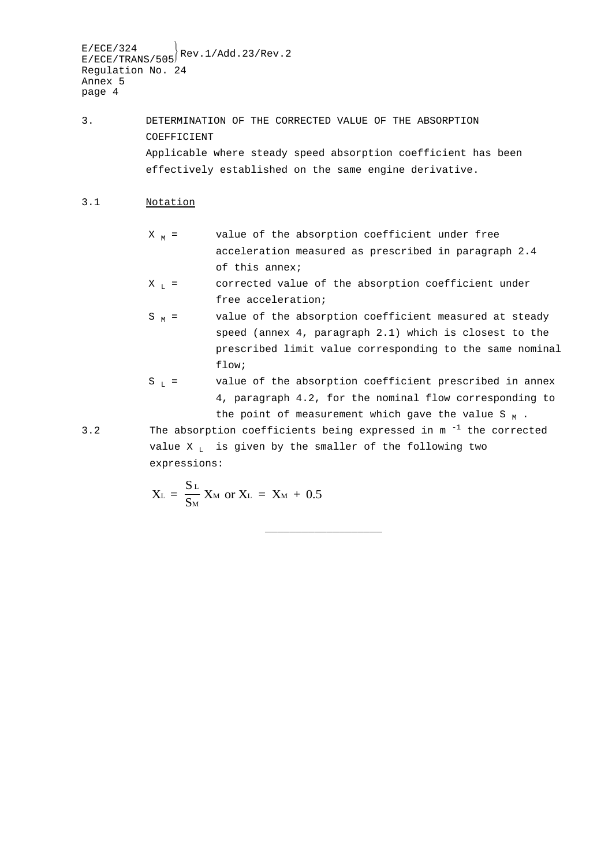3. DETERMINATION OF THE CORRECTED VALUE OF THE ABSORPTION COEFFICIENT Applicable where steady speed absorption coefficient has been effectively established on the same engine derivative.

### 3.1 Notation

- $X_M$  = value of the absorption coefficient under free acceleration measured as prescribed in paragraph 2.4 of this annex;
- $X_L$  = corrected value of the absorption coefficient under free acceleration;
- $S<sub>M</sub>$  = value of the absorption coefficient measured at steady speed (annex 4, paragraph 2.1) which is closest to the prescribed limit value corresponding to the same nominal flow;
- $S_L$  = value of the absorption coefficient prescribed in annex 4, paragraph 4.2, for the nominal flow corresponding to the point of measurement which gave the value S  $_M$  .
- 3.2 The absorption coefficients being expressed in  $m^{-1}$  the corrected value  $X_L$  is given by the smaller of the following two expressions:

\_\_\_\_\_\_\_\_\_\_\_\_\_\_\_\_\_\_\_

$$
X_{L} = \frac{S_{L}}{S_{M}} X_{M} \text{ or } X_{L} = X_{M} + 0.5
$$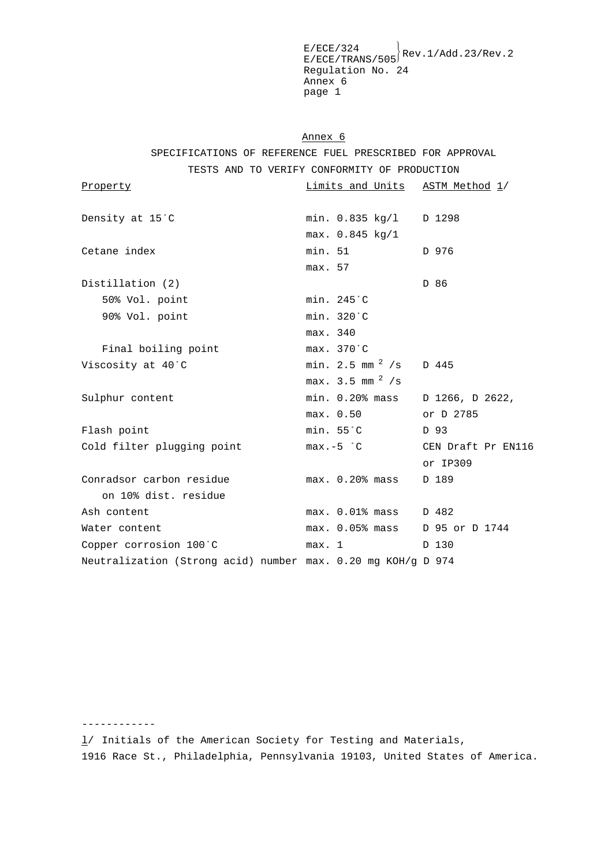$E/ECE/TRANS/505$ <sup>Rev.1/Add.23/Rev.2</sup> Regulation No. 24 Annex 6 page 1

Annex 6

SPECIFICATIONS OF REFERENCE FUEL PRESCRIBED FOR APPROVAL

TESTS AND TO VERIFY CONFORMITY OF PRODUCTION

| Property                                                     | Limits and Units ASTM Method 1/           |                    |
|--------------------------------------------------------------|-------------------------------------------|--------------------|
| Density at 15 °C                                             | min. 0.835 kg/1 D 1298<br>max. 0.845 kg/1 |                    |
| Cetane index                                                 | min. 51<br>max. 57                        | D 976              |
| Distillation (2)                                             |                                           | D 86               |
| 50% Vol. point                                               | min. 245 °C                               |                    |
| 90% Vol. point                                               | min. 320°C                                |                    |
|                                                              | max. 340                                  |                    |
| Final boiling point                                          | max. 370 °C                               |                    |
| Viscosity at 40°C                                            | min. 2.5 mm $^2$ /s D 445                 |                    |
|                                                              | max. 3.5 mm $^{2}$ /s                     |                    |
| Sulphur content                                              | min. 0.20% mass D 1266, D 2622,           |                    |
|                                                              | max. 0.50                                 | or D 2785          |
| Flash point                                                  | min. 55°C                                 | D 93               |
| Cold filter plugging point                                   | $max.-5$ $^{\circ}$ C                     | CEN Draft Pr EN116 |
|                                                              |                                           | or IP309           |
| Conradsor carbon residue                                     | $max.$ 0.20% $mass$                       | D 189              |
| on 10% dist, residue                                         |                                           |                    |
| Ash content                                                  | max. 0.01% mass D 482                     |                    |
| Water content                                                | max. 0.05% mass D 95 or D 1744            |                    |
| Copper corrosion 100°C                                       | max. 1                                    | D 130              |
| Neutralization (Strong acid) number max. 0.20 mg KOH/g D 974 |                                           |                    |

 $\frac{1}{1}$  Initials of the American Society for Testing and Materials, 1916 Race St., Philadelphia, Pennsylvania 19103, United States of America.

------------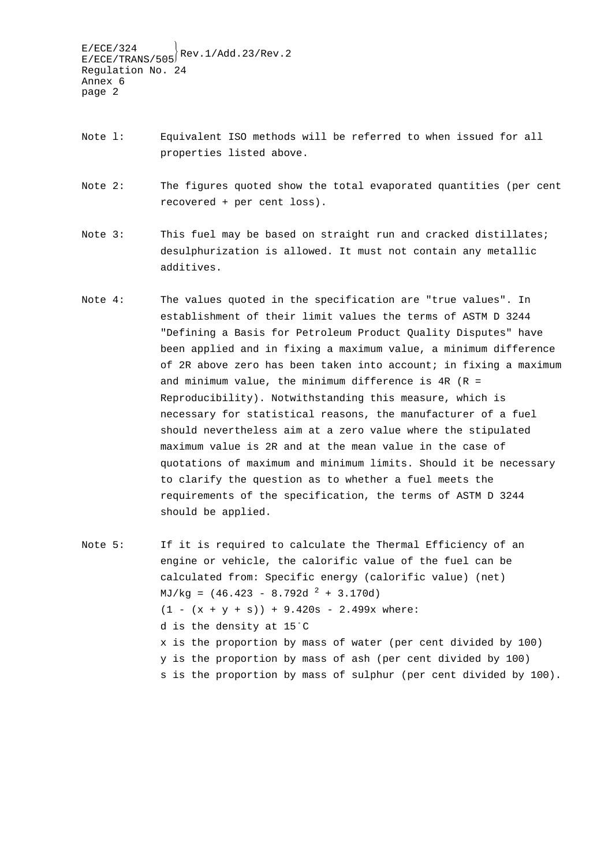- Note l: Equivalent ISO methods will be referred to when issued for all properties listed above.
- Note 2: The figures quoted show the total evaporated quantities (per cent recovered + per cent loss).
- Note 3: This fuel may be based on straight run and cracked distillates; desulphurization is allowed. It must not contain any metallic additives.
- Note 4: The values quoted in the specification are "true values". In establishment of their limit values the terms of ASTM D 3244 "Defining a Basis for Petroleum Product Quality Disputes" have been applied and in fixing a maximum value, a minimum difference of 2R above zero has been taken into account; in fixing a maximum and minimum value, the minimum difference is  $4R$  ( $R =$ Reproducibility). Notwithstanding this measure, which is necessary for statistical reasons, the manufacturer of a fuel should nevertheless aim at a zero value where the stipulated maximum value is 2R and at the mean value in the case of quotations of maximum and minimum limits. Should it be necessary to clarify the question as to whether a fuel meets the requirements of the specification, the terms of ASTM D 3244 should be applied.
- Note 5: If it is required to calculate the Thermal Efficiency of an engine or vehicle, the calorific value of the fuel can be calculated from: Specific energy (calorific value) (net)  $MJ/kg = (46.423 - 8.792d<sup>2</sup> + 3.170d)$  $(1 - (x + y + s)) + 9.420s - 2.499x$  where: d is the density at 15/C x is the proportion by mass of water (per cent divided by 100) y is the proportion by mass of ash (per cent divided by 100) s is the proportion by mass of sulphur (per cent divided by 100).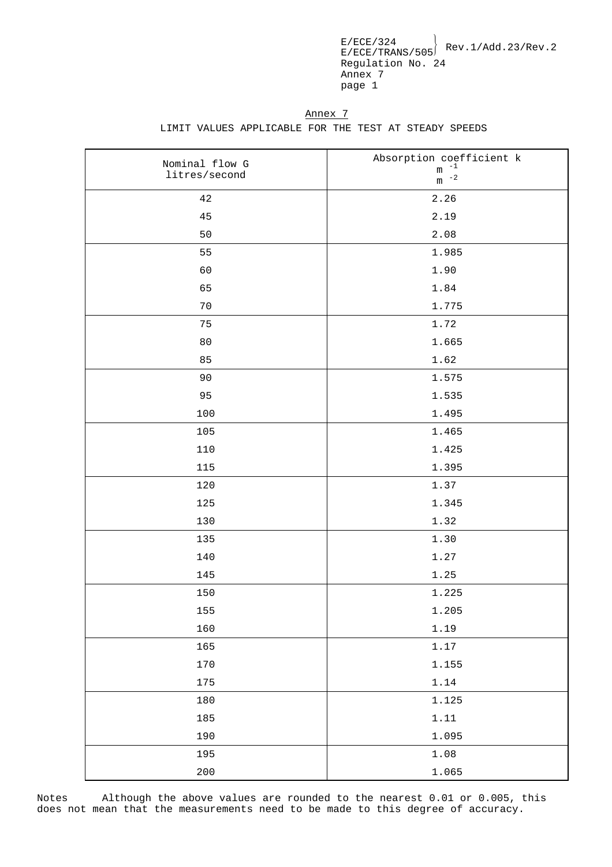Annex 7 LIMIT VALUES APPLICABLE FOR THE TEST AT STEADY SPEEDS

| Nominal flow G | Absorption coefficient $k$ <sup>-1</sup> |
|----------------|------------------------------------------|
| litres/second  | ${\mathfrak m}$<br>$\,$ m $^{-2}$        |
| $4\,2$         | 2.26                                     |
| 45             | 2.19                                     |
| 50             | 2.08                                     |
| 55             | 1.985                                    |
| 60             | 1.90                                     |
| 65             | 1.84                                     |
| 70             | 1.775                                    |
| 75             | 1.72                                     |
| 80             | 1.665                                    |
| 85             | 1.62                                     |
| 90             | 1.575                                    |
| 95             | 1.535                                    |
| 100            | 1.495                                    |
| 105            | 1.465                                    |
| 110            | 1.425                                    |
| 115            | 1.395                                    |
| 120            | 1.37                                     |
| 125            | 1.345                                    |
| 130            | 1.32                                     |
| 135            | 1.30                                     |
| 140            | 1.27                                     |
| 145            | 1.25                                     |
| 150            | 1.225                                    |
| 155            | 1.205                                    |
| 160            | 1.19                                     |
| 165            | 1.17                                     |
| 170            | 1.155                                    |
| 175            | 1.14                                     |
| 180            | 1.125                                    |
| 185            | 1.11                                     |
| 190            | 1.095                                    |
| 195            | 1.08                                     |
| 200            | 1.065                                    |

Notes Although the above values are rounded to the nearest 0.01 or 0.005, this does not mean that the measurements need to be made to this degree of accuracy.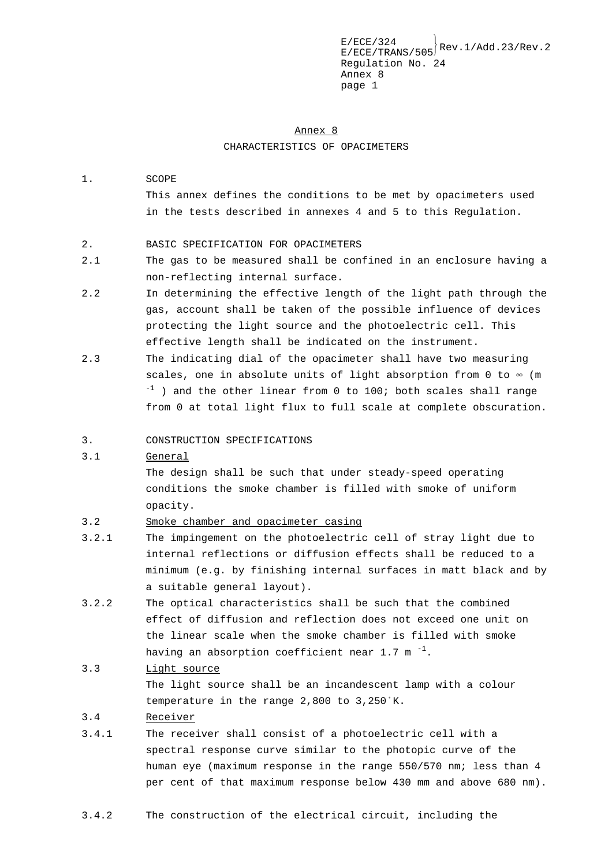# Annex 8 CHARACTERISTICS OF OPACIMETERS

### 1. SCOPE

This annex defines the conditions to be met by opacimeters used in the tests described in annexes 4 and 5 to this Regulation.

### 2. BASIC SPECIFICATION FOR OPACIMETERS

- 2.1 The gas to be measured shall be confined in an enclosure having a non-reflecting internal surface.
- 2.2 In determining the effective length of the light path through the gas, account shall be taken of the possible influence of devices protecting the light source and the photoelectric cell. This effective length shall be indicated on the instrument.
- 2.3 The indicating dial of the opacimeter shall have two measuring scales, one in absolute units of light absorption from 0 to  $\infty$  (m  $^{-1}$  ) and the other linear from 0 to 100; both scales shall range from 0 at total light flux to full scale at complete obscuration.

### 3. CONSTRUCTION SPECIFICATIONS

### 3.1 General

The design shall be such that under steady-speed operating conditions the smoke chamber is filled with smoke of uniform opacity.

- 3.2 Smoke chamber and opacimeter casing
- 3.2.1 The impingement on the photoelectric cell of stray light due to internal reflections or diffusion effects shall be reduced to a minimum (e.g. by finishing internal surfaces in matt black and by a suitable general layout).
- 3.2.2 The optical characteristics shall be such that the combined effect of diffusion and reflection does not exceed one unit on the linear scale when the smoke chamber is filled with smoke having an absorption coefficient near 1.7  $m^{-1}$ .

### 3.3 Light source

The light source shall be an incandescent lamp with a colour temperature in the range  $2,800$  to  $3,250$ <sup>°</sup>K.

### 3.4 Receiver

3.4.1 The receiver shall consist of a photoelectric cell with a spectral response curve similar to the photopic curve of the human eye (maximum response in the range 550/570 nm; less than 4 per cent of that maximum response below 430 mm and above 680 nm).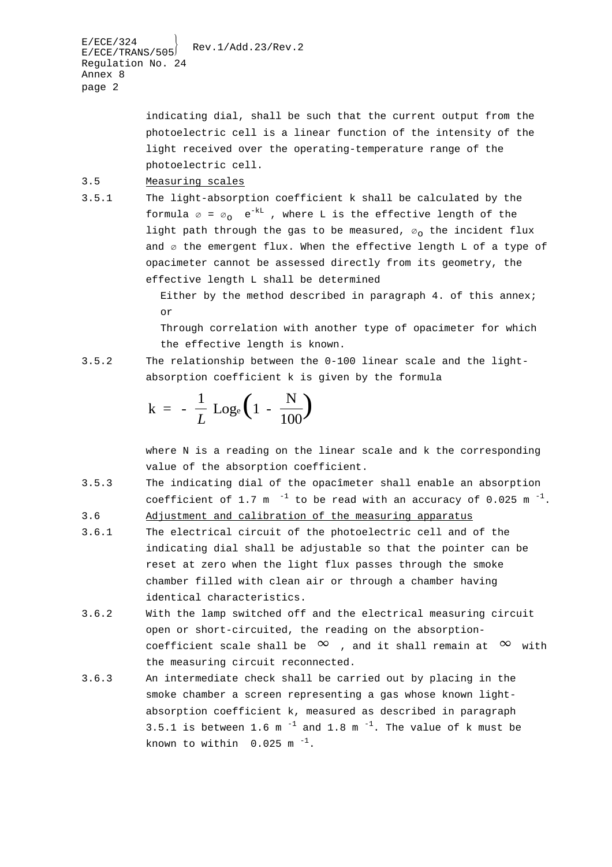> indicating dial, shall be such that the current output from the photoelectric cell is a linear function of the intensity of the light received over the operating-temperature range of the photoelectric cell.

### 3.5 Measuring scales

3.5.1 The light-absorption coefficient k shall be calculated by the formula  $\emptyset = \emptyset$  e<sup>-kL</sup>, where L is the effective length of the light path through the gas to be measured,  $\varnothing$  the incident flux and  $\varnothing$  the emergent flux. When the effective length L of a type of opacimeter cannot be assessed directly from its geometry, the effective length L shall be determined

> Either by the method described in paragraph 4. of this annex; or

> Through correlation with another type of opacimeter for which the effective length is known.

3.5.2 The relationship between the 0-100 linear scale and the lightabsorption coefficient k is given by the formula

$$
k = -\frac{1}{L} Log_e \left( 1 - \frac{N}{100} \right)
$$

where N is a reading on the linear scale and k the corresponding value of the absorption coefficient.

3.5.3 The indicating dial of the opacîmeter shall enable an absorption coefficient of 1.7 m<sup>-1</sup> to be read with an accuracy of 0.025 m<sup>-1</sup>.

3.6 Adjustment and calibration of the measuring apparatus

- 3.6.1 The electrical circuit of the photoelectric cell and of the indicating dial shall be adjustable so that the pointer can be reset at zero when the light flux passes through the smoke chamber filled with clean air or through a chamber having identical characteristics.
- 3.6.2 With the lamp switched off and the electrical measuring circuit open or short-circuited, the reading on the absorptioncoefficient scale shall be  $\infty$  , and it shall remain at  $\infty$  with the measuring circuit reconnected.
- 3.6.3 An intermediate check shall be carried out by placing in the smoke chamber a screen representing a gas whose known lightabsorption coefficient k, measured as described in paragraph 3.5.1 is between 1.6 m<sup> $-1$ </sup> and 1.8 m<sup> $-1$ </sup>. The value of k must be known to within  $0.025$  m<sup>-1</sup>.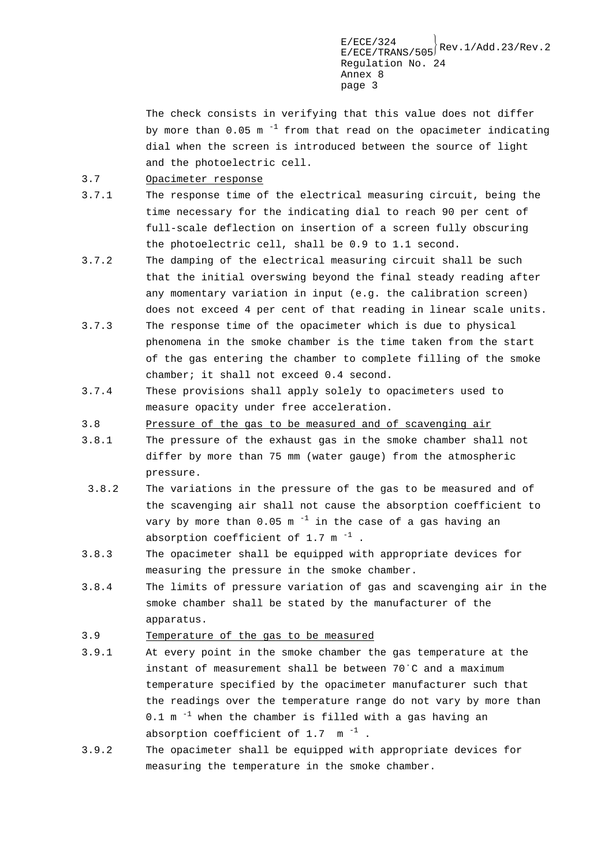$E/ECE/TRANS/505}$ Rev.1/Add.23/Rev.2 Regulation No. 24 Annex 8 page 3

The check consists in verifying that this value does not differ by more than  $0.05$  m<sup>-1</sup> from that read on the opacimeter indicating dial when the screen is introduced between the source of light and the photoelectric cell.

3.7 Opacimeter response

- 3.7.1 The response time of the electrical measuring circuit, being the time necessary for the indicating dial to reach 90 per cent of full-scale deflection on insertion of a screen fully obscuring the photoelectric cell, shall be 0.9 to 1.1 second.
- 3.7.2 The damping of the electrical measuring circuit shall be such that the initial overswing beyond the final steady reading after any momentary variation in input (e.g. the calibration screen) does not exceed 4 per cent of that reading in linear scale units.
- 3.7.3 The response time of the opacimeter which is due to physical phenomena in the smoke chamber is the time taken from the start of the gas entering the chamber to complete filling of the smoke chamber; it shall not exceed 0.4 second.
- 3.7.4 These provisions shall apply solely to opacimeters used to measure opacity under free acceleration.
- 3.8 Pressure of the gas to be measured and of scavenging air
- 3.8.1 The pressure of the exhaust gas in the smoke chamber shall not differ by more than 75 mm (water gauge) from the atmospheric pressure.
- 3.8.2 The variations in the pressure of the gas to be measured and of the scavenging air shall not cause the absorption coefficient to vary by more than  $0.05$  m<sup>-1</sup> in the case of a gas having an absorption coefficient of 1.7  $m^{-1}$ .
- 3.8.3 The opacimeter shall be equipped with appropriate devices for measuring the pressure in the smoke chamber.
- 3.8.4 The limits of pressure variation of gas and scavenging air in the smoke chamber shall be stated by the manufacturer of the apparatus.
- 3.9 Temperature of the gas to be measured
- 3.9.1 At every point in the smoke chamber the gas temperature at the instant of measurement shall be between  $70^{\circ}$ C and a maximum temperature specified by the opacimeter manufacturer such that the readings over the temperature range do not vary by more than  $0.1$  m  $^{-1}$  when the chamber is filled with a gas having an absorption coefficient of  $1.7 \text{ m}^{-1}$ .
- 3.9.2 The opacimeter shall be equipped with appropriate devices for measuring the temperature in the smoke chamber.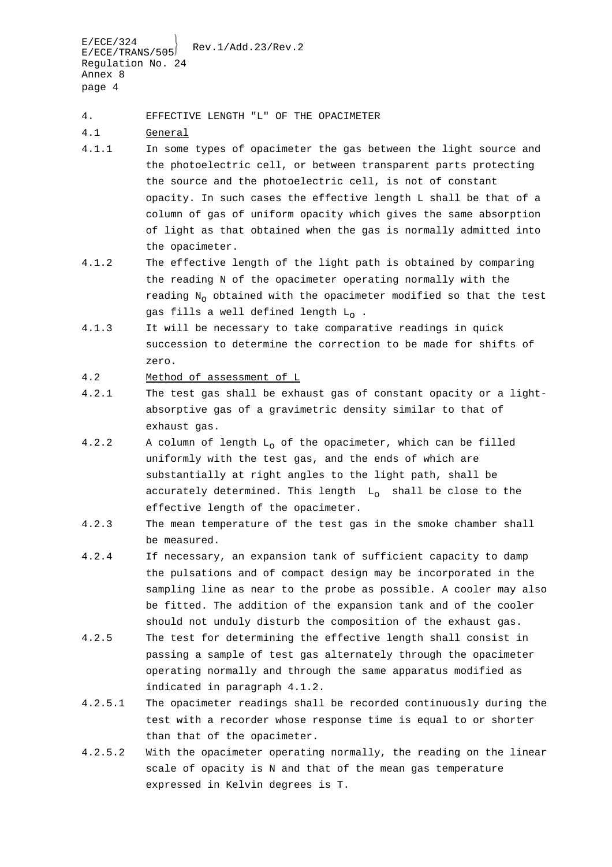4. EFFECTIVE LENGTH "L" OF THE OPACIMETER

- 4.1 General
- 4.1.1 In some types of opacimeter the gas between the light source and the photoelectric cell, or between transparent parts protecting the source and the photoelectric cell, is not of constant opacity. In such cases the effective length L shall be that of a column of gas of uniform opacity which gives the same absorption of light as that obtained when the gas is normally admitted into the opacimeter.
- 4.1.2 The effective length of the light path is obtained by comparing the reading N of the opacimeter operating normally with the reading  $N_0$  obtained with the opacimeter modified so that the test gas fills a well defined length  $L_0$ .
- 4.1.3 It will be necessary to take comparative readings in quick succession to determine the correction to be made for shifts of zero.
- 4.2 Method of assessment of L
- 4.2.1 The test gas shall be exhaust gas of constant opacity or a lightabsorptive gas of a gravimetric density similar to that of exhaust gas.
- 4.2.2 A column of length  $L_0$  of the opacimeter, which can be filled uniformly with the test gas, and the ends of which are substantially at right angles to the light path, shall be accurately determined. This length  $L_0$  shall be close to the effective length of the opacimeter.
- 4.2.3 The mean temperature of the test gas in the smoke chamber shall be measured.
- 4.2.4 If necessary, an expansion tank of sufficient capacity to damp the pulsations and of compact design may be incorporated in the sampling line as near to the probe as possible. A cooler may also be fitted. The addition of the expansion tank and of the cooler should not unduly disturb the composition of the exhaust gas.
- 4.2.5 The test for determining the effective length shall consist in passing a sample of test gas alternately through the opacimeter operating normally and through the same apparatus modified as indicated in paragraph 4.1.2.
- 4.2.5.1 The opacimeter readings shall be recorded continuously during the test with a recorder whose response time is equal to or shorter than that of the opacimeter.
- 4.2.5.2 With the opacimeter operating normally, the reading on the linear scale of opacity is N and that of the mean gas temperature expressed in Kelvin degrees is T.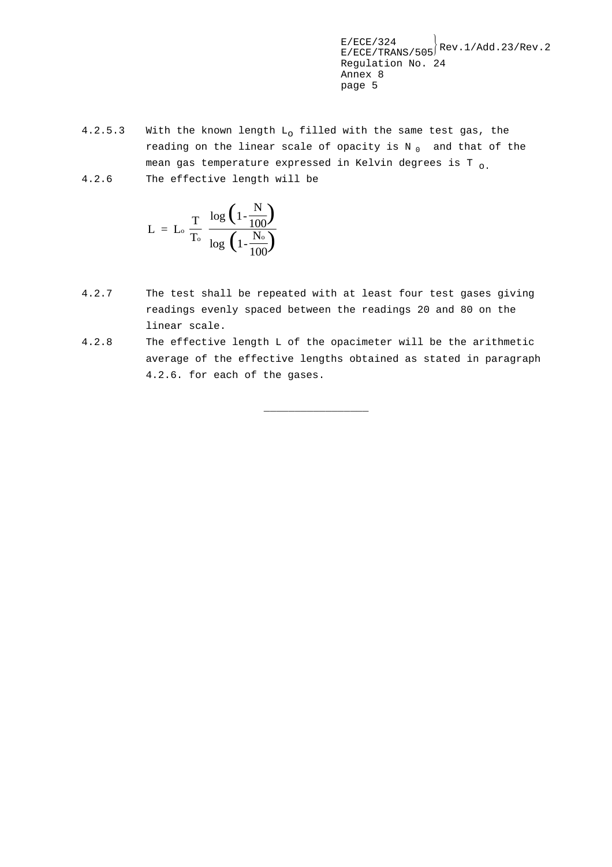- 4.2.5.3 With the known length  $L_0$  filled with the same test gas, the reading on the linear scale of opacity is  $N_0$  and that of the mean gas temperature expressed in Kelvin degrees is T  $_{0}$ .
- 4.2.6 The effective length will be

$$
L = L_o \frac{T}{T_o} \frac{\log \left(1 - \frac{N}{100}\right)}{\log \left(1 - \frac{N_o}{100}\right)}
$$

- 4.2.7 The test shall be repeated with at least four test gases giving readings evenly spaced between the readings 20 and 80 on the linear scale.
- 4.2.8 The effective length L of the opacimeter will be the arithmetic average of the effective lengths obtained as stated in paragraph 4.2.6. for each of the gases.

\_\_\_\_\_\_\_\_\_\_\_\_\_\_\_\_\_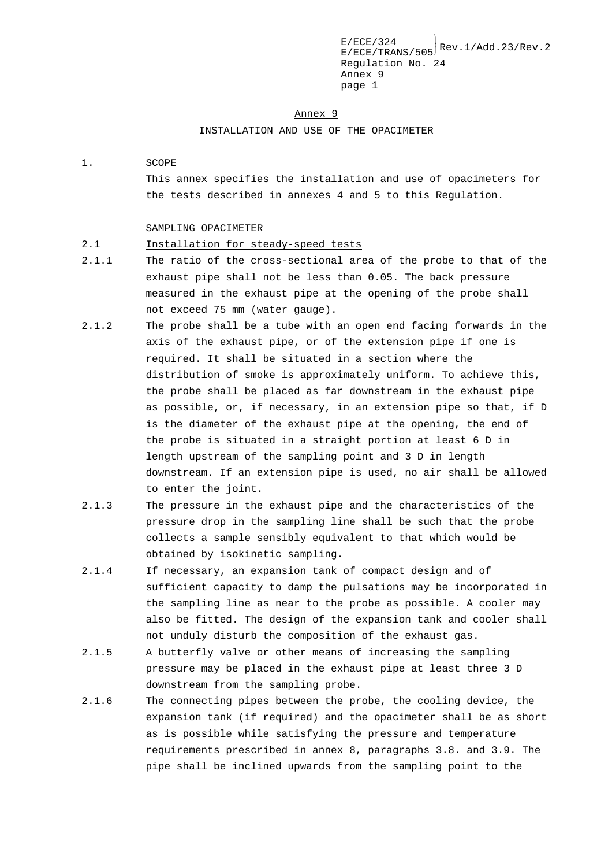$E/ECE/TRANS/505}$ Rev.1/Add.23/Rev.2 Regulation No. 24 Annex 9 page 1

#### Annex 9

INSTALLATION AND USE OF THE OPACIMETER

### 1. SCOPE

This annex specifies the installation and use of opacimeters for the tests described in annexes 4 and 5 to this Regulation.

#### SAMPLING OPACIMETER

### 2.1 Installation for steady-speed tests

- 2.1.1 The ratio of the cross-sectional area of the probe to that of the exhaust pipe shall not be less than 0.05. The back pressure measured in the exhaust pipe at the opening of the probe shall not exceed 75 mm (water gauge).
- 2.1.2 The probe shall be a tube with an open end facing forwards in the axis of the exhaust pipe, or of the extension pipe if one is required. It shall be situated in a section where the distribution of smoke is approximately uniform. To achieve this, the probe shall be placed as far downstream in the exhaust pipe as possible, or, if necessary, in an extension pipe so that, if D is the diameter of the exhaust pipe at the opening, the end of the probe is situated in a straight portion at least 6 D in length upstream of the sampling point and 3 D in length downstream. If an extension pipe is used, no air shall be allowed to enter the joint.
- 2.1.3 The pressure in the exhaust pipe and the characteristics of the pressure drop in the sampling line shall be such that the probe collects a sample sensibly equivalent to that which would be obtained by isokinetic sampling.
- 2.1.4 If necessary, an expansion tank of compact design and of sufficient capacity to damp the pulsations may be incorporated in the sampling line as near to the probe as possible. A cooler may also be fitted. The design of the expansion tank and cooler shall not unduly disturb the composition of the exhaust gas.
- 2.1.5 A butterfly valve or other means of increasing the sampling pressure may be placed in the exhaust pipe at least three 3 D downstream from the sampling probe.
- 2.1.6 The connecting pipes between the probe, the cooling device, the expansion tank (if required) and the opacimeter shall be as short as is possible while satisfying the pressure and temperature requirements prescribed in annex 8, paragraphs 3.8. and 3.9. The pipe shall be inclined upwards from the sampling point to the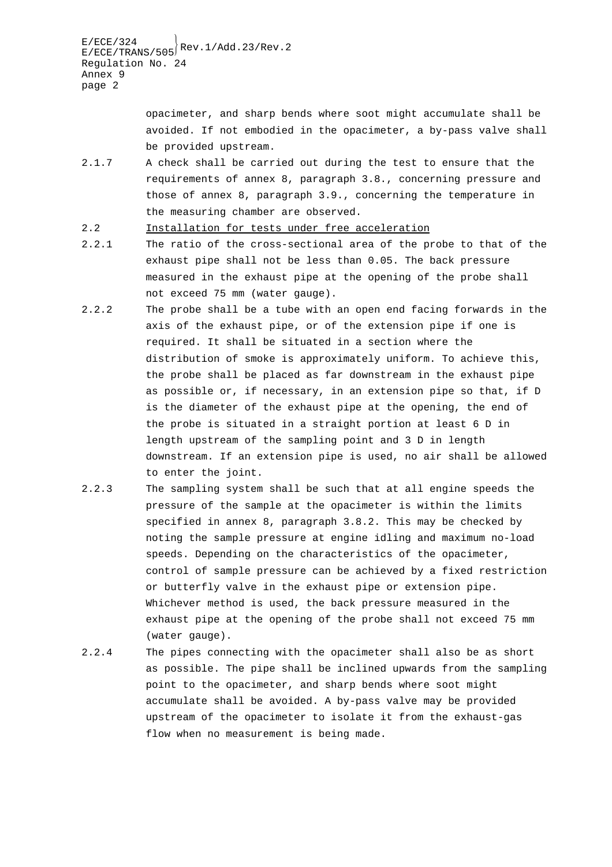> opacimeter, and sharp bends where soot might accumulate shall be avoided. If not embodied in the opacimeter, a by-pass valve shall be provided upstream.

- 2.1.7 A check shall be carried out during the test to ensure that the requirements of annex 8, paragraph 3.8., concerning pressure and those of annex 8, paragraph 3.9., concerning the temperature in the measuring chamber are observed.
- 2.2 Installation for tests under free acceleration
- 2.2.1 The ratio of the cross-sectional area of the probe to that of the exhaust pipe shall not be less than 0.05. The back pressure measured in the exhaust pipe at the opening of the probe shall not exceed 75 mm (water gauge).
- 2.2.2 The probe shall be a tube with an open end facing forwards in the axis of the exhaust pipe, or of the extension pipe if one is required. It shall be situated in a section where the distribution of smoke is approximately uniform. To achieve this, the probe shall be placed as far downstream in the exhaust pipe as possible or, if necessary, in an extension pipe so that, if D is the diameter of the exhaust pipe at the opening, the end of the probe is situated in a straight portion at least 6 D in length upstream of the sampling point and 3 D in length downstream. If an extension pipe is used, no air shall be allowed to enter the joint.
- 2.2.3 The sampling system shall be such that at all engine speeds the pressure of the sample at the opacimeter is within the limits specified in annex 8, paragraph 3.8.2. This may be checked by noting the sample pressure at engine idling and maximum no-load speeds. Depending on the characteristics of the opacimeter, control of sample pressure can be achieved by a fixed restriction or butterfly valve in the exhaust pipe or extension pipe. Whichever method is used, the back pressure measured in the exhaust pipe at the opening of the probe shall not exceed 75 mm (water gauge).
- 2.2.4 The pipes connecting with the opacimeter shall also be as short as possible. The pipe shall be inclined upwards from the sampling point to the opacimeter, and sharp bends where soot might accumulate shall be avoided. A by-pass valve may be provided upstream of the opacimeter to isolate it from the exhaust-gas flow when no measurement is being made.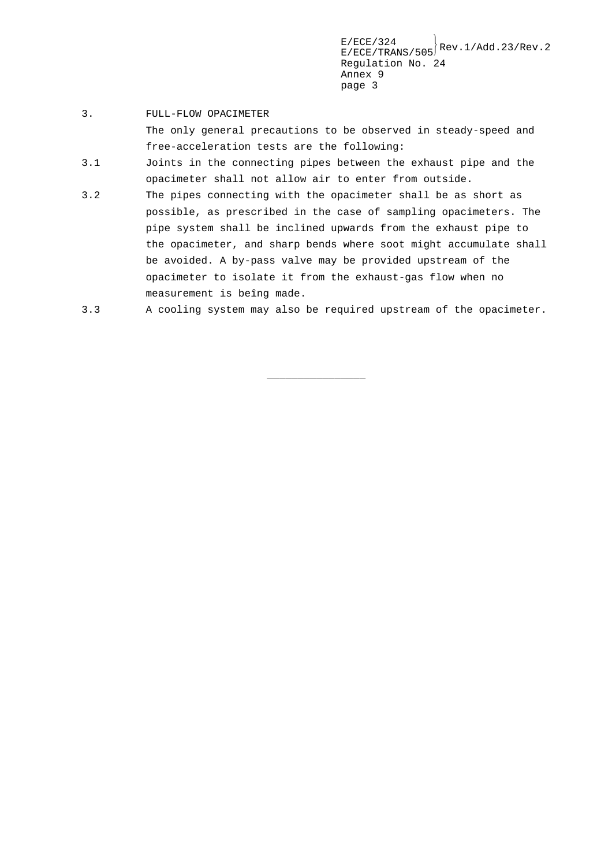### 3. FULL-FLOW OPACIMETER

The only general precautions to be observed in steady-speed and free-acceleration tests are the following:

- 3.1 Joints in the connecting pipes between the exhaust pipe and the opacimeter shall not allow air to enter from outside.
- 3.2 The pipes connecting with the opacimeter shall be as short as possible, as prescribed in the case of sampling opacimeters. The pipe system shall be inclined upwards from the exhaust pipe to the opacimeter, and sharp bends where soot might accumulate shall be avoided. A by-pass valve may be provided upstream of the opacimeter to isolate it from the exhaust-gas flow when no measurement is beîng made.

```
3.3 A cooling system may also be required upstream of the opacimeter.
```
\_\_\_\_\_\_\_\_\_\_\_\_\_\_\_\_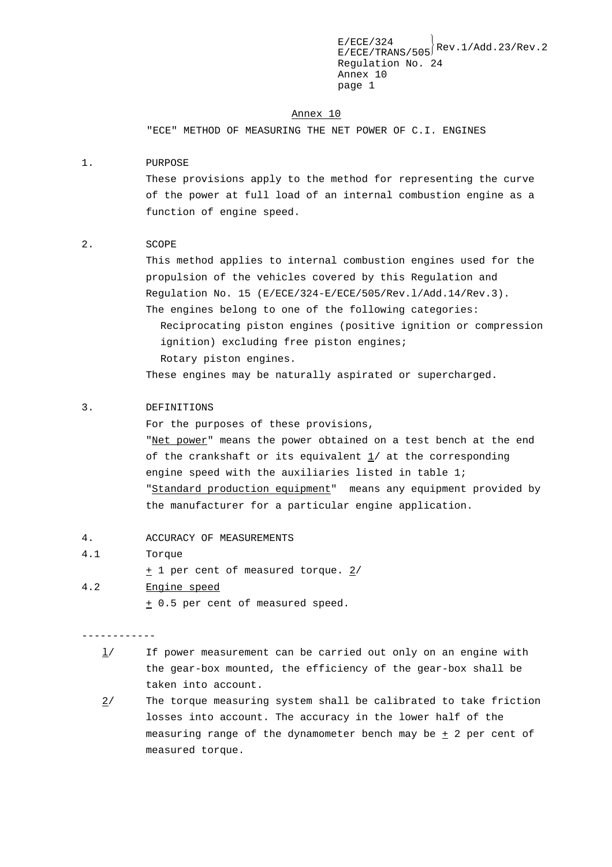#### Annex 10

"ECE" METHOD OF MEASURING THE NET POWER OF C.I. ENGINES

### 1. PURPOSE

These provisions apply to the method for representing the curve of the power at full load of an internal combustion engine as a function of engine speed.

### 2. SCOPE

This method applies to internal combustion engines used for the propulsion of the vehicles covered by this Regulation and Regulation No. 15 (E/ECE/324-E/ECE/505/Rev.l/Add.14/Rev.3). The engines belong to one of the following categories: Reciprocating piston engines (positive ignition or compression ignition) excluding free piston engines; Rotary piston engines.

These engines may be naturally aspirated or supercharged.

### 3. DEFINITIONS

For the purposes of these provisions, "Net power" means the power obtained on a test bench at the end of the crankshaft or its equivalent 1/ at the corresponding engine speed with the auxiliaries listed in table 1; "Standard production equipment" means any equipment provided by the manufacturer for a particular engine application.

- 4. ACCURACY OF MEASUREMENTS
- 4.1 Torque

+ 1 per cent of measured torque. 2/

4.2 Engine speed + 0.5 per cent of measured speed.

------------

- $1/$  If power measurement can be carried out only on an engine with the gear-box mounted, the efficiency of the gear-box shall be taken into account.
- 2/ The torque measuring system shall be calibrated to take friction losses into account. The accuracy in the lower half of the measuring range of the dynamometer bench may be  $\pm$  2 per cent of measured torque.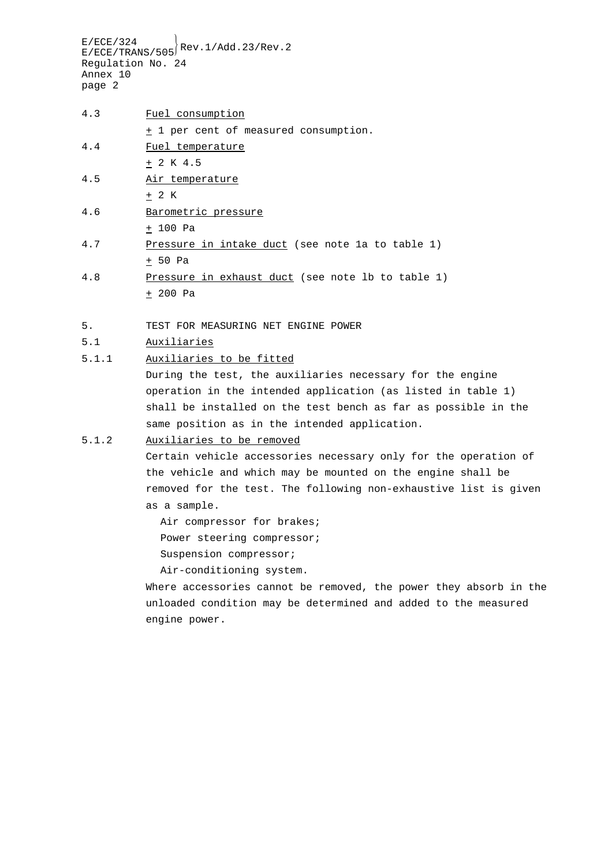| 4.3 | Fuel consumption                      |
|-----|---------------------------------------|
|     | + 1 per cent of measured consumption. |
| 4.4 | Fuel temperature                      |
|     | $+ 2 K 4.5$                           |
| 4.5 | Air temperature                       |
|     | $+2$ K                                |
| 4.6 | Barometric pressure                   |

- $+ 100$  Pa
- 4.7 Pressure in intake duct (see note 1a to table 1)  $+ 50$  Pa
- 4.8 Pressure in exhaust duct (see note lb to table 1)  $+ 200$  Pa
- 5. TEST FOR MEASURING NET ENGINE POWER
- 5.1 Auxiliaries
- 5.1.1 Auxiliaries to be fitted

During the test, the auxiliaries necessary for the engine operation in the intended application (as listed in table 1) shall be installed on the test bench as far as possible in the same position as in the intended application.

# 5.1.2 Auxiliaries to be removed

Certain vehicle accessories necessary only for the operation of the vehicle and which may be mounted on the engine shall be removed for the test. The following non-exhaustive list is given as a sample.

Air compressor for brakes; Power steering compressor; Suspension compressor;

Air-conditioning system.

Where accessories cannot be removed, the power they absorb in the unloaded condition may be determined and added to the measured engine power.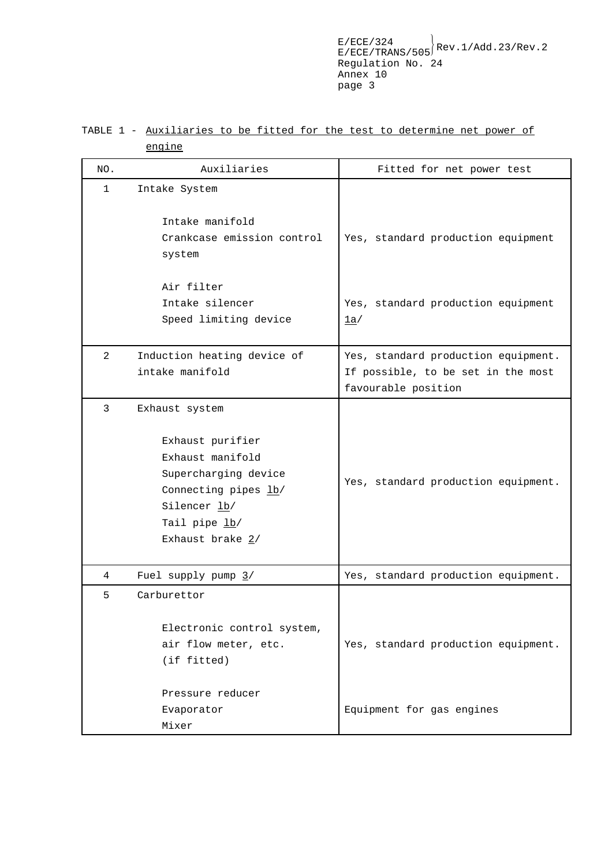# TABLE 1 - Auxiliaries to be fitted for the test to determine net power of engine

| NO.            | Auxiliaries                                                                                                                                                 | Fitted for net power test                                                                        |
|----------------|-------------------------------------------------------------------------------------------------------------------------------------------------------------|--------------------------------------------------------------------------------------------------|
| 1              | Intake System                                                                                                                                               |                                                                                                  |
|                | Intake manifold<br>Crankcase emission control<br>system                                                                                                     | Yes, standard production equipment                                                               |
|                | Air filter<br>Intake silencer<br>Speed limiting device                                                                                                      | Yes, standard production equipment<br>1a/                                                        |
| $\overline{2}$ | Induction heating device of<br>intake manifold                                                                                                              | Yes, standard production equipment.<br>If possible, to be set in the most<br>favourable position |
| 3              | Exhaust system<br>Exhaust purifier<br>Exhaust manifold<br>Supercharging device<br>Connecting pipes lb/<br>Silencer lb/<br>Tail pipe lb/<br>Exhaust brake 2/ | Yes, standard production equipment.                                                              |
| 4              | Fuel supply pump $3/$                                                                                                                                       | Yes, standard production equipment.                                                              |
| 5              | Carburettor<br>Electronic control system,<br>air flow meter, etc.<br>(if fitted)<br>Pressure reducer                                                        | Yes, standard production equipment.                                                              |
|                | Evaporator<br>Mixer                                                                                                                                         | Equipment for gas engines                                                                        |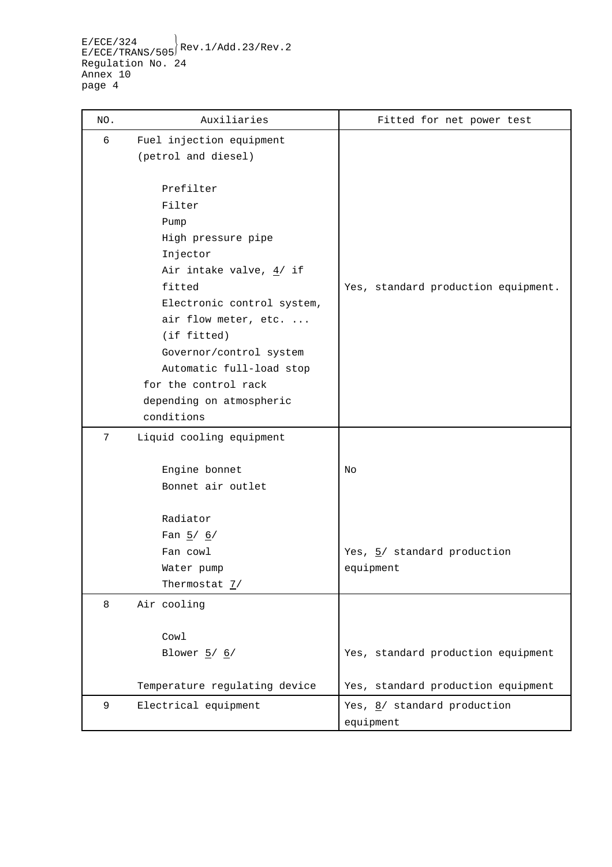| NO. | Auxiliaries                        | Fitted for net power test           |
|-----|------------------------------------|-------------------------------------|
| 6   | Fuel injection equipment           |                                     |
|     | (petrol and diesel)                |                                     |
|     | Prefilter                          |                                     |
|     | Filter                             |                                     |
|     | Pump                               |                                     |
|     | High pressure pipe                 |                                     |
|     | Injector                           |                                     |
|     | Air intake valve, $4/$ if          |                                     |
|     | fitted                             | Yes, standard production equipment. |
|     | Electronic control system,         |                                     |
|     | air flow meter, etc.               |                                     |
|     | (if fitted)                        |                                     |
|     | Governor/control system            |                                     |
|     | Automatic full-load stop           |                                     |
|     | for the control rack               |                                     |
|     | depending on atmospheric           |                                     |
|     | conditions                         |                                     |
| 7   | Liquid cooling equipment           |                                     |
|     |                                    |                                     |
|     | Engine bonnet<br>Bonnet air outlet | No                                  |
|     |                                    |                                     |
|     | Radiator                           |                                     |
|     | Fan $5/6/$                         |                                     |
|     | Fan cowl                           | Yes, 5/ standard production         |
|     | Water pump                         | equipment                           |
|     | Thermostat $\frac{7}{ }$           |                                     |
| 8   | Air cooling                        |                                     |
|     |                                    |                                     |
|     | Cowl                               |                                     |
|     | Blower $\frac{5}{6}$               | Yes, standard production equipment  |
|     | Temperature regulating device      | Yes, standard production equipment  |
| 9   | Electrical equipment               | Yes, 8/ standard production         |
|     |                                    | equipment                           |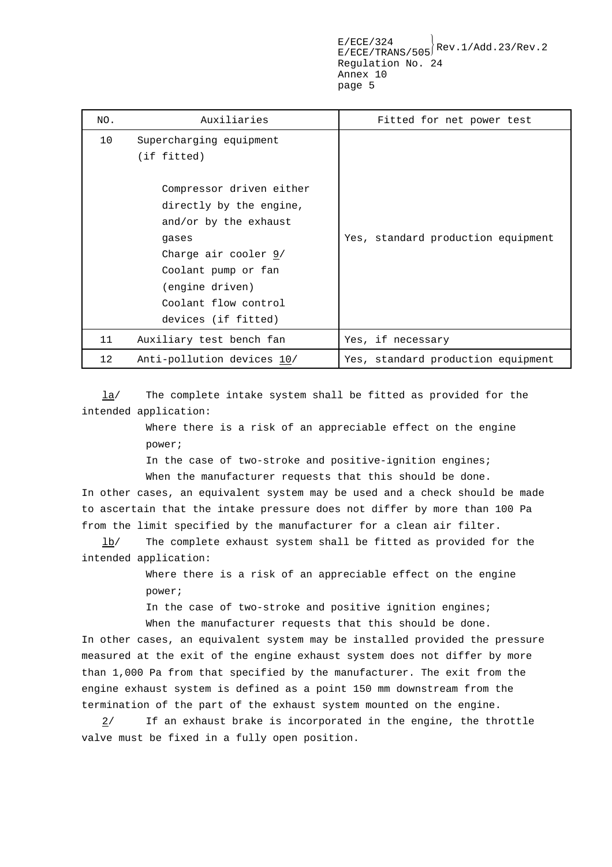| NO. | Auxiliaries                                                                                                                                                                                                                 | Fitted for net power test          |
|-----|-----------------------------------------------------------------------------------------------------------------------------------------------------------------------------------------------------------------------------|------------------------------------|
| 10  | Supercharging equipment<br>(if fitted)<br>Compressor driven either<br>directly by the engine,<br>and/or by the exhaust<br>qases<br>Charge air cooler $9/$<br>Coolant pump or fan<br>(engine driven)<br>Coolant flow control | Yes, standard production equipment |
|     | devices (if fitted)                                                                                                                                                                                                         |                                    |
| 11  | Auxiliary test bench fan                                                                                                                                                                                                    | Yes, if necessary                  |
| 12  | Anti-pollution devices 10/                                                                                                                                                                                                  | Yes, standard production equipment |

la/ The complete intake system shall be fitted as provided for the intended application:

> Where there is a risk of an appreciable effect on the engine power;

In the case of two-stroke and positive-ignition engines; When the manufacturer requests that this should be done.

In other cases, an equivalent system may be used and a check should be made to ascertain that the intake pressure does not differ by more than 100 Pa from the limit specified by the manufacturer for a clean air filter.

lb/ The complete exhaust system shall be fitted as provided for the intended application:

> Where there is a risk of an appreciable effect on the engine power;

In the case of two-stroke and positive ignition engines; When the manufacturer requests that this should be done.

In other cases, an equivalent system may be installed provided the pressure measured at the exit of the engine exhaust system does not differ by more than 1,000 Pa from that specified by the manufacturer. The exit from the engine exhaust system is defined as a point 150 mm downstream from the termination of the part of the exhaust system mounted on the engine.

 $2/$  If an exhaust brake is incorporated in the engine, the throttle valve must be fixed in a fully open position.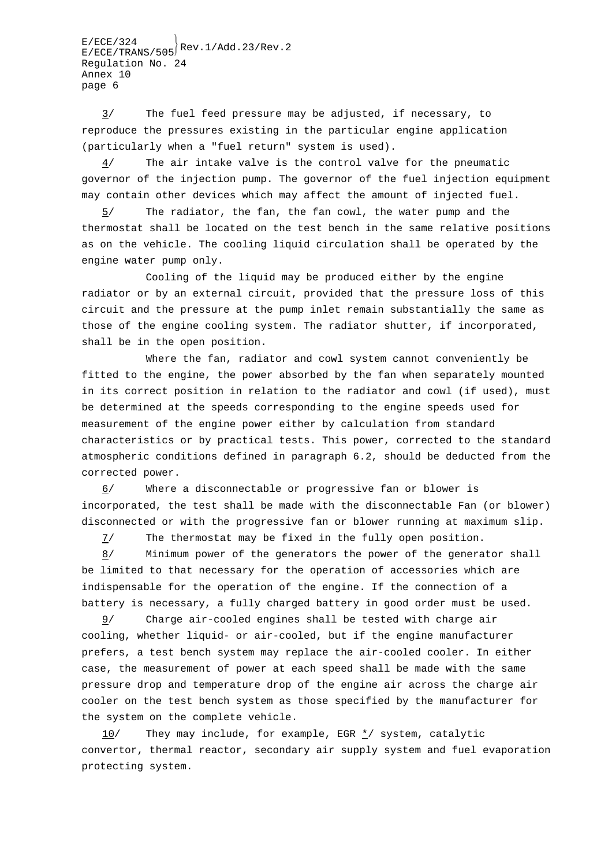$E/ECE/TRANS/505}$ Rev.1/Add.23/Rev.2 Regulation No. 24 Annex 10 page 6

3/ The fuel feed pressure may be adjusted, if necessary, to reproduce the pressures existing in the particular engine application (particularly when a "fuel return" system is used).

 $\frac{4}{1}$  The air intake valve is the control valve for the pneumatic governor of the injection pump. The governor of the fuel injection equipment may contain other devices which may affect the amount of injected fuel.

 $5/$  The radiator, the fan, the fan cowl, the water pump and the thermostat shall be located on the test bench in the same relative positions as on the vehicle. The cooling liquid circulation shall be operated by the engine water pump only.

Cooling of the liquid may be produced either by the engine radiator or by an external circuit, provided that the pressure loss of this circuit and the pressure at the pump inlet remain substantially the same as those of the engine cooling system. The radiator shutter, if incorporated, shall be in the open position.

Where the fan, radiator and cowl system cannot conveniently be fitted to the engine, the power absorbed by the fan when separately mounted in its correct position in relation to the radiator and cowl (if used), must be determined at the speeds corresponding to the engine speeds used for measurement of the engine power either by calculation from standard characteristics or by practical tests. This power, corrected to the standard atmospheric conditions defined in paragraph 6.2, should be deducted from the corrected power.

6/ Where a disconnectable or progressive fan or blower is incorporated, the test shall be made with the disconnectable Fan (or blower) disconnected or with the progressive fan or blower running at maximum slip.

7/ The thermostat may be fixed in the fully open position.

8/ Minimum power of the generators the power of the generator shall be limited to that necessary for the operation of accessories which are indispensable for the operation of the engine. If the connection of a battery is necessary, a fully charged battery in good order must be used.

9/ Charge air-cooled engines shall be tested with charge air cooling, whether liquid- or air-cooled, but if the engine manufacturer prefers, a test bench system may replace the air-cooled cooler. In either case, the measurement of power at each speed shall be made with the same pressure drop and temperature drop of the engine air across the charge air cooler on the test bench system as those specified by the manufacturer for the system on the complete vehicle.

 $10$ / They may include, for example, EGR  $\frac{\star}{2}$ / system, catalytic convertor, thermal reactor, secondary air supply system and fuel evaporation protecting system.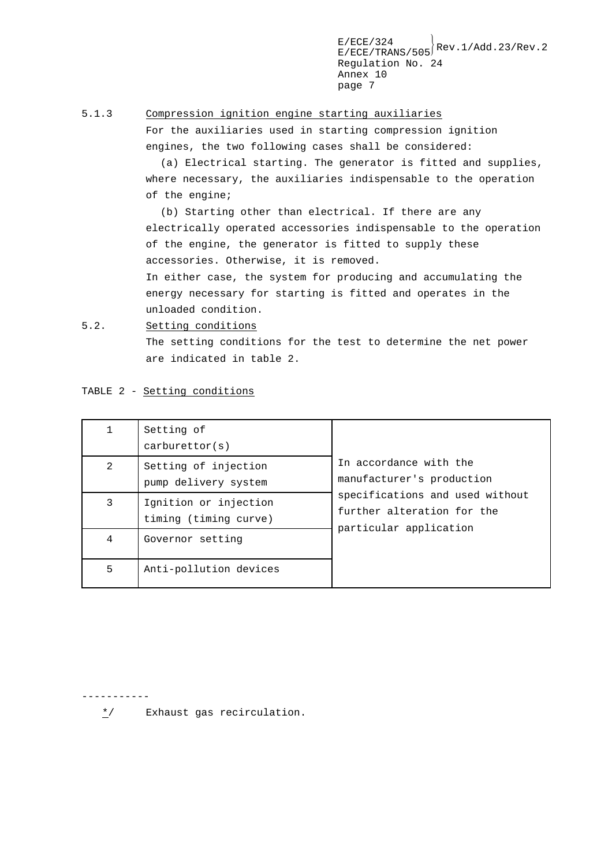$E/ECE/TRANS/505}$ Rev.1/Add.23/Rev.2 Regulation No. 24 Annex 10 page 7

### 5.1.3 Compression ignition engine starting auxiliaries

For the auxiliaries used in starting compression ignition engines, the two following cases shall be considered:

(a) Electrical starting. The generator is fitted and supplies, where necessary, the auxiliaries indispensable to the operation of the engine;

(b) Starting other than electrical. If there are any electrically operated accessories indispensable to the operation of the engine, the generator is fitted to supply these accessories. Otherwise, it is removed.

In either case, the system for producing and accumulating the energy necessary for starting is fitted and operates in the unloaded condition.

5.2. Setting conditions

The setting conditions for the test to determine the net power are indicated in table 2.

TABLE 2 - Setting conditions

|   | Setting of<br>carbon(s)                        |                                                                                         |
|---|------------------------------------------------|-----------------------------------------------------------------------------------------|
| 2 | Setting of injection<br>pump delivery system   | In accordance with the<br>manufacturer's production                                     |
| 3 | Ignition or injection<br>timing (timing curve) | specifications and used without<br>further alteration for the<br>particular application |
| 4 | Governor setting                               |                                                                                         |
| 5 | Anti-pollution devices                         |                                                                                         |

-----------

\*/ Exhaust gas recirculation.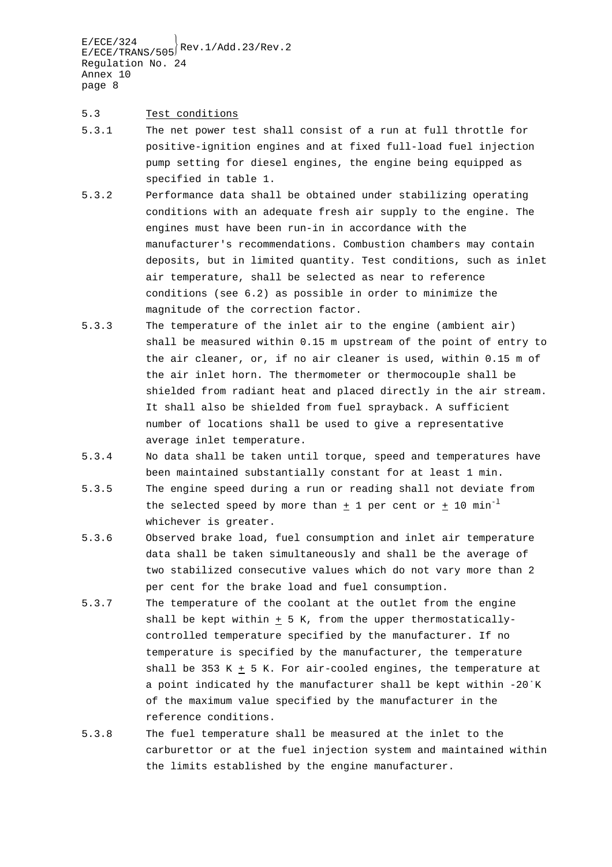### 5.3 Test conditions

- 5.3.1 The net power test shall consist of a run at full throttle for positive-ignition engines and at fixed full-load fuel injection pump setting for diesel engines, the engine being equipped as specified in table 1.
- 5.3.2 Performance data shall be obtained under stabilizing operating conditions with an adequate fresh air supply to the engine. The engines must have been run-in in accordance with the manufacturer's recommendations. Combustion chambers may contain deposits, but in limited quantity. Test conditions, such as inlet air temperature, shall be selected as near to reference conditions (see 6.2) as possible in order to minimize the magnitude of the correction factor.
- 5.3.3 The temperature of the inlet air to the engine (ambient air) shall be measured within 0.15 m upstream of the point of entry to the air cleaner, or, if no air cleaner is used, within 0.15 m of the air inlet horn. The thermometer or thermocouple shall be shielded from radiant heat and placed directly in the air stream. It shall also be shielded from fuel sprayback. A sufficient number of locations shall be used to give a representative average inlet temperature.
- 5.3.4 No data shall be taken until torque, speed and temperatures have been maintained substantially constant for at least 1 min.
- 5.3.5 The engine speed during a run or reading shall not deviate from the selected speed by more than + 1 per cent or + 10  $min^{-1}$ whichever is greater.
- 5.3.6 Observed brake load, fuel consumption and inlet air temperature data shall be taken simultaneously and shall be the average of two stabilized consecutive values which do not vary more than 2 per cent for the brake load and fuel consumption.
- 5.3.7 The temperature of the coolant at the outlet from the engine shall be kept within  $\pm$  5 K, from the upper thermostaticallycontrolled temperature specified by the manufacturer. If no temperature is specified by the manufacturer, the temperature shall be 353 K  $\pm$  5 K. For air-cooled engines, the temperature at a point indicated hy the manufacturer shall be kept within -20/K of the maximum value specified by the manufacturer in the reference conditions.
- 5.3.8 The fuel temperature shall be measured at the inlet to the carburettor or at the fuel injection system and maintained within the limits established by the engine manufacturer.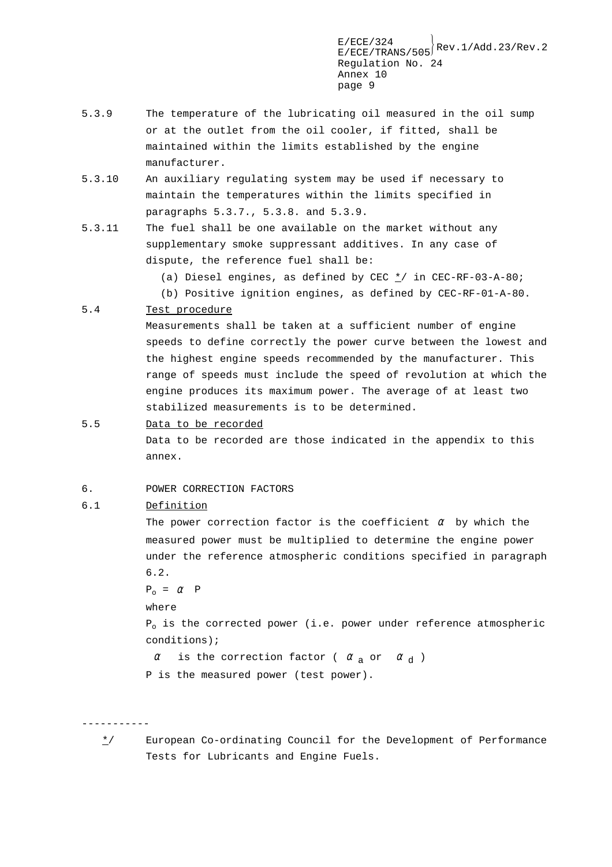- 5.3.9 The temperature of the lubricating oil measured in the oil sump or at the outlet from the oil cooler, if fitted, shall be maintained within the limits established by the engine manufacturer.
- 5.3.10 An auxiliary regulating system may be used if necessary to maintain the temperatures within the limits specified in paragraphs 5.3.7., 5.3.8. and 5.3.9.
- 5.3.11 The fuel shall be one available on the market without any supplementary smoke suppressant additives. In any case of dispute, the reference fuel shall be:

(a) Diesel engines, as defined by CEC \*/ in CEC-RF-03-A-80;

(b) Positive ignition engines, as defined by CEC-RF-01-A-80.

### 5.4 Test procedure

Measurements shall be taken at a sufficient number of engine speeds to define correctly the power curve between the lowest and the highest engine speeds recommended by the manufacturer. This range of speeds must include the speed of revolution at which the engine produces its maximum power. The average of at least two stabilized measurements is to be determined.

5.5 Data to be recorded

Data to be recorded are those indicated in the appendix to this annex.

6. POWER CORRECTION FACTORS

### 6.1 Definition

The power correction factor is the coefficient  $\alpha$  by which the measured power must be multiplied to determine the engine power under the reference atmospheric conditions specified in paragraph 6.2.

 $P_{0} = \alpha P$ 

### where

 $P_0$  is the corrected power (i.e. power under reference atmospheric conditions);

 $\alpha$  is the correction factor (  $\alpha$  or  $\alpha$  )

P is the measured power (test power).

- -----------
	- \*/ European Co-ordinating Council for the Development of Performance Tests for Lubricants and Engine Fuels.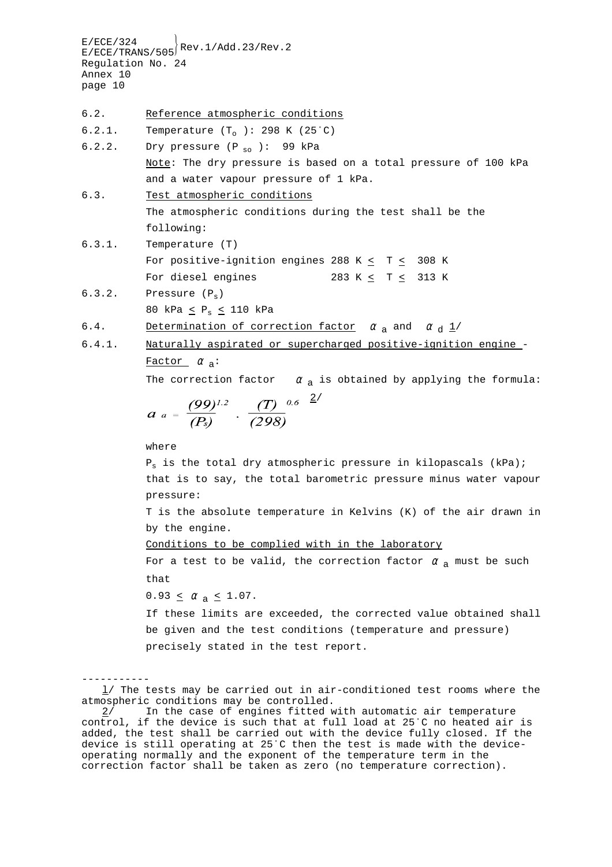$E/ECE/324$ <br> $E/ECE/TRANS/505$ <sup>Rev.1/Add.23/Rev.2</sup> Regulation No. 24 Annex 10 page 10 6.2. Reference atmospheric conditions 6.2.1. Temperature  $(T_0)$ : 298 K (25°C) 6.2.2. Dry pressure  $(P_{so})$ : 99 kPa Note: The dry pressure is based on a total pressure of 100 kPa and a water vapour pressure of 1 kPa. 6.3. Test atmospheric conditions The atmospheric conditions during the test shall be the following: 6.3.1. Temperature (T) For positive-ignition engines 288 K  $\leq$  T  $\leq$  308 K For diesel engines 283 K < T < 313 K  $6.3.2.$  Pressure  $(P_e)$ 80 kPa < Ps < 110 kPa 6.4. Determination of correction factor  $\alpha$  and  $\alpha$   $d$   $\frac{1}{4}$ 6.4.1. Naturally aspirated or supercharged positive-ignition engine - Factor  $\alpha$ <sub>a</sub>: The correction factor  $\alpha$  a is obtained by applying the formula:  $a_a = \frac{(99)^{1.2}}{(P_s)} \cdot \frac{(T)^{-0.6}}{(298)}$ where  $P_s$  is the total dry atmospheric pressure in kilopascals (kPa); that is to say, the total barometric pressure minus water vapour pressure: T is the absolute temperature in Kelvins (K) of the air drawn in by the engine. Conditions to be complied with in the laboratory For a test to be valid, the correction factor  $\alpha$  a must be such that  $0.93 \le \alpha_{\text{a}} \le 1.07$ . If these limits are exceeded, the corrected value obtained shall be given and the test conditions (temperature and pressure) precisely stated in the test report. -----------

l/ The tests may be carried out in air-conditioned test rooms where the atmospheric conditions may be controlled.

<sup>2/</sup> In the case of engines fitted with automatic air temperature control, if the device is such that at full load at 25/C no heated air is added, the test shall be carried out with the device fully closed. If the device is still operating at 25°C then the test is made with the deviceoperating normally and the exponent of the temperature term in the correction factor shall be taken as zero (no temperature correction).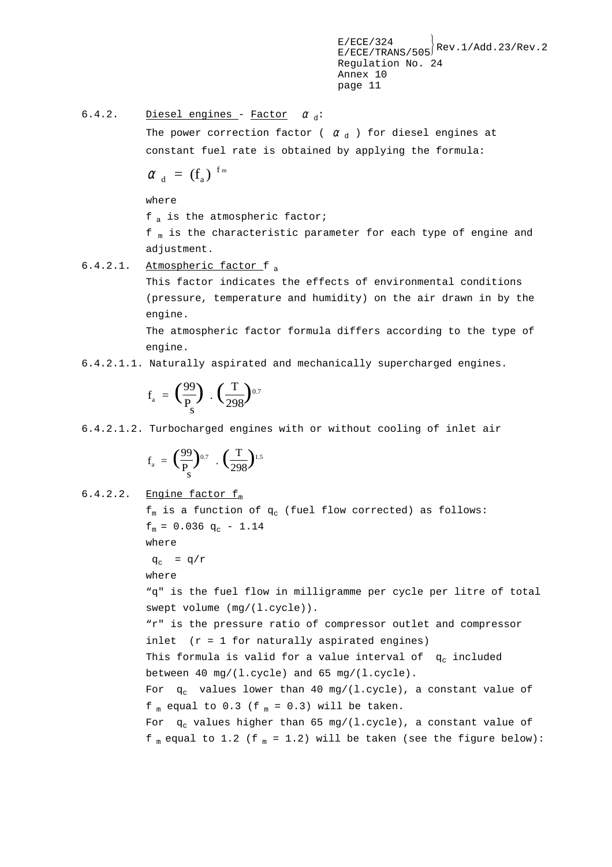6.4.2. Diesel engines - Factor  $\alpha_d$ :

The power correction factor (  $\alpha_d$  ) for diesel engines at constant fuel rate is obtained by applying the formula:

$$
\alpha_{d} = (f_a)^{fm}
$$

where

 $f_a$  is the atmospheric factor;

 $f_m$  is the characteristic parameter for each type of engine and adjustment.

6.4.2.1. Atmospheric factor f <sup>a</sup>

This factor indicates the effects of environmental conditions (pressure, temperature and humidity) on the air drawn in by the engine.

The atmospheric factor formula differs according to the type of engine.

6.4.2.1.1. Naturally aspirated and mechanically supercharged engines.

$$
f_a = \left(\frac{99}{P_s}\right) \cdot \left(\frac{T}{298}\right)^{0.7}
$$

6.4.2.1.2. Turbocharged engines with or without cooling of inlet air

$$
f_a = \left(\frac{99}{P_s}\right)^{0.7} \cdot \left(\frac{T}{298}\right)^{1.5}
$$

6.4.2.2. Engine factor  $f_m$ 

$$
f_m
$$
 is a function of  $q_c$  (fuel flow corrected) as follows:\n $f_m = 0.036 \, q_c - 1.14$ \nwhere\n $q_c = q/r$ \nwhere\n $q_c = q/r$ \nwhere\n $q_m$  is the fuel flow in milligramme per cycle per litre of total\nswept volume  $(mg/(1.\text{cycle}))$ .\n\n''r" is the pressure ratio of compressor outlet and compressor\ninlet  $(r = 1 \text{ for naturally aspirated engines})$ \nThis formula is valid for a value interval of  $q_c$  included\nbetween 40 mg/(1.\text{cycle}) and 65 mg/(1.\text{cycle})\nFor  $q_c$  values lower than 40 mg/(1.\text{cycle})\n, a constant value of\n $f_m$  equal to 0.3 ( $f_m = 0.3$ ) will be taken.\nFor  $q_c$  values higher than 65 mg/(1.\text{cycle})\n, a constant value of\n $f_m$  equal to 1.2 ( $f_m = 1.2$ ) will be taken (see the figure below):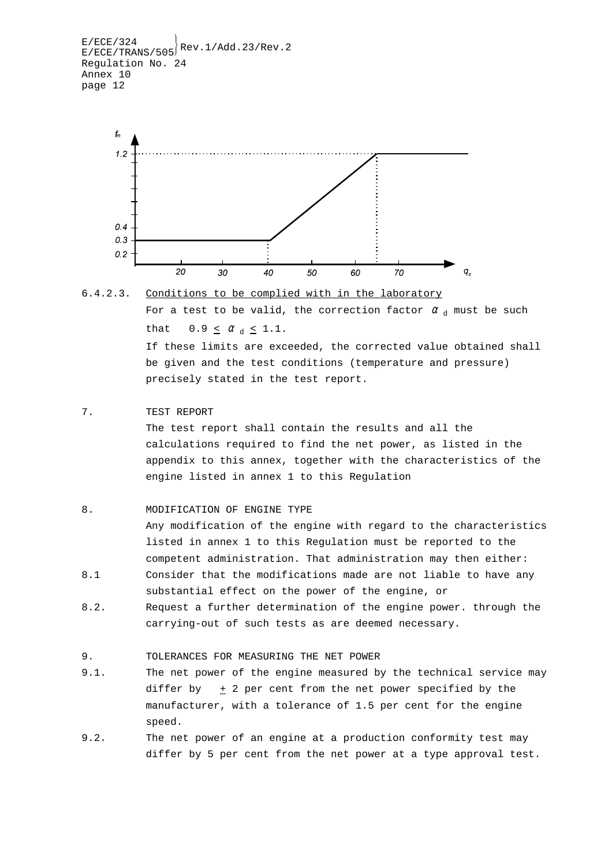```
E/ECE/324<br>E/ECE/TRANS/505<sup>Rev.1/Add.23/Rev.2</sup>
Regulation No. 24
Annex 10
page 12
```




7. TEST REPORT

The test report shall contain the results and all the calculations required to find the net power, as listed in the appendix to this annex, together with the characteristics of the engine listed in annex 1 to this Regulation

### 8. MODIFICATION OF ENGINE TYPE

Any modification of the engine with regard to the characteristics listed in annex 1 to this Regulation must be reported to the competent administration. That administration may then either: 8.1 Consider that the modifications made are not liable to have any

- substantial effect on the power of the engine, or
- 8.2. Request a further determination of the engine power. through the carrying-out of such tests as are deemed necessary.

9. TOLERANCES FOR MEASURING THE NET POWER

- 9.1. The net power of the engine measured by the technical service may differ by  $+2$  per cent from the net power specified by the manufacturer, with a tolerance of 1.5 per cent for the engine speed.
- 9.2. The net power of an engine at a production conformity test may differ by 5 per cent from the net power at a type approval test.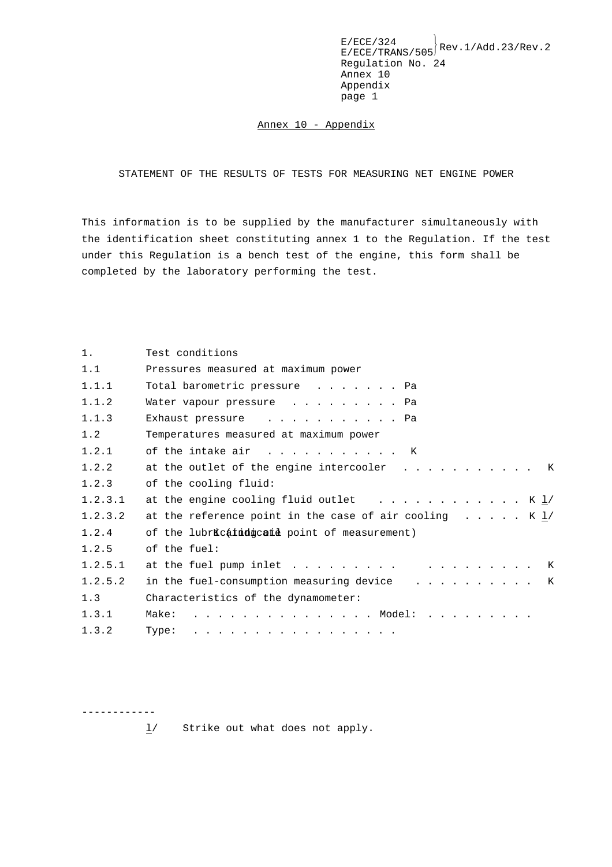Annex 10 - Appendix

STATEMENT OF THE RESULTS OF TESTS FOR MEASURING NET ENGINE POWER

This information is to be supplied by the manufacturer simultaneously with the identification sheet constituting annex 1 to the Regulation. If the test under this Regulation is a bench test of the engine, this form shall be completed by the laboratory performing the test.

| 1.      | Test conditions                                                                      |  |  |
|---------|--------------------------------------------------------------------------------------|--|--|
| 1.1     | Pressures measured at maximum power                                                  |  |  |
| 1.1.1   | Total barometric pressure Pa                                                         |  |  |
| 1.1.2   | Water vapour pressure Pa                                                             |  |  |
| 1.1.3   | Exhaust pressure Pa                                                                  |  |  |
| 1.2     | Temperatures measured at maximum power                                               |  |  |
| 1.2.1   | of the intake air K                                                                  |  |  |
| 1.2.2   | at the outlet of the engine intercooler K                                            |  |  |
| 1.2.3   | of the cooling fluid:                                                                |  |  |
| 1.2.3.1 | at the engine cooling fluid outlet $\cdots \cdots \cdots \cdots$ K $\underline{1}$ / |  |  |
| 1.2.3.2 | at the reference point in the case of air cooling $\dots$ $\dots$ K $\underline{1}/$ |  |  |
| 1.2.4   | of the lubricatidgcate point of measurement)                                         |  |  |
| 1.2.5   | of the fuel:                                                                         |  |  |
| 1.2.5.1 |                                                                                      |  |  |
| 1.2.5.2 | in the fuel-consumption measuring device K                                           |  |  |
| 1.3     | Characteristics of the dynamometer:                                                  |  |  |
| 1.3.1   | . Model:<br>Make:                                                                    |  |  |
| 1.3.2   | Type: $\ldots$ , $\ldots$ , $\ldots$ , $\ldots$ , $\ldots$ , $\ldots$ , $\ldots$     |  |  |

 $\underline{1}$  Strike out what does not apply.

------------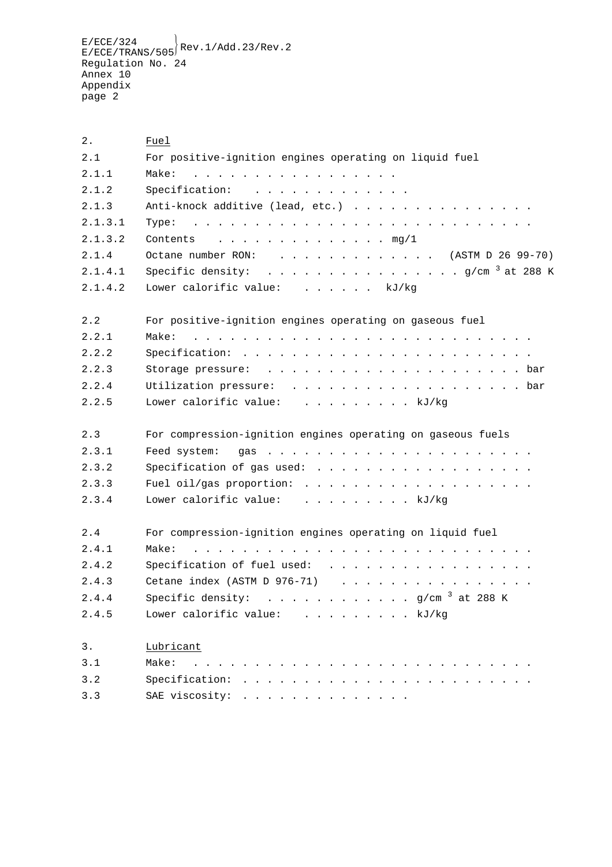$E/ECE/TRANS/505}$ Rev.1/Add.23/Rev.2 Regulation No. 24 Annex 10 Appendix page 2

2. Fuel 2.1 For positive-ignition engines operating on liquid fuel 2.1.1 Make: ................. 2.1.2 Specification: ............. 2.1.3 Anti-knock additive (lead, etc.) . . . . . . . . . . . . . . . 2.1.3.1 Type: ............................ 2.1.3.2 Contents . . . . . . . . . . . . . mg/1 2.1.4 Octane number RON: . . . . . . . . . . . . (ASTM D 26 99-70) 2.1.4.1 Specific density: ................ g/cm <sup>3</sup> at 288 K 2.1.4.2 Lower calorific value: . . . . . . kJ/kg 2.2 For positive-ignition engines operating on gaseous fuel 2.2.1 Make: ............................ 2.2.2 Specification: ........................ 2.2.3 Storage pressure: . . . . . . . . . . . . . . . . . . . . . bar 2.2.4 Utilization pressure: . . . . . . . . . . . . . . . . . . bar 2.2.5 Lower calorific value: ......... kJ/kg 2.3 For compression-ignition engines operating on gaseous fuels 2.3.1 Feed system: gas ...................... 2.3.2 Specification of gas used: .................. 2.3.3 Fuel oil/gas proportion: ................... 2.3.4 Lower calorific value: . . . . . . . . . kJ/kg 2.4 For compression-ignition engines operating on liquid fuel 2.4.1 Make: ............................ 2.4.2 Specification of fuel used: ................. 2.4.3 Cetane index (ASTM D 976-71) . . . . . . . . . . . . . . . . 2.4.4 Specific density: ............ g/cm <sup>3</sup> at 288 K 2.4.5 Lower calorific value: . . . . . . . . . kJ/kg 3. Lubricant 3.1 Make: ............................ 3.2 Specification: ........................ 3.3 SAE viscosity: . . . . . . . . . . . . . .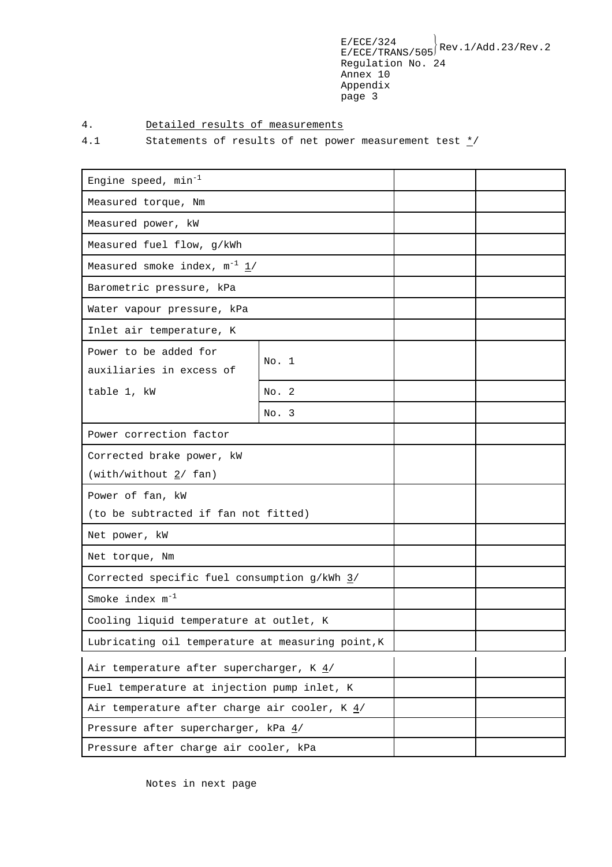## 4. Detailed results of measurements

4.1 Statements of results of net power measurement test  $\frac{\star}{ }$ 

| Engine speed, $min^{-1}$                                 |       |  |  |
|----------------------------------------------------------|-------|--|--|
| Measured torque, Nm                                      |       |  |  |
| Measured power, kW                                       |       |  |  |
| Measured fuel flow, g/kWh                                |       |  |  |
| Measured smoke index, $m^{-1}$ $\frac{1}{2}$             |       |  |  |
| Barometric pressure, kPa                                 |       |  |  |
| Water vapour pressure, kPa                               |       |  |  |
| Inlet air temperature, K                                 |       |  |  |
| Power to be added for<br>auxiliaries in excess of        | No. 1 |  |  |
| table 1, kW                                              | No. 2 |  |  |
|                                                          | No. 3 |  |  |
| Power correction factor                                  |       |  |  |
| Corrected brake power, kW                                |       |  |  |
| (with/without 2/ fan)                                    |       |  |  |
| Power of fan, kW                                         |       |  |  |
| (to be subtracted if fan not fitted)                     |       |  |  |
| Net power, kW                                            |       |  |  |
| Net torque, Nm                                           |       |  |  |
| Corrected specific fuel consumption g/kWh 3/             |       |  |  |
| Smoke index $m^{-1}$                                     |       |  |  |
| Cooling liquid temperature at outlet, K                  |       |  |  |
| Lubricating oil temperature at measuring point, K        |       |  |  |
| Air temperature after supercharger, K $\frac{4}{3}$      |       |  |  |
| Fuel temperature at injection pump inlet, K              |       |  |  |
| Air temperature after charge air cooler, $K \frac{4}{3}$ |       |  |  |
| Pressure after supercharger, kPa $4/$                    |       |  |  |
| Pressure after charge air cooler, kPa                    |       |  |  |

Notes in next page